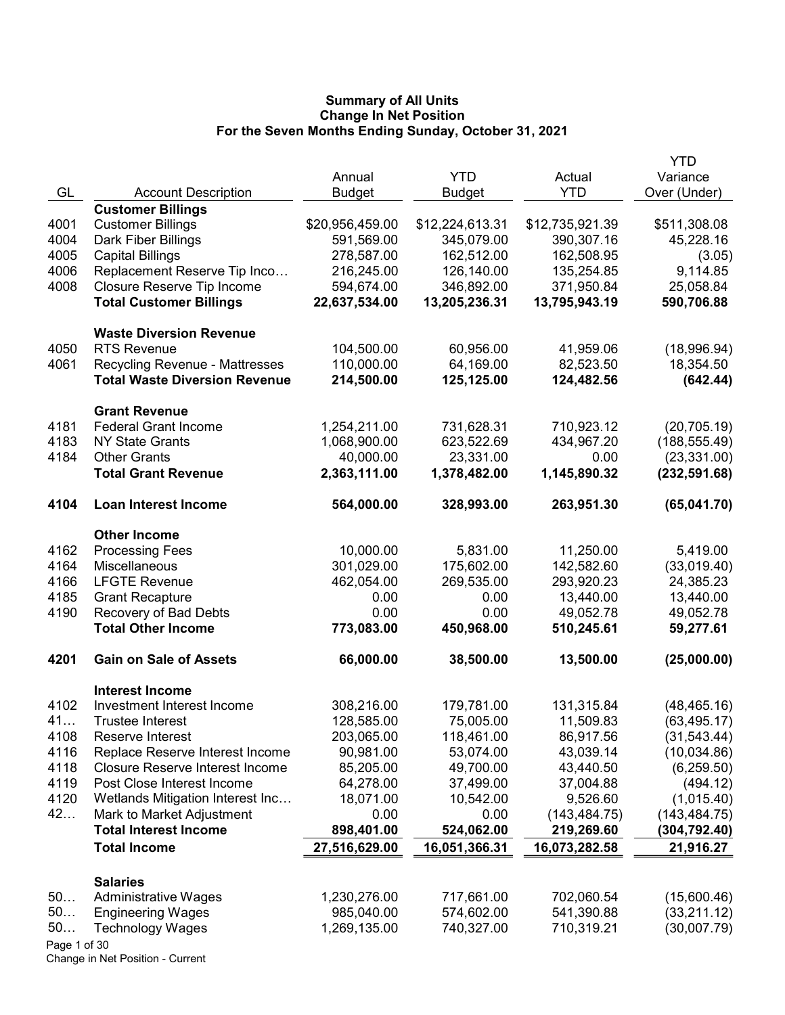|              |                                        |                 |                 |                 | YTD           |
|--------------|----------------------------------------|-----------------|-----------------|-----------------|---------------|
|              |                                        | Annual          | <b>YTD</b>      | Actual          | Variance      |
| GL           | <b>Account Description</b>             | <b>Budget</b>   | <b>Budget</b>   | <b>YTD</b>      | Over (Under)  |
|              | <b>Customer Billings</b>               |                 |                 |                 |               |
| 4001         | <b>Customer Billings</b>               | \$20,956,459.00 | \$12,224,613.31 | \$12,735,921.39 | \$511,308.08  |
| 4004         | Dark Fiber Billings                    | 591,569.00      | 345,079.00      | 390,307.16      | 45,228.16     |
| 4005         | <b>Capital Billings</b>                | 278,587.00      | 162,512.00      | 162,508.95      | (3.05)        |
| 4006         | Replacement Reserve Tip Inco           | 216,245.00      | 126,140.00      | 135,254.85      | 9,114.85      |
| 4008         | Closure Reserve Tip Income             | 594,674.00      | 346,892.00      | 371,950.84      | 25,058.84     |
|              | <b>Total Customer Billings</b>         | 22,637,534.00   | 13,205,236.31   | 13,795,943.19   | 590,706.88    |
|              |                                        |                 |                 |                 |               |
|              | <b>Waste Diversion Revenue</b>         |                 |                 |                 |               |
| 4050         | <b>RTS Revenue</b>                     | 104,500.00      | 60,956.00       | 41,959.06       | (18,996.94)   |
| 4061         | Recycling Revenue - Mattresses         | 110,000.00      | 64,169.00       | 82,523.50       | 18,354.50     |
|              | <b>Total Waste Diversion Revenue</b>   | 214,500.00      | 125,125.00      | 124,482.56      | (642.44)      |
|              | <b>Grant Revenue</b>                   |                 |                 |                 |               |
| 4181         | <b>Federal Grant Income</b>            | 1,254,211.00    | 731,628.31      | 710,923.12      | (20, 705.19)  |
| 4183         | <b>NY State Grants</b>                 | 1,068,900.00    | 623,522.69      | 434,967.20      | (188, 555.49) |
| 4184         | <b>Other Grants</b>                    | 40,000.00       | 23,331.00       | 0.00            | (23, 331.00)  |
|              | <b>Total Grant Revenue</b>             | 2,363,111.00    | 1,378,482.00    | 1,145,890.32    | (232, 591.68) |
|              |                                        |                 |                 |                 |               |
| 4104         | <b>Loan Interest Income</b>            | 564,000.00      | 328,993.00      | 263,951.30      | (65,041.70)   |
|              | <b>Other Income</b>                    |                 |                 |                 |               |
| 4162         | <b>Processing Fees</b>                 | 10,000.00       | 5,831.00        | 11,250.00       | 5,419.00      |
| 4164         | Miscellaneous                          | 301,029.00      | 175,602.00      | 142,582.60      | (33,019.40)   |
| 4166         | <b>LFGTE Revenue</b>                   | 462,054.00      | 269,535.00      | 293,920.23      | 24,385.23     |
| 4185         | <b>Grant Recapture</b>                 | 0.00            | 0.00            | 13,440.00       | 13,440.00     |
| 4190         | Recovery of Bad Debts                  | 0.00            | 0.00            | 49,052.78       | 49,052.78     |
|              | <b>Total Other Income</b>              | 773,083.00      | 450,968.00      | 510,245.61      | 59,277.61     |
| 4201         | <b>Gain on Sale of Assets</b>          | 66,000.00       | 38,500.00       | 13,500.00       | (25,000.00)   |
|              | <b>Interest Income</b>                 |                 |                 |                 |               |
| 4102         | Investment Interest Income             | 308,216.00      | 179,781.00      | 131,315.84      | (48, 465.16)  |
| 41           | <b>Trustee Interest</b>                | 128,585.00      | 75,005.00       | 11,509.83       | (63, 495.17)  |
| 4108         | Reserve Interest                       | 203,065.00      | 118,461.00      | 86,917.56       | (31, 543.44)  |
|              |                                        |                 | 53,074.00       |                 |               |
| 4116         | Replace Reserve Interest Income        | 90,981.00       |                 | 43,039.14       | (10,034.86)   |
| 4118         | <b>Closure Reserve Interest Income</b> | 85,205.00       | 49,700.00       | 43,440.50       | (6, 259.50)   |
| 4119         | Post Close Interest Income             | 64,278.00       | 37,499.00       | 37,004.88       | (494.12)      |
| 4120         | Wetlands Mitigation Interest Inc       | 18,071.00       | 10,542.00       | 9,526.60        | (1,015.40)    |
| 42           | Mark to Market Adjustment              | 0.00            | 0.00            | (143, 484.75)   | (143, 484.75) |
|              | <b>Total Interest Income</b>           | 898,401.00      | 524,062.00      | 219,269.60      | (304,792.40)  |
|              | <b>Total Income</b>                    | 27,516,629.00   | 16,051,366.31   | 16,073,282.58   | 21,916.27     |
|              | <b>Salaries</b>                        |                 |                 |                 |               |
| 50           | <b>Administrative Wages</b>            | 1,230,276.00    | 717,661.00      | 702,060.54      | (15,600.46)   |
| 50           | <b>Engineering Wages</b>               | 985,040.00      | 574,602.00      | 541,390.88      | (33, 211.12)  |
| 50           | <b>Technology Wages</b>                | 1,269,135.00    | 740,327.00      | 710,319.21      | (30,007.79)   |
| Page 1 of 30 |                                        |                 |                 |                 |               |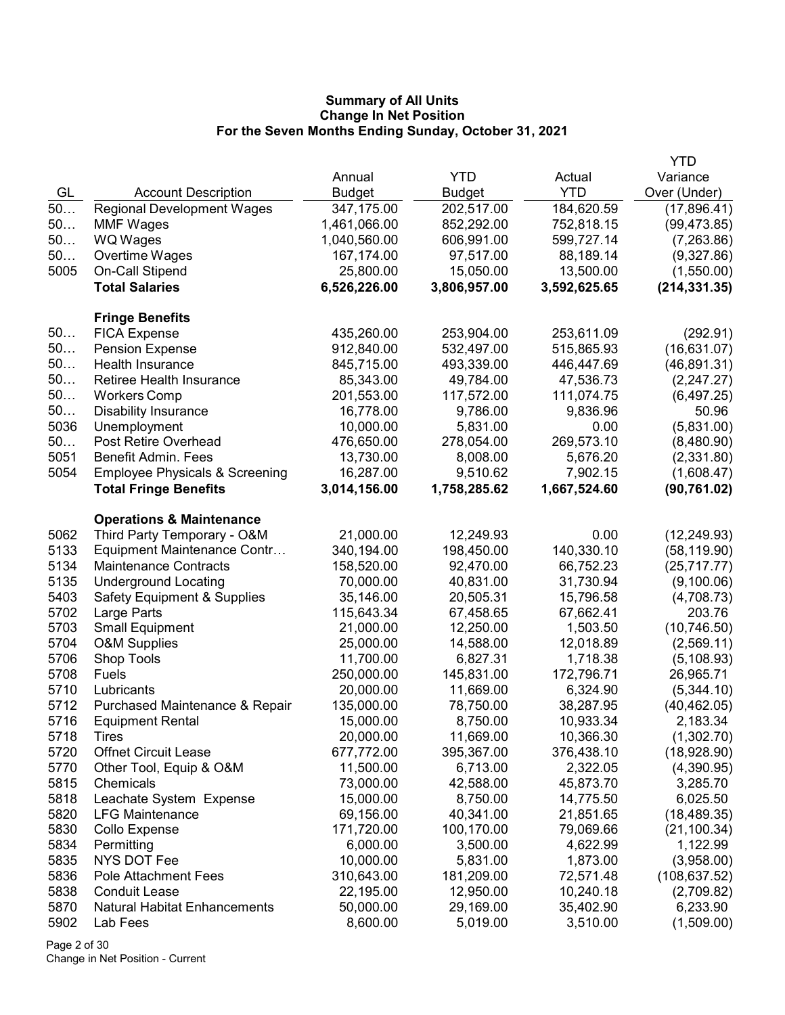|      |                                           |               |               |              | YTD           |
|------|-------------------------------------------|---------------|---------------|--------------|---------------|
|      |                                           | Annual        | <b>YTD</b>    | Actual       | Variance      |
| GL   | <b>Account Description</b>                | <b>Budget</b> | <b>Budget</b> | <b>YTD</b>   | Over (Under)  |
| 50   | <b>Regional Development Wages</b>         | 347,175.00    | 202,517.00    | 184,620.59   | (17,896.41)   |
| 50   | <b>MMF Wages</b>                          | 1,461,066.00  | 852,292.00    | 752,818.15   | (99, 473.85)  |
| 50   | <b>WQ Wages</b>                           | 1,040,560.00  | 606,991.00    | 599,727.14   | (7,263.86)    |
| 50   | Overtime Wages                            | 167,174.00    | 97,517.00     | 88,189.14    | (9,327.86)    |
| 5005 | On-Call Stipend                           | 25,800.00     | 15,050.00     | 13,500.00    | (1,550.00)    |
|      | <b>Total Salaries</b>                     | 6,526,226.00  | 3,806,957.00  | 3,592,625.65 | (214, 331.35) |
|      |                                           |               |               |              |               |
|      | <b>Fringe Benefits</b>                    |               |               |              |               |
| 50   | <b>FICA Expense</b>                       | 435,260.00    | 253,904.00    | 253,611.09   | (292.91)      |
| 50   | <b>Pension Expense</b>                    | 912,840.00    | 532,497.00    | 515,865.93   | (16, 631.07)  |
| 50   | Health Insurance                          | 845,715.00    | 493,339.00    | 446,447.69   | (46, 891.31)  |
| 50   | <b>Retiree Health Insurance</b>           | 85,343.00     | 49,784.00     | 47,536.73    | (2,247.27)    |
| 50   | <b>Workers Comp</b>                       | 201,553.00    | 117,572.00    | 111,074.75   | (6,497.25)    |
| 50   | <b>Disability Insurance</b>               | 16,778.00     | 9,786.00      | 9,836.96     | 50.96         |
| 5036 | Unemployment                              | 10,000.00     | 5,831.00      | 0.00         | (5,831.00)    |
| 50   | Post Retire Overhead                      | 476,650.00    | 278,054.00    | 269,573.10   | (8,480.90)    |
| 5051 | <b>Benefit Admin. Fees</b>                | 13,730.00     | 8,008.00      | 5,676.20     | (2,331.80)    |
| 5054 | <b>Employee Physicals &amp; Screening</b> | 16,287.00     | 9,510.62      | 7,902.15     | (1,608.47)    |
|      | <b>Total Fringe Benefits</b>              | 3,014,156.00  | 1,758,285.62  | 1,667,524.60 | (90, 761.02)  |
|      |                                           |               |               |              |               |
|      | <b>Operations &amp; Maintenance</b>       |               |               |              |               |
| 5062 | Third Party Temporary - O&M               | 21,000.00     | 12,249.93     | 0.00         | (12, 249.93)  |
| 5133 | Equipment Maintenance Contr               | 340,194.00    | 198,450.00    | 140,330.10   | (58, 119.90)  |
| 5134 | <b>Maintenance Contracts</b>              | 158,520.00    | 92,470.00     | 66,752.23    | (25, 717.77)  |
| 5135 | <b>Underground Locating</b>               | 70,000.00     | 40,831.00     | 31,730.94    | (9,100.06)    |
| 5403 | <b>Safety Equipment &amp; Supplies</b>    | 35,146.00     | 20,505.31     | 15,796.58    | (4,708.73)    |
| 5702 | Large Parts                               | 115,643.34    | 67,458.65     | 67,662.41    | 203.76        |
| 5703 | <b>Small Equipment</b>                    | 21,000.00     | 12,250.00     | 1,503.50     | (10, 746.50)  |
| 5704 | <b>O&amp;M Supplies</b>                   | 25,000.00     | 14,588.00     | 12,018.89    | (2,569.11)    |
| 5706 | Shop Tools                                | 11,700.00     | 6,827.31      | 1,718.38     | (5, 108.93)   |
| 5708 | Fuels                                     | 250,000.00    | 145,831.00    | 172,796.71   | 26,965.71     |
| 5710 | Lubricants                                | 20,000.00     | 11,669.00     | 6,324.90     | (5,344.10)    |
| 5712 | Purchased Maintenance & Repair            | 135,000.00    | 78,750.00     | 38,287.95    | (40, 462.05)  |
| 5716 | <b>Equipment Rental</b>                   | 15,000.00     | 8,750.00      | 10,933.34    | 2,183.34      |
| 5718 | <b>l</b> <i>I</i> res                     | 20,000.00     | 11,669.00     | 10,366.30    | (1,302.70)    |
| 5720 | <b>Offnet Circuit Lease</b>               | 677,772.00    | 395,367.00    | 376,438.10   | (18,928.90)   |
| 5770 | Other Tool, Equip & O&M                   | 11,500.00     | 6,713.00      | 2,322.05     | (4,390.95)    |
| 5815 | Chemicals                                 | 73,000.00     | 42,588.00     | 45,873.70    | 3,285.70      |
| 5818 | Leachate System Expense                   | 15,000.00     | 8,750.00      | 14,775.50    | 6,025.50      |
| 5820 | <b>LFG Maintenance</b>                    | 69,156.00     | 40,341.00     | 21,851.65    | (18, 489.35)  |
| 5830 | Collo Expense                             | 171,720.00    | 100,170.00    | 79,069.66    | (21, 100.34)  |
| 5834 | Permitting                                | 6,000.00      | 3,500.00      | 4,622.99     | 1,122.99      |
| 5835 | <b>NYS DOT Fee</b>                        | 10,000.00     | 5,831.00      | 1,873.00     | (3,958.00)    |
| 5836 | <b>Pole Attachment Fees</b>               | 310,643.00    | 181,209.00    | 72,571.48    | (108, 637.52) |
| 5838 | <b>Conduit Lease</b>                      | 22,195.00     | 12,950.00     | 10,240.18    | (2,709.82)    |
| 5870 | <b>Natural Habitat Enhancements</b>       | 50,000.00     | 29,169.00     | 35,402.90    | 6,233.90      |
| 5902 | Lab Fees                                  | 8,600.00      | 5,019.00      | 3,510.00     | (1,509.00)    |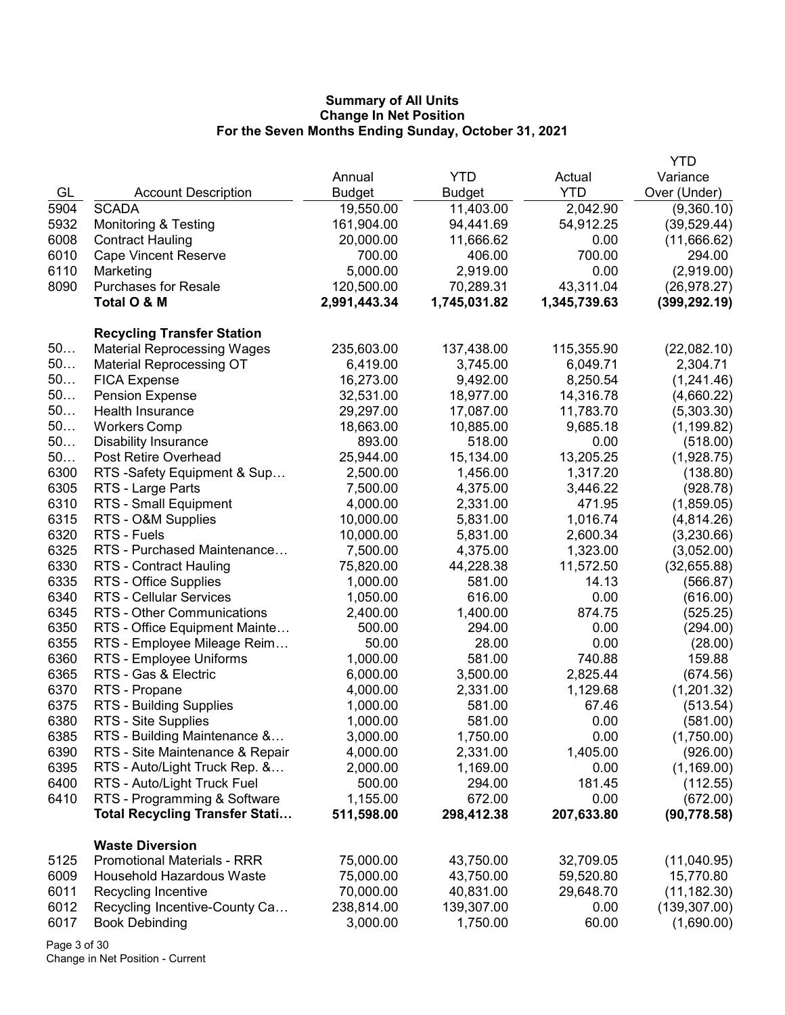|      |                                       |               |               |              | <b>YTD</b>    |
|------|---------------------------------------|---------------|---------------|--------------|---------------|
|      |                                       | Annual        | <b>YTD</b>    | Actual       | Variance      |
| GL   | <b>Account Description</b>            | <b>Budget</b> | <b>Budget</b> | <b>YTD</b>   | Over (Under)  |
| 5904 | <b>SCADA</b>                          | 19,550.00     | 11,403.00     | 2,042.90     | (9,360.10)    |
| 5932 | <b>Monitoring &amp; Testing</b>       | 161,904.00    | 94,441.69     | 54,912.25    | (39, 529.44)  |
| 6008 | <b>Contract Hauling</b>               | 20,000.00     | 11,666.62     | 0.00         | (11,666.62)   |
| 6010 | <b>Cape Vincent Reserve</b>           | 700.00        | 406.00        | 700.00       | 294.00        |
| 6110 | Marketing                             | 5,000.00      | 2,919.00      | 0.00         | (2,919.00)    |
| 8090 | <b>Purchases for Resale</b>           | 120,500.00    | 70,289.31     | 43,311.04    | (26, 978.27)  |
|      | Total O & M                           | 2,991,443.34  | 1,745,031.82  | 1,345,739.63 | (399, 292.19) |
|      |                                       |               |               |              |               |
|      | <b>Recycling Transfer Station</b>     |               |               |              |               |
| 50   | <b>Material Reprocessing Wages</b>    | 235,603.00    | 137,438.00    | 115,355.90   | (22,082.10)   |
| 50   | <b>Material Reprocessing OT</b>       | 6,419.00      | 3,745.00      | 6,049.71     | 2,304.71      |
| 50   | <b>FICA Expense</b>                   | 16,273.00     | 9,492.00      | 8,250.54     | (1,241.46)    |
| 50   | <b>Pension Expense</b>                | 32,531.00     | 18,977.00     | 14,316.78    | (4,660.22)    |
| 50   | Health Insurance                      | 29,297.00     | 17,087.00     | 11,783.70    | (5,303.30)    |
| 50   | <b>Workers Comp</b>                   | 18,663.00     | 10,885.00     | 9,685.18     | (1, 199.82)   |
| 50   | <b>Disability Insurance</b>           | 893.00        | 518.00        | 0.00         | (518.00)      |
| 50   | Post Retire Overhead                  | 25,944.00     | 15,134.00     | 13,205.25    | (1,928.75)    |
| 6300 | RTS -Safety Equipment & Sup           | 2,500.00      | 1,456.00      | 1,317.20     | (138.80)      |
| 6305 | RTS - Large Parts                     | 7,500.00      | 4,375.00      | 3,446.22     | (928.78)      |
| 6310 | RTS - Small Equipment                 | 4,000.00      | 2,331.00      | 471.95       | (1,859.05)    |
| 6315 | RTS - O&M Supplies                    | 10,000.00     | 5,831.00      | 1,016.74     | (4,814.26)    |
| 6320 | RTS - Fuels                           | 10,000.00     | 5,831.00      | 2,600.34     | (3,230.66)    |
| 6325 | RTS - Purchased Maintenance           | 7,500.00      | 4,375.00      | 1,323.00     | (3,052.00)    |
| 6330 | RTS - Contract Hauling                | 75,820.00     | 44,228.38     | 11,572.50    | (32,655.88)   |
| 6335 | RTS - Office Supplies                 | 1,000.00      | 581.00        | 14.13        | (566.87)      |
| 6340 | <b>RTS - Cellular Services</b>        | 1,050.00      | 616.00        | 0.00         | (616.00)      |
| 6345 | RTS - Other Communications            | 2,400.00      | 1,400.00      | 874.75       | (525.25)      |
| 6350 | RTS - Office Equipment Mainte         | 500.00        | 294.00        | 0.00         | (294.00)      |
| 6355 | RTS - Employee Mileage Reim           | 50.00         | 28.00         | 0.00         | (28.00)       |
| 6360 | RTS - Employee Uniforms               | 1,000.00      | 581.00        | 740.88       | 159.88        |
| 6365 | RTS - Gas & Electric                  | 6,000.00      | 3,500.00      | 2,825.44     | (674.56)      |
| 6370 | RTS - Propane                         | 4,000.00      | 2,331.00      | 1,129.68     | (1,201.32)    |
| 6375 | RTS - Building Supplies               | 1,000.00      | 581.00        | 67.46        | (513.54)      |
| 6380 | RTS - Site Supplies                   | 1,000.00      | 581.00        | 0.00         | (581.00)      |
| 6385 | RTS - Building Maintenance &          | 3,000.00      | 1,750.00      | 0.00         | (1,750.00)    |
| 6390 | RTS - Site Maintenance & Repair       | 4,000.00      | 2,331.00      | 1,405.00     | (926.00)      |
| 6395 | RTS - Auto/Light Truck Rep. &         | 2,000.00      | 1,169.00      | 0.00         | (1, 169.00)   |
| 6400 | RTS - Auto/Light Truck Fuel           | 500.00        | 294.00        | 181.45       | (112.55)      |
| 6410 | RTS - Programming & Software          | 1,155.00      | 672.00        | 0.00         | (672.00)      |
|      | <b>Total Recycling Transfer Stati</b> | 511,598.00    | 298,412.38    | 207,633.80   | (90, 778.58)  |
|      |                                       |               |               |              |               |
|      | <b>Waste Diversion</b>                |               |               |              |               |
| 5125 | <b>Promotional Materials - RRR</b>    | 75,000.00     | 43,750.00     | 32,709.05    | (11,040.95)   |
| 6009 | Household Hazardous Waste             | 75,000.00     | 43,750.00     | 59,520.80    | 15,770.80     |
| 6011 | Recycling Incentive                   | 70,000.00     | 40,831.00     | 29,648.70    | (11, 182.30)  |
| 6012 | Recycling Incentive-County Ca         | 238,814.00    | 139,307.00    | 0.00         | (139, 307.00) |
| 6017 | <b>Book Debinding</b>                 | 3,000.00      | 1,750.00      | 60.00        | (1,690.00)    |
|      |                                       |               |               |              |               |

Page 3 of 30 Change in Net Position - Current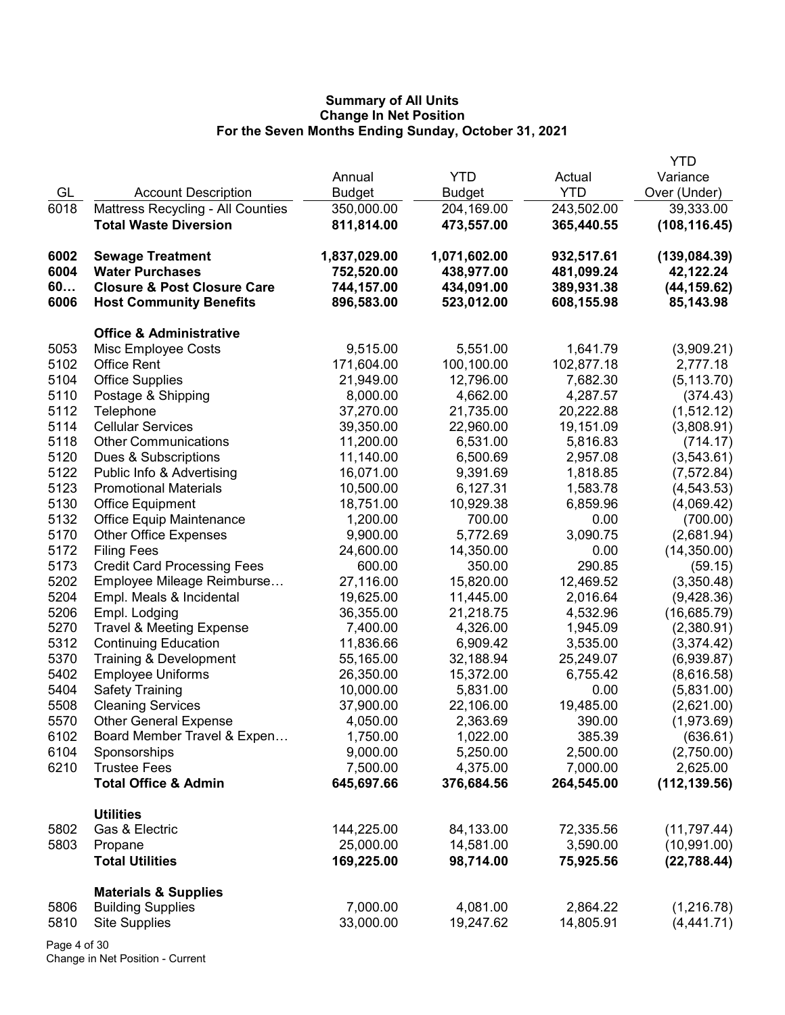|      |                                        |               |              |            | <b>YTD</b>    |
|------|----------------------------------------|---------------|--------------|------------|---------------|
|      |                                        | Annual        | <b>YTD</b>   | Actual     | Variance      |
| GL   | <b>Account Description</b>             | <b>Budget</b> | Budget       | <b>YTD</b> | Over (Under)  |
| 6018 | Mattress Recycling - All Counties      | 350,000.00    | 204,169.00   | 243,502.00 | 39,333.00     |
|      | <b>Total Waste Diversion</b>           | 811,814.00    | 473,557.00   | 365,440.55 | (108, 116.45) |
| 6002 | <b>Sewage Treatment</b>                | 1,837,029.00  | 1,071,602.00 | 932,517.61 | (139, 084.39) |
| 6004 | <b>Water Purchases</b>                 | 752,520.00    | 438,977.00   | 481,099.24 | 42,122.24     |
| 60   | <b>Closure &amp; Post Closure Care</b> | 744,157.00    | 434,091.00   | 389,931.38 | (44, 159.62)  |
| 6006 | <b>Host Community Benefits</b>         | 896,583.00    | 523,012.00   | 608,155.98 | 85,143.98     |
|      | <b>Office &amp; Administrative</b>     |               |              |            |               |
| 5053 | Misc Employee Costs                    | 9,515.00      | 5,551.00     | 1,641.79   | (3,909.21)    |
| 5102 | <b>Office Rent</b>                     | 171,604.00    | 100,100.00   | 102,877.18 | 2,777.18      |
| 5104 | <b>Office Supplies</b>                 | 21,949.00     | 12,796.00    | 7,682.30   | (5, 113.70)   |
| 5110 | Postage & Shipping                     | 8,000.00      | 4,662.00     | 4,287.57   | (374.43)      |
| 5112 | Telephone                              | 37,270.00     | 21,735.00    | 20,222.88  | (1, 512.12)   |
| 5114 | <b>Cellular Services</b>               | 39,350.00     | 22,960.00    | 19,151.09  | (3,808.91)    |
| 5118 | <b>Other Communications</b>            | 11,200.00     | 6,531.00     | 5,816.83   | (714.17)      |
| 5120 | Dues & Subscriptions                   | 11,140.00     | 6,500.69     | 2,957.08   | (3,543.61)    |
| 5122 | Public Info & Advertising              | 16,071.00     | 9,391.69     | 1,818.85   | (7, 572.84)   |
| 5123 | <b>Promotional Materials</b>           | 10,500.00     | 6,127.31     | 1,583.78   | (4, 543.53)   |
| 5130 | Office Equipment                       | 18,751.00     | 10,929.38    | 6,859.96   | (4,069.42)    |
| 5132 | <b>Office Equip Maintenance</b>        | 1,200.00      | 700.00       | 0.00       | (700.00)      |
| 5170 | <b>Other Office Expenses</b>           | 9,900.00      | 5,772.69     | 3,090.75   | (2,681.94)    |
| 5172 | <b>Filing Fees</b>                     | 24,600.00     | 14,350.00    | 0.00       | (14, 350.00)  |
| 5173 | <b>Credit Card Processing Fees</b>     | 600.00        | 350.00       | 290.85     | (59.15)       |
| 5202 | Employee Mileage Reimburse             | 27,116.00     | 15,820.00    | 12,469.52  | (3,350.48)    |
| 5204 | Empl. Meals & Incidental               | 19,625.00     | 11,445.00    | 2,016.64   | (9,428.36)    |
| 5206 | Empl. Lodging                          | 36,355.00     | 21,218.75    | 4,532.96   | (16,685.79)   |
| 5270 | <b>Travel &amp; Meeting Expense</b>    | 7,400.00      | 4,326.00     | 1,945.09   | (2,380.91)    |
| 5312 | <b>Continuing Education</b>            | 11,836.66     | 6,909.42     | 3,535.00   | (3,374.42)    |
| 5370 | Training & Development                 | 55,165.00     | 32,188.94    | 25,249.07  | (6,939.87)    |
| 5402 | <b>Employee Uniforms</b>               | 26,350.00     | 15,372.00    | 6,755.42   | (8,616.58)    |
| 5404 | <b>Safety Training</b>                 | 10,000.00     | 5,831.00     | 0.00       | (5,831.00)    |
| 5508 | <b>Cleaning Services</b>               | 37,900.00     | 22,106.00    | 19,485.00  | (2,621.00)    |
| 5570 | <b>Other General Expense</b>           | 4,050.00      | 2,363.69     | 390.00     | (1,973.69)    |
| 6102 | Board Member Travel & Expen            | 1,750.00      | 1,022.00     | 385.39     | (636.61)      |
| 6104 | Sponsorships                           | 9,000.00      | 5,250.00     | 2,500.00   | (2,750.00)    |
| 6210 | <b>Trustee Fees</b>                    | 7,500.00      | 4,375.00     | 7,000.00   | 2,625.00      |
|      | <b>Total Office &amp; Admin</b>        | 645,697.66    | 376,684.56   | 264,545.00 | (112, 139.56) |
|      | <b>Utilities</b>                       |               |              |            |               |
| 5802 | Gas & Electric                         | 144,225.00    | 84,133.00    | 72,335.56  | (11, 797.44)  |
| 5803 | Propane                                | 25,000.00     | 14,581.00    | 3,590.00   | (10,991.00)   |
|      | <b>Total Utilities</b>                 | 169,225.00    | 98,714.00    | 75,925.56  | (22, 788.44)  |
|      | <b>Materials &amp; Supplies</b>        |               |              |            |               |
| 5806 | <b>Building Supplies</b>               | 7,000.00      | 4,081.00     | 2,864.22   | (1,216.78)    |
| 5810 | <b>Site Supplies</b>                   | 33,000.00     | 19,247.62    | 14,805.91  | (4,441.71)    |
|      |                                        |               |              |            |               |

Page 4 of 30 Change in Net Position - Current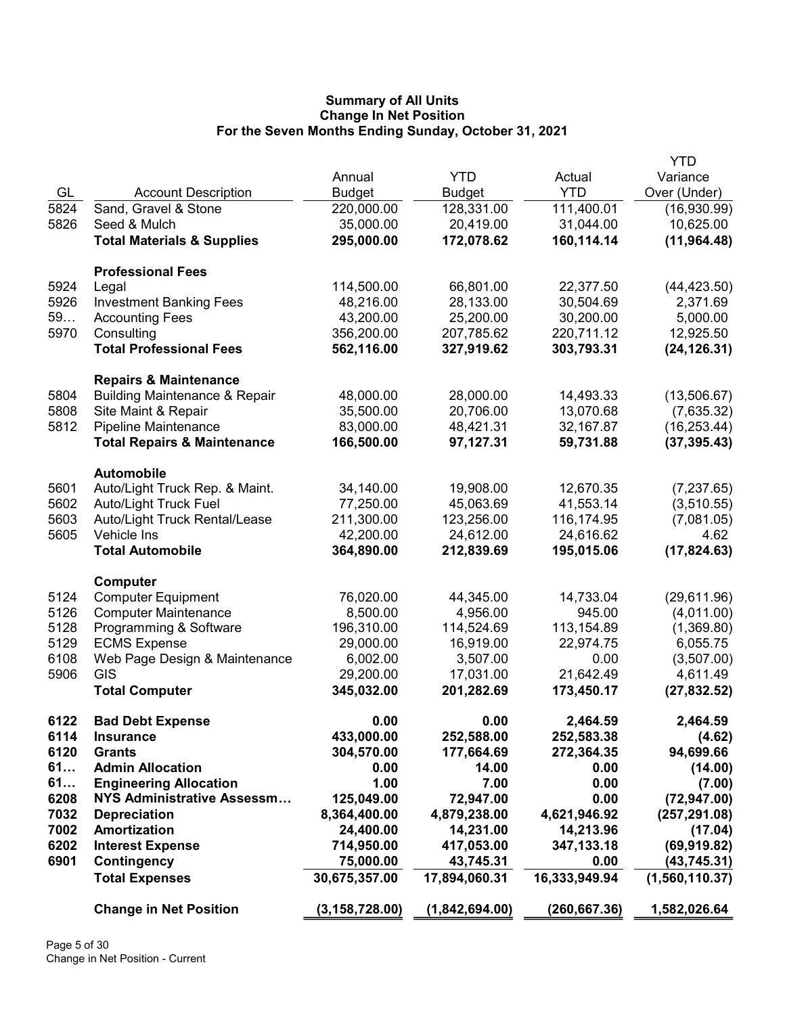|      |                                                                              |                  |                |               | <b>YTD</b>     |
|------|------------------------------------------------------------------------------|------------------|----------------|---------------|----------------|
|      |                                                                              | Annual           | <b>YTD</b>     | Actual        | Variance       |
| GL   | <b>Account Description</b>                                                   | <b>Budget</b>    | <b>Budget</b>  | <b>YTD</b>    | Over (Under)   |
| 5824 | Sand, Gravel & Stone                                                         | 220,000.00       | 128,331.00     | 111,400.01    | (16,930.99)    |
| 5826 | Seed & Mulch                                                                 | 35,000.00        | 20,419.00      | 31,044.00     | 10,625.00      |
|      | <b>Total Materials &amp; Supplies</b>                                        | 295,000.00       | 172,078.62     | 160,114.14    | (11, 964.48)   |
|      |                                                                              |                  |                |               |                |
|      | <b>Professional Fees</b>                                                     |                  |                |               |                |
| 5924 | Legal                                                                        | 114,500.00       | 66,801.00      | 22,377.50     | (44, 423.50)   |
| 5926 | <b>Investment Banking Fees</b>                                               | 48,216.00        | 28,133.00      | 30,504.69     | 2,371.69       |
| 59   | <b>Accounting Fees</b>                                                       | 43,200.00        | 25,200.00      | 30,200.00     | 5,000.00       |
| 5970 | Consulting                                                                   | 356,200.00       | 207,785.62     | 220,711.12    | 12,925.50      |
|      | <b>Total Professional Fees</b>                                               | 562,116.00       | 327,919.62     | 303,793.31    | (24, 126.31)   |
|      |                                                                              |                  |                |               |                |
| 5804 | <b>Repairs &amp; Maintenance</b><br><b>Building Maintenance &amp; Repair</b> | 48,000.00        | 28,000.00      | 14,493.33     | (13,506.67)    |
| 5808 | Site Maint & Repair                                                          | 35,500.00        | 20,706.00      | 13,070.68     | (7,635.32)     |
| 5812 | Pipeline Maintenance                                                         | 83,000.00        | 48,421.31      | 32,167.87     |                |
|      |                                                                              |                  |                |               | (16, 253.44)   |
|      | <b>Total Repairs &amp; Maintenance</b>                                       | 166,500.00       | 97,127.31      | 59,731.88     | (37, 395.43)   |
|      | <b>Automobile</b>                                                            |                  |                |               |                |
| 5601 | Auto/Light Truck Rep. & Maint.                                               | 34,140.00        | 19,908.00      | 12,670.35     | (7, 237.65)    |
| 5602 | <b>Auto/Light Truck Fuel</b>                                                 | 77,250.00        | 45,063.69      | 41,553.14     | (3,510.55)     |
| 5603 | Auto/Light Truck Rental/Lease                                                | 211,300.00       | 123,256.00     | 116,174.95    | (7,081.05)     |
| 5605 | Vehicle Ins                                                                  | 42,200.00        | 24,612.00      | 24,616.62     | 4.62           |
|      | <b>Total Automobile</b>                                                      | 364,890.00       | 212,839.69     | 195,015.06    | (17, 824.63)   |
|      | Computer                                                                     |                  |                |               |                |
| 5124 | <b>Computer Equipment</b>                                                    | 76,020.00        |                | 14,733.04     | (29,611.96)    |
|      |                                                                              |                  | 44,345.00      |               |                |
| 5126 | <b>Computer Maintenance</b>                                                  | 8,500.00         | 4,956.00       | 945.00        | (4,011.00)     |
| 5128 | Programming & Software                                                       | 196,310.00       | 114,524.69     | 113,154.89    | (1,369.80)     |
| 5129 | <b>ECMS Expense</b>                                                          | 29,000.00        | 16,919.00      | 22,974.75     | 6,055.75       |
| 6108 | Web Page Design & Maintenance                                                | 6,002.00         | 3,507.00       | 0.00          | (3,507.00)     |
| 5906 | GIS                                                                          | 29,200.00        | 17,031.00      | 21,642.49     | 4,611.49       |
|      | <b>Total Computer</b>                                                        | 345,032.00       | 201,282.69     | 173,450.17    | (27, 832.52)   |
| 6122 | <b>Bad Debt Expense</b>                                                      | 0.00             | 0.00           | 2,464.59      | 2,464.59       |
| 6114 | <b>Insurance</b>                                                             | 433,000.00       | 252,588.00     | 252,583.38    | (4.62)         |
| 6120 | <b>Grants</b>                                                                | 304,570.00       | 177,664.69     | 272,364.35    | 94,699.66      |
| 61   | <b>Admin Allocation</b>                                                      | 0.00             | 14.00          | 0.00          | (14.00)        |
| 61   | <b>Engineering Allocation</b>                                                | 1.00             | 7.00           | 0.00          | (7.00)         |
| 6208 | <b>NYS Administrative Assessm</b>                                            | 125,049.00       | 72,947.00      | 0.00          | (72, 947.00)   |
| 7032 | <b>Depreciation</b>                                                          | 8,364,400.00     | 4,879,238.00   | 4,621,946.92  | (257, 291.08)  |
| 7002 | <b>Amortization</b>                                                          | 24,400.00        | 14,231.00      | 14,213.96     | (17.04)        |
| 6202 |                                                                              | 714,950.00       | 417,053.00     | 347, 133. 18  | (69, 919.82)   |
|      | <b>Interest Expense</b>                                                      |                  |                |               |                |
| 6901 | Contingency                                                                  | 75,000.00        | 43,745.31      | 0.00          | (43, 745.31)   |
|      | <b>Total Expenses</b>                                                        | 30,675,357.00    | 17,894,060.31  | 16,333,949.94 | (1,560,110.37) |
|      | <b>Change in Net Position</b>                                                | (3, 158, 728.00) | (1,842,694.00) | (260, 667.36) | 1,582,026.64   |
|      |                                                                              |                  |                |               |                |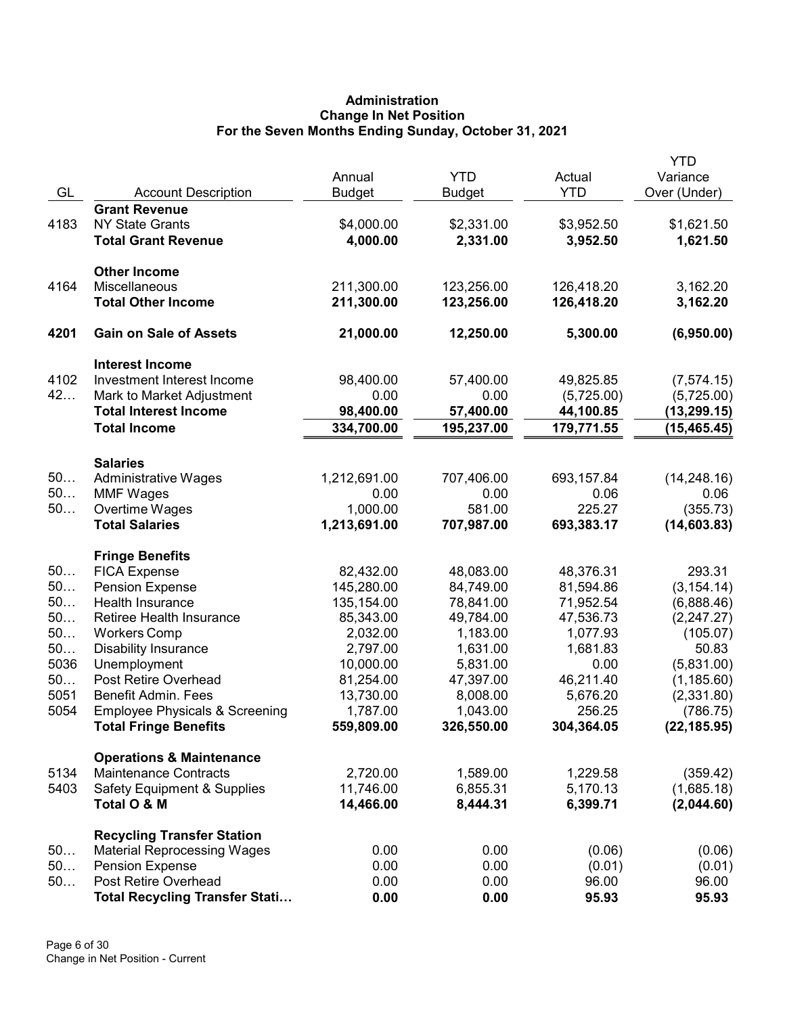# Administration Change In Net Position For the Seven Months Ending Sunday, October 31, 2021

|            |                                           | Annual                 | <b>YTD</b>            | Actual                | <b>YTD</b><br>Variance    |
|------------|-------------------------------------------|------------------------|-----------------------|-----------------------|---------------------------|
| GL         | <b>Account Description</b>                | <b>Budget</b>          | <b>Budget</b>         | <b>YTD</b>            | Over (Under)              |
|            | <b>Grant Revenue</b>                      |                        |                       |                       |                           |
| 4183       | <b>NY State Grants</b>                    | \$4,000.00             | \$2,331.00            | \$3,952.50            | \$1,621.50                |
|            | <b>Total Grant Revenue</b>                | 4,000.00               | 2,331.00              | 3,952.50              | 1,621.50                  |
|            | <b>Other Income</b>                       |                        |                       |                       |                           |
| 4164       | Miscellaneous                             | 211,300.00             | 123,256.00            | 126,418.20            | 3,162.20                  |
|            | <b>Total Other Income</b>                 | 211,300.00             | 123,256.00            | 126,418.20            | 3,162.20                  |
| 4201       | <b>Gain on Sale of Assets</b>             | 21,000.00              | 12,250.00             | 5,300.00              | (6,950.00)                |
|            | <b>Interest Income</b>                    |                        |                       |                       |                           |
| 4102       | Investment Interest Income                | 98,400.00              | 57,400.00             | 49,825.85             | (7,574.15)                |
| 42         | Mark to Market Adjustment                 | 0.00                   | 0.00                  | (5,725.00)            | (5,725.00)                |
|            | <b>Total Interest Income</b>              | 98,400.00              | 57,400.00             | 44,100.85             | (13, 299.15)              |
|            | <b>Total Income</b>                       | 334,700.00             | 195,237.00            | 179,771.55            | (15, 465.45)              |
|            | <b>Salaries</b>                           |                        |                       |                       |                           |
| 50         | <b>Administrative Wages</b>               | 1,212,691.00           | 707,406.00            | 693,157.84            | (14, 248.16)              |
| 50         | <b>MMF Wages</b>                          | 0.00                   | 0.00                  | 0.06                  | 0.06                      |
| 50         | Overtime Wages                            | 1,000.00               | 581.00                | 225.27                | (355.73)                  |
|            | <b>Total Salaries</b>                     | 1,213,691.00           | 707,987.00            | 693,383.17            | (14, 603.83)              |
|            | <b>Fringe Benefits</b>                    |                        |                       |                       |                           |
| 50         | <b>FICA Expense</b>                       | 82,432.00              | 48,083.00             | 48,376.31             | 293.31                    |
| 50         | <b>Pension Expense</b>                    | 145,280.00             | 84,749.00             | 81,594.86             | (3, 154.14)               |
| 50         | Health Insurance                          | 135,154.00             | 78,841.00             | 71,952.54             | (6,888.46)                |
| 50         | Retiree Health Insurance                  | 85,343.00              | 49,784.00             | 47,536.73             | (2,247.27)                |
| 50         | <b>Workers Comp</b>                       | 2,032.00               | 1,183.00              | 1,077.93              | (105.07)                  |
| 50         | <b>Disability Insurance</b>               | 2,797.00               | 1,631.00              | 1,681.83              | 50.83                     |
| 5036       | Unemployment<br>Post Retire Overhead      | 10,000.00              | 5,831.00              | 0.00                  | (5,831.00)                |
| 50<br>5051 | Benefit Admin. Fees                       | 81,254.00<br>13,730.00 | 47,397.00<br>8,008.00 | 46,211.40<br>5,676.20 | (1, 185.60)<br>(2,331.80) |
| 5054       | <b>Employee Physicals &amp; Screening</b> | 1,787.00               | 1,043.00              | 256.25                | (786.75)                  |
|            | <b>Total Fringe Benefits</b>              | 559,809.00             | 326,550.00            | 304,364.05            | (22, 185.95)              |
|            | <b>Operations &amp; Maintenance</b>       |                        |                       |                       |                           |
| 5134       | <b>Maintenance Contracts</b>              | 2,720.00               | 1,589.00              | 1,229.58              | (359.42)                  |
| 5403       | <b>Safety Equipment &amp; Supplies</b>    | 11,746.00              | 6,855.31              | 5,170.13              | (1,685.18)                |
|            | Total O & M                               | 14,466.00              | 8,444.31              | 6,399.71              | (2,044.60)                |
|            | <b>Recycling Transfer Station</b>         |                        |                       |                       |                           |
| 50         | <b>Material Reprocessing Wages</b>        | 0.00                   | 0.00                  | (0.06)                | (0.06)                    |
| 50         | <b>Pension Expense</b>                    | 0.00                   | 0.00                  | (0.01)                | (0.01)                    |
| 50         | Post Retire Overhead                      | 0.00                   | 0.00                  | 96.00                 | 96.00                     |
|            | <b>Total Recycling Transfer Stati</b>     | 0.00                   | 0.00                  | 95.93                 | 95.93                     |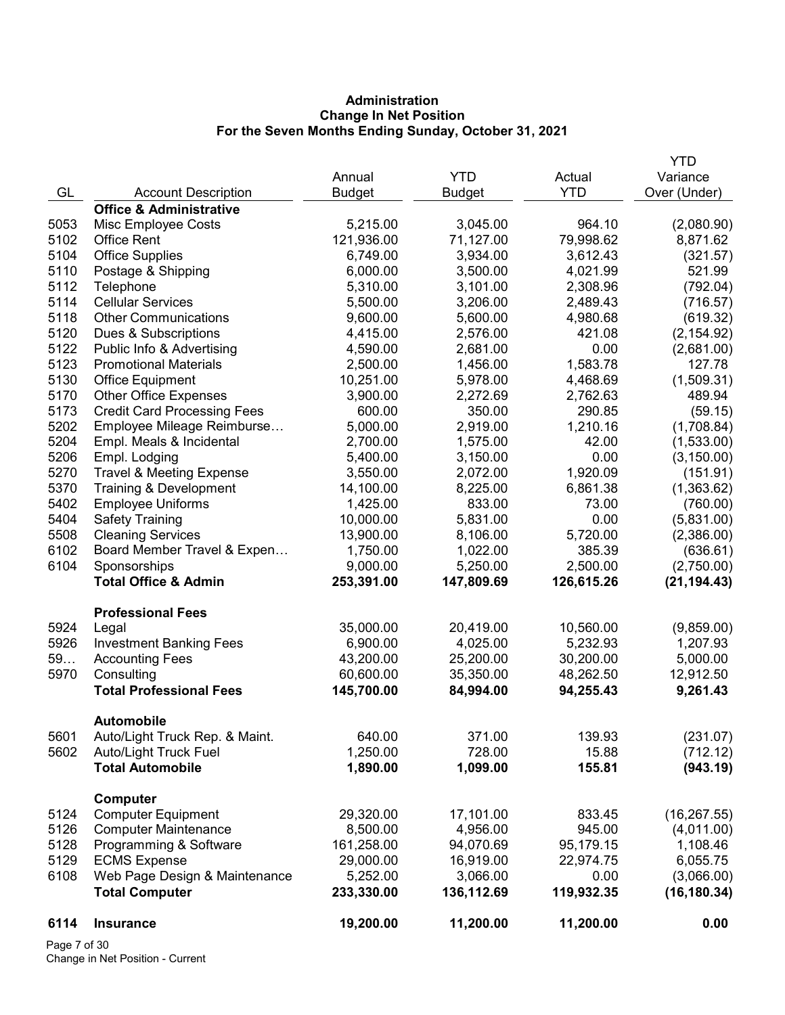# Administration Change In Net Position For the Seven Months Ending Sunday, October 31, 2021

|      |                                     |               |               |            | YTD          |
|------|-------------------------------------|---------------|---------------|------------|--------------|
|      |                                     | Annual        | <b>YTD</b>    | Actual     | Variance     |
| GL   | <b>Account Description</b>          | <b>Budget</b> | <b>Budget</b> | <b>YTD</b> | Over (Under) |
|      | <b>Office &amp; Administrative</b>  |               |               |            |              |
| 5053 | Misc Employee Costs                 | 5,215.00      | 3,045.00      | 964.10     | (2,080.90)   |
| 5102 | <b>Office Rent</b>                  | 121,936.00    | 71,127.00     | 79,998.62  | 8,871.62     |
| 5104 | <b>Office Supplies</b>              | 6,749.00      | 3,934.00      | 3,612.43   | (321.57)     |
| 5110 | Postage & Shipping                  | 6,000.00      | 3,500.00      | 4,021.99   | 521.99       |
| 5112 | Telephone                           | 5,310.00      | 3,101.00      | 2,308.96   | (792.04)     |
| 5114 | <b>Cellular Services</b>            | 5,500.00      | 3,206.00      | 2,489.43   | (716.57)     |
| 5118 | <b>Other Communications</b>         | 9,600.00      | 5,600.00      | 4,980.68   | (619.32)     |
| 5120 | Dues & Subscriptions                | 4,415.00      | 2,576.00      | 421.08     | (2, 154.92)  |
| 5122 | Public Info & Advertising           | 4,590.00      | 2,681.00      | 0.00       | (2,681.00)   |
| 5123 | <b>Promotional Materials</b>        | 2,500.00      | 1,456.00      | 1,583.78   | 127.78       |
| 5130 | <b>Office Equipment</b>             | 10,251.00     | 5,978.00      | 4,468.69   | (1,509.31)   |
| 5170 | <b>Other Office Expenses</b>        | 3,900.00      | 2,272.69      | 2,762.63   | 489.94       |
| 5173 | <b>Credit Card Processing Fees</b>  | 600.00        | 350.00        | 290.85     | (59.15)      |
| 5202 | Employee Mileage Reimburse          | 5,000.00      | 2,919.00      | 1,210.16   | (1,708.84)   |
| 5204 | Empl. Meals & Incidental            | 2,700.00      | 1,575.00      | 42.00      | (1,533.00)   |
| 5206 | Empl. Lodging                       | 5,400.00      | 3,150.00      | 0.00       | (3, 150.00)  |
| 5270 | <b>Travel &amp; Meeting Expense</b> | 3,550.00      | 2,072.00      | 1,920.09   | (151.91)     |
| 5370 | Training & Development              | 14,100.00     | 8,225.00      | 6,861.38   | (1,363.62)   |
| 5402 | <b>Employee Uniforms</b>            | 1,425.00      | 833.00        | 73.00      | (760.00)     |
| 5404 | <b>Safety Training</b>              | 10,000.00     | 5,831.00      | 0.00       | (5,831.00)   |
| 5508 | <b>Cleaning Services</b>            | 13,900.00     | 8,106.00      | 5,720.00   | (2,386.00)   |
| 6102 | Board Member Travel & Expen         | 1,750.00      | 1,022.00      | 385.39     | (636.61)     |
| 6104 | Sponsorships                        | 9,000.00      | 5,250.00      | 2,500.00   | (2,750.00)   |
|      | <b>Total Office &amp; Admin</b>     | 253,391.00    | 147,809.69    | 126,615.26 | (21, 194.43) |
|      |                                     |               |               |            |              |
|      | <b>Professional Fees</b>            |               |               |            |              |
| 5924 | Legal                               | 35,000.00     | 20,419.00     | 10,560.00  | (9,859.00)   |
| 5926 | <b>Investment Banking Fees</b>      | 6,900.00      | 4,025.00      | 5,232.93   | 1,207.93     |
| 59   | <b>Accounting Fees</b>              | 43,200.00     | 25,200.00     | 30,200.00  | 5,000.00     |
| 5970 | Consulting                          | 60,600.00     | 35,350.00     | 48,262.50  | 12,912.50    |
|      | <b>Total Professional Fees</b>      | 145,700.00    | 84,994.00     | 94,255.43  | 9,261.43     |
|      |                                     |               |               |            |              |
|      | <b>Automobile</b>                   |               |               |            |              |
| 5601 | Auto/Light Truck Rep. & Maint.      | 640.00        | 371.00        | 139.93     | (231.07)     |
| 5602 | Auto/Light Truck Fuel               | 1,250.00      | 728.00        | 15.88      | (712.12)     |
|      | <b>Total Automobile</b>             | 1,890.00      | 1,099.00      | 155.81     | (943.19)     |
|      |                                     |               |               |            |              |
|      | <b>Computer</b>                     |               |               |            |              |
| 5124 | <b>Computer Equipment</b>           | 29,320.00     | 17,101.00     | 833.45     | (16, 267.55) |
| 5126 | <b>Computer Maintenance</b>         | 8,500.00      | 4,956.00      | 945.00     | (4,011.00)   |
| 5128 | Programming & Software              | 161,258.00    | 94,070.69     | 95,179.15  | 1,108.46     |
| 5129 | <b>ECMS Expense</b>                 | 29,000.00     | 16,919.00     | 22,974.75  | 6,055.75     |
| 6108 | Web Page Design & Maintenance       | 5,252.00      | 3,066.00      | 0.00       | (3,066.00)   |
|      | <b>Total Computer</b>               | 233,330.00    | 136,112.69    | 119,932.35 | (16, 180.34) |
| 6114 | <b>Insurance</b>                    | 19,200.00     | 11,200.00     | 11,200.00  | 0.00         |
|      |                                     |               |               |            |              |

Page 7 of 30 Change in Net Position - Current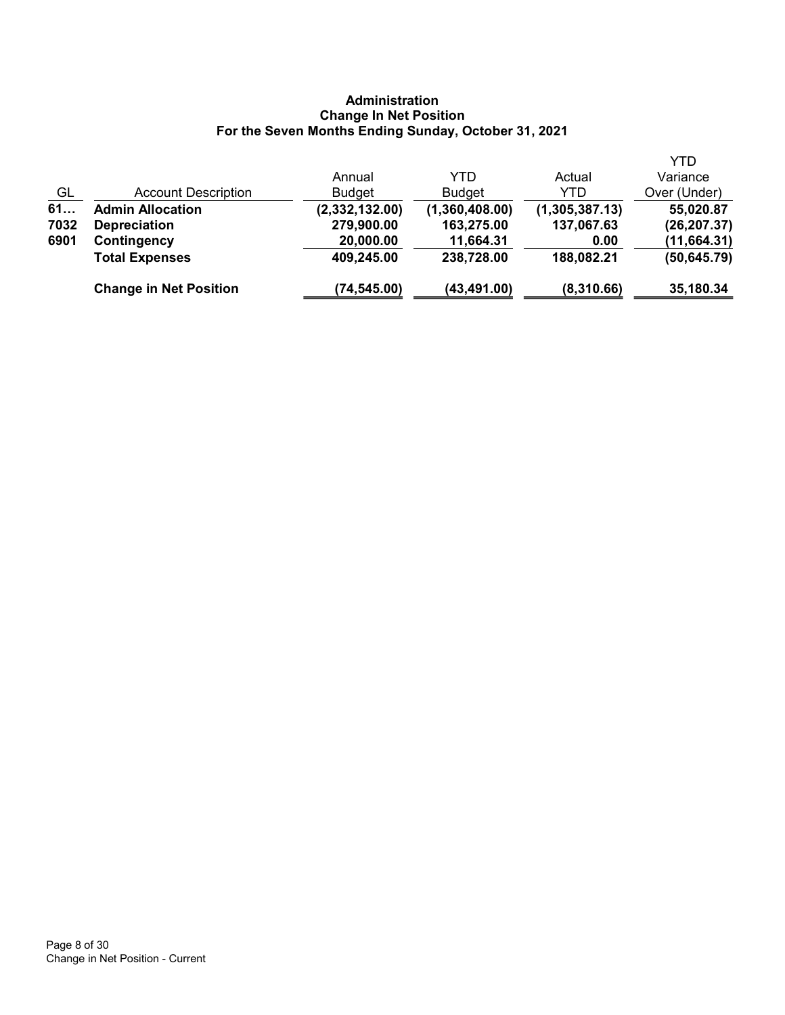# Administration Change In Net Position For the Seven Months Ending Sunday, October 31, 2021

|      |                               |                |                |                | <b>YTD</b>   |
|------|-------------------------------|----------------|----------------|----------------|--------------|
|      |                               | Annual         | YTD            | Actual         | Variance     |
| GL   | <b>Account Description</b>    | <b>Budget</b>  | <b>Budget</b>  | YTD            | Over (Under) |
| 61   | <b>Admin Allocation</b>       | (2,332,132.00) | (1,360,408.00) | (1,305,387.13) | 55,020.87    |
| 7032 | <b>Depreciation</b>           | 279,900.00     | 163,275.00     | 137,067.63     | (26, 207.37) |
| 6901 | Contingency                   | 20,000.00      | 11,664.31      | 0.00           | (11, 664.31) |
|      | <b>Total Expenses</b>         | 409,245.00     | 238,728.00     | 188,082.21     | (50, 645.79) |
|      | <b>Change in Net Position</b> | (74, 545.00)   | (43,491.00)    | (8,310.66)     | 35,180.34    |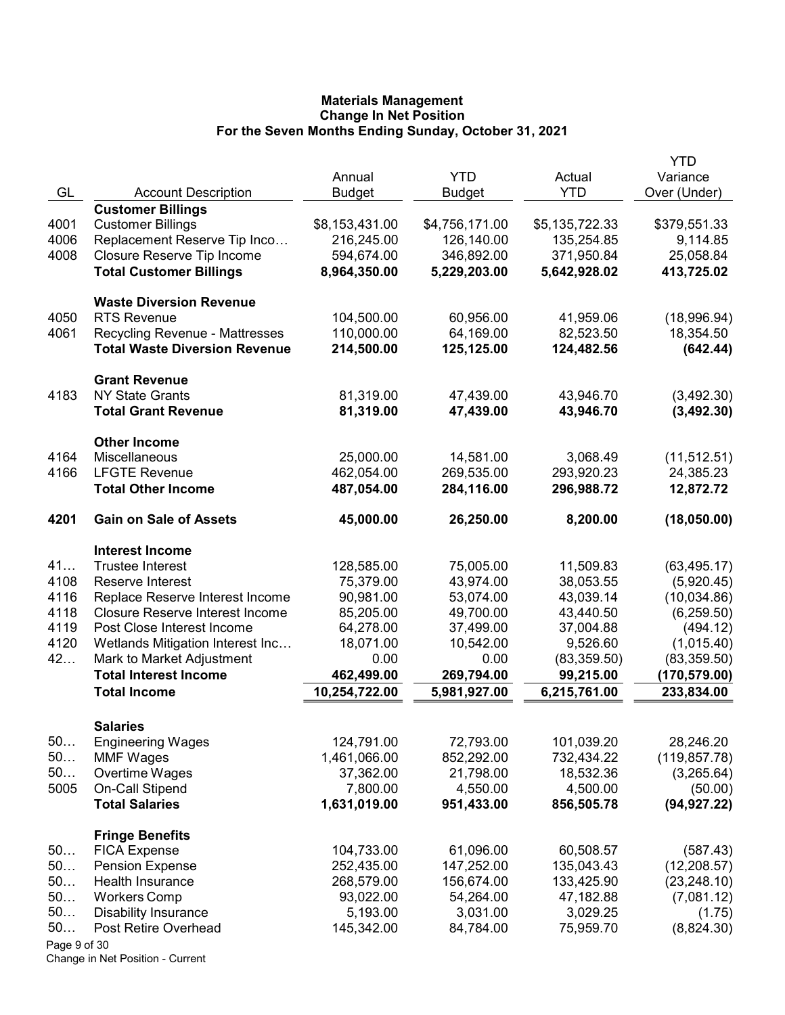|              |                                        |                |                |                | <b>YTD</b>    |
|--------------|----------------------------------------|----------------|----------------|----------------|---------------|
|              |                                        | Annual         | <b>YTD</b>     | Actual         | Variance      |
| GL           | <b>Account Description</b>             | <b>Budget</b>  | <b>Budget</b>  | <b>YTD</b>     | Over (Under)  |
|              | <b>Customer Billings</b>               |                |                |                |               |
| 4001         | <b>Customer Billings</b>               | \$8,153,431.00 | \$4,756,171.00 | \$5,135,722.33 | \$379,551.33  |
| 4006         | Replacement Reserve Tip Inco           | 216,245.00     | 126,140.00     | 135,254.85     | 9,114.85      |
| 4008         | Closure Reserve Tip Income             | 594,674.00     | 346,892.00     | 371,950.84     | 25,058.84     |
|              | <b>Total Customer Billings</b>         | 8,964,350.00   | 5,229,203.00   | 5,642,928.02   | 413,725.02    |
|              | <b>Waste Diversion Revenue</b>         |                |                |                |               |
| 4050         | <b>RTS Revenue</b>                     | 104,500.00     | 60,956.00      | 41,959.06      | (18,996.94)   |
| 4061         | <b>Recycling Revenue - Mattresses</b>  | 110,000.00     | 64,169.00      | 82,523.50      | 18,354.50     |
|              | <b>Total Waste Diversion Revenue</b>   | 214,500.00     | 125,125.00     | 124,482.56     | (642.44)      |
|              | <b>Grant Revenue</b>                   |                |                |                |               |
| 4183         | <b>NY State Grants</b>                 | 81,319.00      | 47,439.00      | 43,946.70      | (3,492.30)    |
|              | <b>Total Grant Revenue</b>             | 81,319.00      | 47,439.00      | 43,946.70      | (3,492.30)    |
|              | <b>Other Income</b>                    |                |                |                |               |
| 4164         | Miscellaneous                          | 25,000.00      | 14,581.00      | 3,068.49       | (11, 512.51)  |
| 4166         | <b>LFGTE Revenue</b>                   | 462,054.00     | 269,535.00     | 293,920.23     | 24,385.23     |
|              | <b>Total Other Income</b>              | 487,054.00     | 284,116.00     | 296,988.72     | 12,872.72     |
| 4201         | <b>Gain on Sale of Assets</b>          | 45,000.00      | 26,250.00      | 8,200.00       | (18,050.00)   |
|              | <b>Interest Income</b>                 |                |                |                |               |
| 41           | <b>Trustee Interest</b>                | 128,585.00     | 75,005.00      | 11,509.83      | (63, 495.17)  |
| 4108         | Reserve Interest                       | 75,379.00      | 43,974.00      | 38,053.55      | (5,920.45)    |
| 4116         | Replace Reserve Interest Income        | 90,981.00      | 53,074.00      | 43,039.14      | (10,034.86)   |
| 4118         | <b>Closure Reserve Interest Income</b> | 85,205.00      | 49,700.00      | 43,440.50      | (6, 259.50)   |
| 4119         | Post Close Interest Income             | 64,278.00      | 37,499.00      | 37,004.88      | (494.12)      |
| 4120         | Wetlands Mitigation Interest Inc       | 18,071.00      | 10,542.00      | 9,526.60       | (1,015.40)    |
| 42           | Mark to Market Adjustment              | 0.00           | 0.00           | (83, 359.50)   | (83, 359.50)  |
|              | <b>Total Interest Income</b>           | 462,499.00     | 269,794.00     | 99,215.00      | (170,579.00)  |
|              | <b>Total Income</b>                    | 10,254,722.00  | 5,981,927.00   | 6,215,761.00   | 233,834.00    |
|              | <b>Salaries</b>                        |                |                |                |               |
| 50           | <b>Engineering Wages</b>               | 124,791.00     | 72,793.00      | 101,039.20     | 28,246.20     |
| 50           | <b>MMF Wages</b>                       | 1,461,066.00   | 852,292.00     | 732,434.22     | (119, 857.78) |
| 50           | Overtime Wages                         | 37,362.00      | 21,798.00      | 18,532.36      | (3,265.64)    |
| 5005         | On-Call Stipend                        | 7,800.00       | 4,550.00       | 4,500.00       | (50.00)       |
|              | <b>Total Salaries</b>                  | 1,631,019.00   | 951,433.00     | 856,505.78     | (94, 927.22)  |
|              | <b>Fringe Benefits</b>                 |                |                |                |               |
| 50           | <b>FICA Expense</b>                    | 104,733.00     | 61,096.00      | 60,508.57      | (587.43)      |
| 50           | <b>Pension Expense</b>                 | 252,435.00     | 147,252.00     | 135,043.43     | (12, 208.57)  |
| 50           | <b>Health Insurance</b>                | 268,579.00     | 156,674.00     | 133,425.90     | (23, 248.10)  |
| 50           | <b>Workers Comp</b>                    | 93,022.00      | 54,264.00      | 47,182.88      | (7,081.12)    |
| 50           | <b>Disability Insurance</b>            | 5,193.00       | 3,031.00       | 3,029.25       | (1.75)        |
| 50           | Post Retire Overhead                   | 145,342.00     | 84,784.00      | 75,959.70      | (8,824.30)    |
| Page 9 of 30 |                                        |                |                |                |               |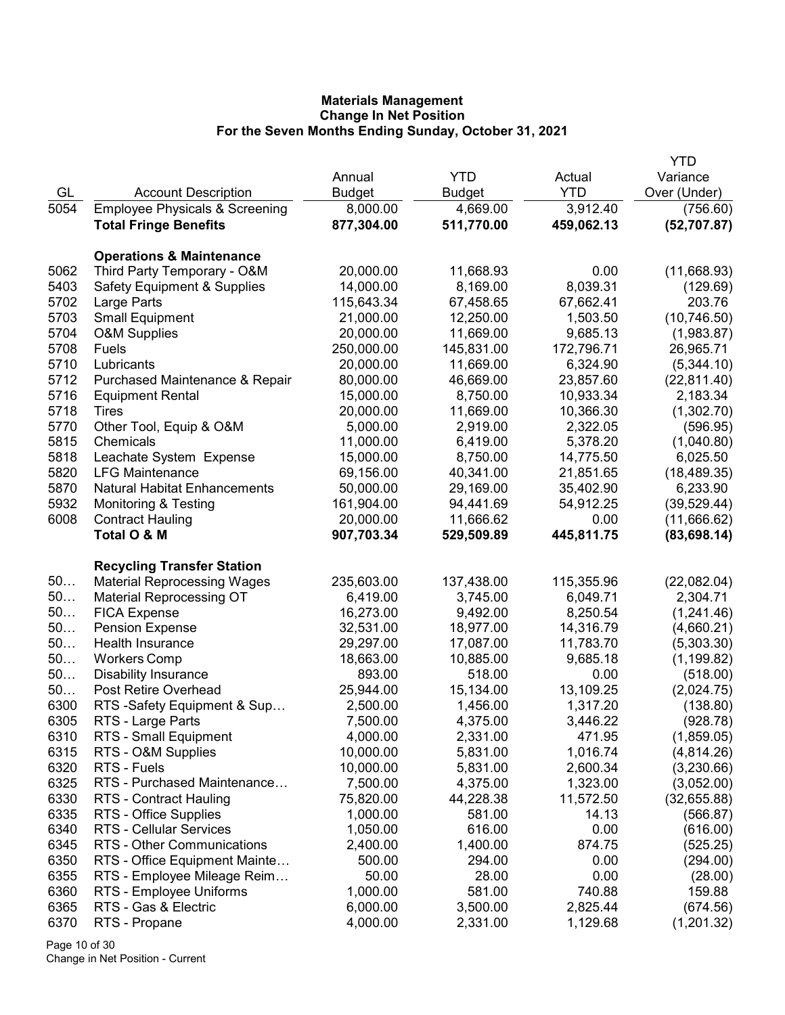|      |                                           |               |               |            | <b>YTD</b>   |
|------|-------------------------------------------|---------------|---------------|------------|--------------|
|      |                                           | Annual        | <b>YTD</b>    | Actual     | Variance     |
| GL   | <b>Account Description</b>                | <b>Budget</b> | <b>Budget</b> | <b>YTD</b> | Over (Under) |
| 5054 | <b>Employee Physicals &amp; Screening</b> | 8,000.00      | 4,669.00      | 3,912.40   | (756.60)     |
|      | <b>Total Fringe Benefits</b>              | 877,304.00    | 511,770.00    | 459,062.13 | (52, 707.87) |
|      |                                           |               |               |            |              |
|      | <b>Operations &amp; Maintenance</b>       |               |               |            |              |
| 5062 | Third Party Temporary - O&M               | 20,000.00     | 11,668.93     | 0.00       | (11,668.93)  |
| 5403 | <b>Safety Equipment &amp; Supplies</b>    | 14,000.00     | 8,169.00      | 8,039.31   | (129.69)     |
| 5702 | Large Parts                               | 115,643.34    | 67,458.65     | 67,662.41  | 203.76       |
| 5703 | <b>Small Equipment</b>                    | 21,000.00     | 12,250.00     | 1,503.50   | (10, 746.50) |
| 5704 | O&M Supplies                              | 20,000.00     | 11,669.00     | 9,685.13   | (1,983.87)   |
| 5708 | Fuels                                     | 250,000.00    | 145,831.00    | 172,796.71 | 26,965.71    |
| 5710 | Lubricants                                | 20,000.00     | 11,669.00     | 6,324.90   | (5,344.10)   |
| 5712 | Purchased Maintenance & Repair            | 80,000.00     | 46,669.00     | 23,857.60  | (22, 811.40) |
| 5716 | <b>Equipment Rental</b>                   | 15,000.00     | 8,750.00      | 10,933.34  | 2,183.34     |
| 5718 | Tires                                     | 20,000.00     | 11,669.00     | 10,366.30  | (1,302.70)   |
| 5770 | Other Tool, Equip & O&M                   | 5,000.00      | 2,919.00      | 2,322.05   | (596.95)     |
| 5815 | Chemicals                                 | 11,000.00     | 6,419.00      | 5,378.20   | (1,040.80)   |
| 5818 | Leachate System Expense                   | 15,000.00     | 8,750.00      | 14,775.50  | 6,025.50     |
| 5820 | <b>LFG Maintenance</b>                    | 69,156.00     | 40,341.00     | 21,851.65  | (18, 489.35) |
| 5870 | <b>Natural Habitat Enhancements</b>       | 50,000.00     | 29,169.00     | 35,402.90  | 6,233.90     |
| 5932 | <b>Monitoring &amp; Testing</b>           | 161,904.00    | 94,441.69     | 54,912.25  | (39, 529.44) |
| 6008 | <b>Contract Hauling</b>                   | 20,000.00     | 11,666.62     | 0.00       | (11,666.62)  |
|      | Total O & M                               | 907,703.34    | 529,509.89    | 445,811.75 | (83, 698.14) |
|      |                                           |               |               |            |              |
|      | <b>Recycling Transfer Station</b>         |               |               |            |              |
| 50   | <b>Material Reprocessing Wages</b>        | 235,603.00    | 137,438.00    | 115,355.96 | (22,082.04)  |
| 50   | <b>Material Reprocessing OT</b>           | 6,419.00      | 3,745.00      | 6,049.71   | 2,304.71     |
| 50   | <b>FICA Expense</b>                       | 16,273.00     | 9,492.00      | 8,250.54   | (1,241.46)   |
| 50   | <b>Pension Expense</b>                    | 32,531.00     | 18,977.00     | 14,316.79  | (4,660.21)   |
| 50   | Health Insurance                          | 29,297.00     | 17,087.00     | 11,783.70  | (5,303.30)   |
| 50   | <b>Workers Comp</b>                       | 18,663.00     | 10,885.00     | 9,685.18   | (1, 199.82)  |
| 50   | <b>Disability Insurance</b>               | 893.00        | 518.00        | 0.00       | (518.00)     |
| 50   | <b>Post Retire Overhead</b>               | 25,944.00     | 15,134.00     | 13,109.25  | (2,024.75)   |
| 6300 | RTS -Safety Equipment & Sup               | 2,500.00      | 1,456.00      | 1,317.20   | (138.80)     |
| 6305 | RTS - Large Parts                         | 7,500.00      | 4,375.00      | 3,446.22   | (928.78)     |
| 6310 | RTS - Small Equipment                     | 4,000.00      | 2,331.00      | 471.95     | (1,859.05)   |
| 6315 | RTS - O&M Supplies                        | 10,000.00     | 5,831.00      | 1,016.74   | (4,814.26)   |
| 6320 | RTS - Fuels                               | 10,000.00     | 5,831.00      | 2,600.34   | (3,230.66)   |
| 6325 | RTS - Purchased Maintenance               | 7,500.00      | 4,375.00      | 1,323.00   | (3,052.00)   |
| 6330 | <b>RTS - Contract Hauling</b>             | 75,820.00     | 44,228.38     | 11,572.50  | (32,655.88)  |
| 6335 | RTS - Office Supplies                     | 1,000.00      | 581.00        | 14.13      | (566.87)     |
| 6340 | RTS - Cellular Services                   | 1,050.00      | 616.00        | 0.00       | (616.00)     |
| 6345 | RTS - Other Communications                | 2,400.00      | 1,400.00      | 874.75     | (525.25)     |
| 6350 | RTS - Office Equipment Mainte             | 500.00        | 294.00        | 0.00       | (294.00)     |
| 6355 | RTS - Employee Mileage Reim               | 50.00         | 28.00         | 0.00       | (28.00)      |
| 6360 | RTS - Employee Uniforms                   | 1,000.00      | 581.00        | 740.88     | 159.88       |
| 6365 | RTS - Gas & Electric                      | 6,000.00      | 3,500.00      | 2,825.44   | (674.56)     |
| 6370 | RTS - Propane                             | 4,000.00      | 2,331.00      | 1,129.68   | (1,201.32)   |
|      |                                           |               |               |            |              |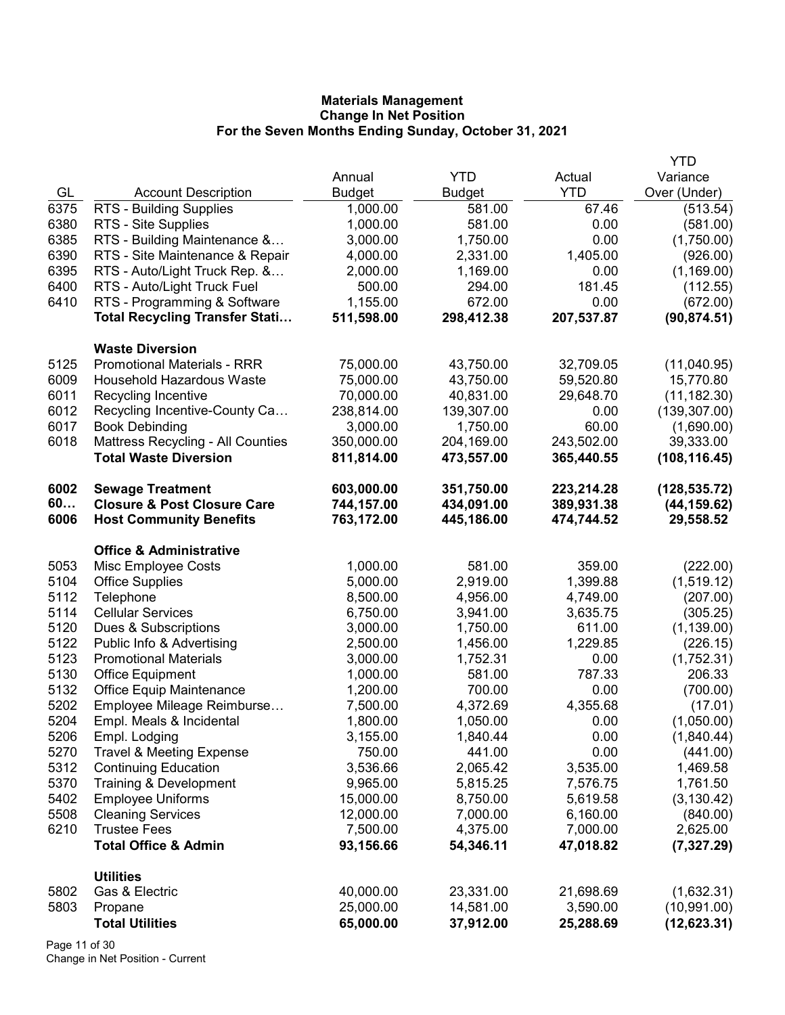|      |                                        |               |               |            | <b>YTD</b>    |
|------|----------------------------------------|---------------|---------------|------------|---------------|
|      |                                        | Annual        | <b>YTD</b>    | Actual     | Variance      |
| GL   | <b>Account Description</b>             | <b>Budget</b> | <b>Budget</b> | <b>YTD</b> | Over (Under)  |
| 6375 | RTS - Building Supplies                | 1,000.00      | 581.00        | 67.46      | (513.54)      |
| 6380 | RTS - Site Supplies                    | 1,000.00      | 581.00        | 0.00       | (581.00)      |
| 6385 | RTS - Building Maintenance &           | 3,000.00      | 1,750.00      | 0.00       | (1,750.00)    |
| 6390 | RTS - Site Maintenance & Repair        | 4,000.00      | 2,331.00      | 1,405.00   | (926.00)      |
| 6395 | RTS - Auto/Light Truck Rep. &          | 2,000.00      | 1,169.00      | 0.00       | (1, 169.00)   |
| 6400 | RTS - Auto/Light Truck Fuel            | 500.00        | 294.00        | 181.45     | (112.55)      |
| 6410 | RTS - Programming & Software           | 1,155.00      | 672.00        | 0.00       | (672.00)      |
|      | <b>Total Recycling Transfer Stati</b>  | 511,598.00    | 298,412.38    | 207,537.87 | (90, 874.51)  |
|      | <b>Waste Diversion</b>                 |               |               |            |               |
| 5125 | <b>Promotional Materials - RRR</b>     | 75,000.00     | 43,750.00     | 32,709.05  | (11,040.95)   |
| 6009 | Household Hazardous Waste              | 75,000.00     | 43,750.00     | 59,520.80  | 15,770.80     |
| 6011 | Recycling Incentive                    | 70,000.00     | 40,831.00     | 29,648.70  | (11, 182.30)  |
| 6012 | Recycling Incentive-County Ca          | 238,814.00    | 139,307.00    | 0.00       | (139, 307.00) |
| 6017 | <b>Book Debinding</b>                  | 3,000.00      | 1,750.00      | 60.00      | (1,690.00)    |
| 6018 | Mattress Recycling - All Counties      | 350,000.00    | 204,169.00    | 243,502.00 | 39,333.00     |
|      | <b>Total Waste Diversion</b>           | 811,814.00    | 473,557.00    | 365,440.55 | (108, 116.45) |
| 6002 | <b>Sewage Treatment</b>                | 603,000.00    | 351,750.00    | 223,214.28 | (128, 535.72) |
| 60   | <b>Closure &amp; Post Closure Care</b> | 744,157.00    | 434,091.00    | 389,931.38 | (44, 159.62)  |
| 6006 | <b>Host Community Benefits</b>         | 763,172.00    | 445,186.00    | 474,744.52 | 29,558.52     |
|      | <b>Office &amp; Administrative</b>     |               |               |            |               |
| 5053 | Misc Employee Costs                    | 1,000.00      | 581.00        | 359.00     | (222.00)      |
| 5104 | <b>Office Supplies</b>                 | 5,000.00      | 2,919.00      | 1,399.88   | (1,519.12)    |
| 5112 | Telephone                              | 8,500.00      | 4,956.00      | 4,749.00   | (207.00)      |
| 5114 | <b>Cellular Services</b>               | 6,750.00      | 3,941.00      | 3,635.75   | (305.25)      |
| 5120 | Dues & Subscriptions                   | 3,000.00      | 1,750.00      | 611.00     | (1, 139.00)   |
| 5122 | Public Info & Advertising              | 2,500.00      | 1,456.00      | 1,229.85   | (226.15)      |
| 5123 | <b>Promotional Materials</b>           | 3,000.00      | 1,752.31      | 0.00       | (1,752.31)    |
| 5130 | Office Equipment                       | 1,000.00      | 581.00        | 787.33     | 206.33        |
| 5132 | <b>Office Equip Maintenance</b>        | 1,200.00      | 700.00        | 0.00       | (700.00)      |
| 5202 | Employee Mileage Reimburse             | 7,500.00      | 4,372.69      | 4,355.68   | (17.01)       |
| 5204 | Empl. Meals & Incidental               | 1,800.00      | 1,050.00      | 0.00       | (1,050.00)    |
| 5206 | Empl. Lodging                          | 3,155.00      | 1,840.44      | 0.00       | (1,840.44)    |
| 5270 | <b>Travel &amp; Meeting Expense</b>    | 750.00        | 441.00        | 0.00       | (441.00)      |
| 5312 | <b>Continuing Education</b>            | 3,536.66      | 2,065.42      | 3,535.00   | 1,469.58      |
| 5370 | Training & Development                 | 9,965.00      | 5,815.25      | 7,576.75   | 1,761.50      |
| 5402 | <b>Employee Uniforms</b>               | 15,000.00     | 8,750.00      | 5,619.58   | (3, 130.42)   |
| 5508 | <b>Cleaning Services</b>               | 12,000.00     | 7,000.00      | 6,160.00   | (840.00)      |
| 6210 | <b>Trustee Fees</b>                    | 7,500.00      | 4,375.00      | 7,000.00   | 2,625.00      |
|      | <b>Total Office &amp; Admin</b>        | 93,156.66     | 54,346.11     | 47,018.82  | (7,327.29)    |
|      | <b>Utilities</b>                       |               |               |            |               |
| 5802 | Gas & Electric                         | 40,000.00     | 23,331.00     | 21,698.69  | (1,632.31)    |
| 5803 | Propane                                | 25,000.00     | 14,581.00     | 3,590.00   | (10,991.00)   |
|      | <b>Total Utilities</b>                 | 65,000.00     | 37,912.00     | 25,288.69  | (12, 623.31)  |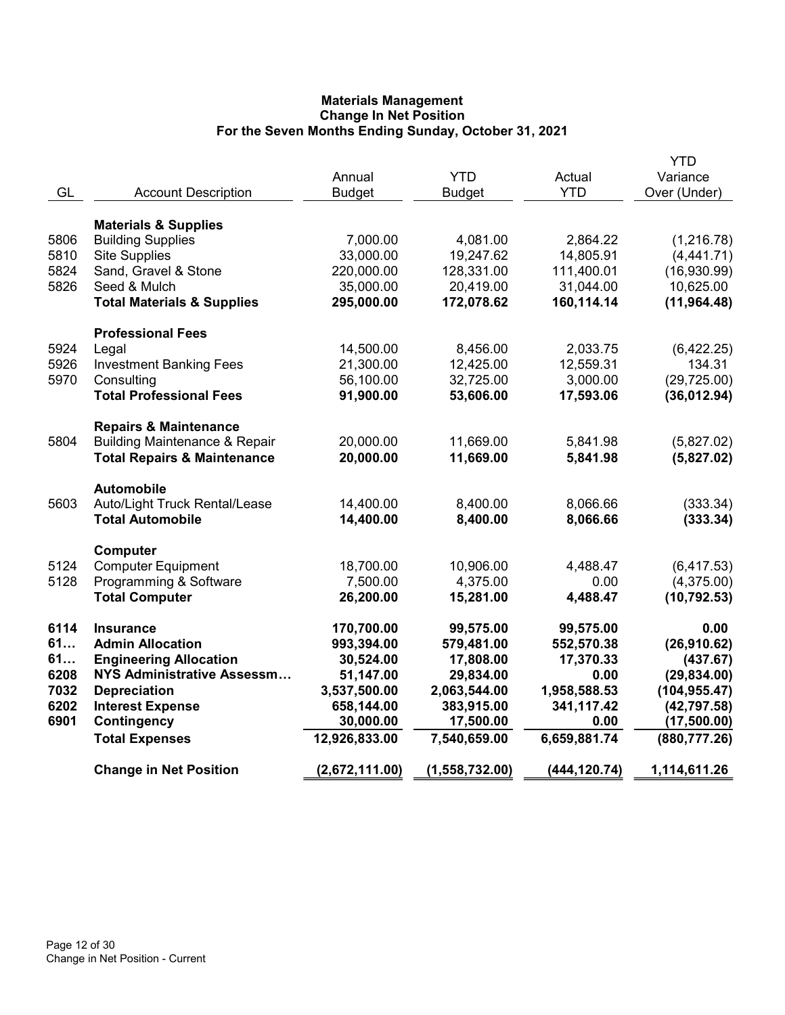|      |                                          |                |                |              | <b>YTD</b>    |
|------|------------------------------------------|----------------|----------------|--------------|---------------|
|      |                                          | Annual         | <b>YTD</b>     | Actual       | Variance      |
| GL   | <b>Account Description</b>               | <b>Budget</b>  | <b>Budget</b>  | <b>YTD</b>   | Over (Under)  |
|      | <b>Materials &amp; Supplies</b>          |                |                |              |               |
| 5806 | <b>Building Supplies</b>                 | 7,000.00       | 4,081.00       | 2,864.22     | (1,216.78)    |
| 5810 | <b>Site Supplies</b>                     | 33,000.00      | 19,247.62      | 14,805.91    | (4,441.71)    |
| 5824 | Sand, Gravel & Stone                     | 220,000.00     | 128,331.00     | 111,400.01   | (16,930.99)   |
| 5826 | Seed & Mulch                             | 35,000.00      | 20,419.00      | 31,044.00    | 10,625.00     |
|      | <b>Total Materials &amp; Supplies</b>    | 295,000.00     | 172,078.62     | 160,114.14   | (11, 964.48)  |
|      | <b>Professional Fees</b>                 |                |                |              |               |
| 5924 | Legal                                    | 14,500.00      | 8,456.00       | 2,033.75     | (6,422.25)    |
| 5926 | <b>Investment Banking Fees</b>           | 21,300.00      | 12,425.00      | 12,559.31    | 134.31        |
| 5970 | Consulting                               | 56,100.00      | 32,725.00      | 3,000.00     | (29, 725.00)  |
|      | <b>Total Professional Fees</b>           | 91,900.00      | 53,606.00      | 17,593.06    | (36,012.94)   |
|      |                                          |                |                |              |               |
|      | <b>Repairs &amp; Maintenance</b>         |                |                |              |               |
| 5804 | <b>Building Maintenance &amp; Repair</b> | 20,000.00      | 11,669.00      | 5,841.98     | (5,827.02)    |
|      | <b>Total Repairs &amp; Maintenance</b>   | 20,000.00      | 11,669.00      | 5,841.98     | (5,827.02)    |
|      | <b>Automobile</b>                        |                |                |              |               |
| 5603 | Auto/Light Truck Rental/Lease            | 14,400.00      | 8,400.00       | 8,066.66     | (333.34)      |
|      | <b>Total Automobile</b>                  | 14,400.00      | 8,400.00       | 8,066.66     | (333.34)      |
|      | Computer                                 |                |                |              |               |
| 5124 | <b>Computer Equipment</b>                | 18,700.00      | 10,906.00      | 4,488.47     | (6, 417.53)   |
| 5128 | Programming & Software                   | 7,500.00       | 4,375.00       | 0.00         | (4,375.00)    |
|      | <b>Total Computer</b>                    | 26,200.00      | 15,281.00      | 4,488.47     | (10, 792.53)  |
| 6114 | <b>Insurance</b>                         | 170,700.00     | 99,575.00      | 99,575.00    | 0.00          |
| 61   | <b>Admin Allocation</b>                  | 993,394.00     | 579,481.00     | 552,570.38   | (26,910.62)   |
| 61   | <b>Engineering Allocation</b>            | 30,524.00      | 17,808.00      | 17,370.33    | (437.67)      |
| 6208 | NYS Administrative Assessm               | 51,147.00      | 29,834.00      | 0.00         | (29, 834.00)  |
| 7032 | <b>Depreciation</b>                      | 3,537,500.00   | 2,063,544.00   | 1,958,588.53 | (104, 955.47) |
| 6202 | <b>Interest Expense</b>                  | 658,144.00     | 383,915.00     | 341,117.42   | (42, 797.58)  |
| 6901 | Contingency                              | 30,000.00      | 17,500.00      | 0.00         | (17,500.00)   |
|      | <b>Total Expenses</b>                    | 12,926,833.00  | 7,540,659.00   | 6,659,881.74 | (880, 777.26) |
|      |                                          |                |                |              |               |
|      | <b>Change in Net Position</b>            | (2,672,111.00) | (1,558,732.00) | (444,120.74) | 1,114,611.26  |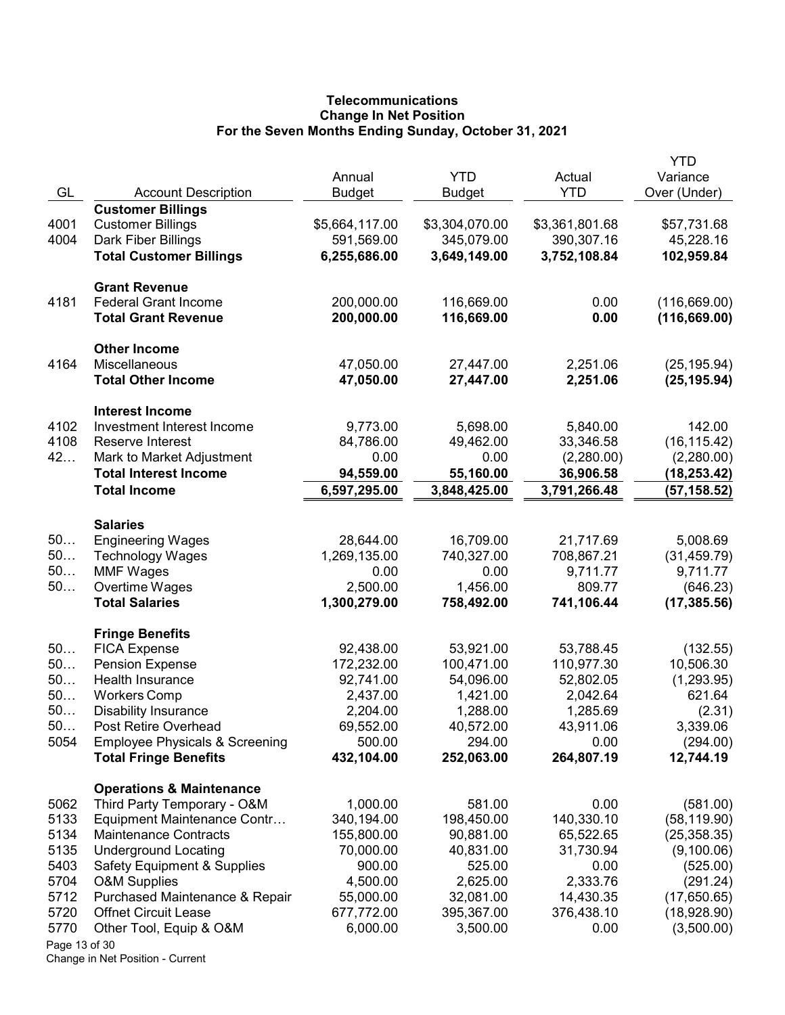# **Telecommunications** Change In Net Position For the Seven Months Ending Sunday, October 31, 2021

| GL            | <b>Account Description</b>                                    | Annual<br><b>Budget</b> | <b>YTD</b><br><b>Budget</b> | Actual<br><b>YTD</b>    | YTD<br>Variance<br>Over (Under) |
|---------------|---------------------------------------------------------------|-------------------------|-----------------------------|-------------------------|---------------------------------|
|               | <b>Customer Billings</b>                                      |                         |                             |                         |                                 |
| 4001          | <b>Customer Billings</b>                                      | \$5,664,117.00          | \$3,304,070.00              | \$3,361,801.68          | \$57,731.68                     |
| 4004          | Dark Fiber Billings                                           | 591,569.00              | 345,079.00                  | 390,307.16              | 45,228.16                       |
|               | <b>Total Customer Billings</b>                                | 6,255,686.00            | 3,649,149.00                | 3,752,108.84            | 102,959.84                      |
|               | <b>Grant Revenue</b>                                          |                         |                             |                         |                                 |
| 4181          | <b>Federal Grant Income</b>                                   | 200,000.00              | 116,669.00                  | 0.00                    | (116, 669.00)                   |
|               | <b>Total Grant Revenue</b>                                    | 200,000.00              | 116,669.00                  | 0.00                    | (116, 669.00)                   |
|               | <b>Other Income</b>                                           |                         |                             |                         |                                 |
| 4164          | Miscellaneous                                                 | 47,050.00               | 27,447.00                   | 2,251.06                | (25, 195.94)                    |
|               | <b>Total Other Income</b>                                     | 47,050.00               | 27,447.00                   | 2,251.06                | (25, 195.94)                    |
|               | <b>Interest Income</b>                                        |                         |                             |                         |                                 |
| 4102          | Investment Interest Income                                    | 9,773.00                | 5,698.00                    | 5,840.00                | 142.00                          |
| 4108          | Reserve Interest                                              | 84,786.00               | 49,462.00                   | 33,346.58               | (16, 115.42)                    |
| 42            | Mark to Market Adjustment                                     | 0.00                    | 0.00                        | (2,280.00)              | (2,280.00)                      |
|               | <b>Total Interest Income</b>                                  | 94,559.00               | 55,160.00                   | 36,906.58               | (18, 253.42)                    |
|               | <b>Total Income</b>                                           | 6,597,295.00            | 3,848,425.00                | 3,791,266.48            | (57, 158.52)                    |
|               | <b>Salaries</b>                                               |                         |                             |                         |                                 |
| 50            | <b>Engineering Wages</b>                                      | 28,644.00               | 16,709.00                   | 21,717.69               | 5,008.69                        |
| 50            | <b>Technology Wages</b>                                       | 1,269,135.00            | 740,327.00                  | 708,867.21              | (31, 459.79)                    |
| 50            | <b>MMF Wages</b>                                              | 0.00                    | 0.00                        | 9,711.77                | 9,711.77                        |
| 50            | Overtime Wages                                                | 2,500.00                | 1,456.00                    | 809.77                  | (646.23)                        |
|               | <b>Total Salaries</b>                                         | 1,300,279.00            | 758,492.00                  | 741,106.44              | (17, 385.56)                    |
|               | <b>Fringe Benefits</b>                                        |                         |                             |                         |                                 |
| 50            | <b>FICA Expense</b>                                           | 92,438.00               | 53,921.00                   | 53,788.45               | (132.55)                        |
| 50            | <b>Pension Expense</b>                                        | 172,232.00              | 100,471.00                  | 110,977.30              | 10,506.30                       |
| 50            | Health Insurance                                              | 92,741.00               | 54,096.00                   | 52,802.05               | (1,293.95)                      |
| 50            | <b>Workers Comp</b>                                           | 2,437.00                | 1,421.00                    | 2,042.64                | 621.64                          |
| 50            | <b>Disability Insurance</b>                                   | 2,204.00                | 1,288.00                    | 1,285.69                | (2.31)                          |
| 50            | Post Retire Overhead                                          | 69,552.00               | 40,572.00                   | 43,911.06               | 3,339.06                        |
| 5054          | <b>Employee Physicals &amp; Screening</b>                     | 500.00                  | 294.00                      | 0.00                    | (294.00)                        |
|               | <b>Total Fringe Benefits</b>                                  | 432,104.00              | 252,063.00                  | 264,807.19              | 12,744.19                       |
|               | <b>Operations &amp; Maintenance</b>                           |                         |                             |                         |                                 |
| 5062          | Third Party Temporary - O&M                                   | 1,000.00                | 581.00                      | 0.00                    | (581.00)                        |
| 5133          | Equipment Maintenance Contr                                   | 340,194.00              | 198,450.00                  | 140,330.10              | (58, 119.90)                    |
| 5134          | <b>Maintenance Contracts</b>                                  | 155,800.00              | 90,881.00                   | 65,522.65               | (25, 358.35)                    |
| 5135          | <b>Underground Locating</b>                                   | 70,000.00               | 40,831.00                   | 31,730.94               | (9,100.06)                      |
| 5403          | <b>Safety Equipment &amp; Supplies</b>                        | 900.00                  | 525.00                      | 0.00                    | (525.00)                        |
| 5704          | <b>O&amp;M Supplies</b>                                       | 4,500.00                | 2,625.00                    | 2,333.76                | (291.24)                        |
| 5712<br>5720  | Purchased Maintenance & Repair<br><b>Offnet Circuit Lease</b> | 55,000.00<br>677,772.00 | 32,081.00<br>395,367.00     | 14,430.35<br>376,438.10 | (17,650.65)                     |
| 5770          | Other Tool, Equip & O&M                                       | 6,000.00                | 3,500.00                    | 0.00                    | (18,928.90)<br>(3,500.00)       |
| Page 13 of 30 |                                                               |                         |                             |                         |                                 |
|               |                                                               |                         |                             |                         |                                 |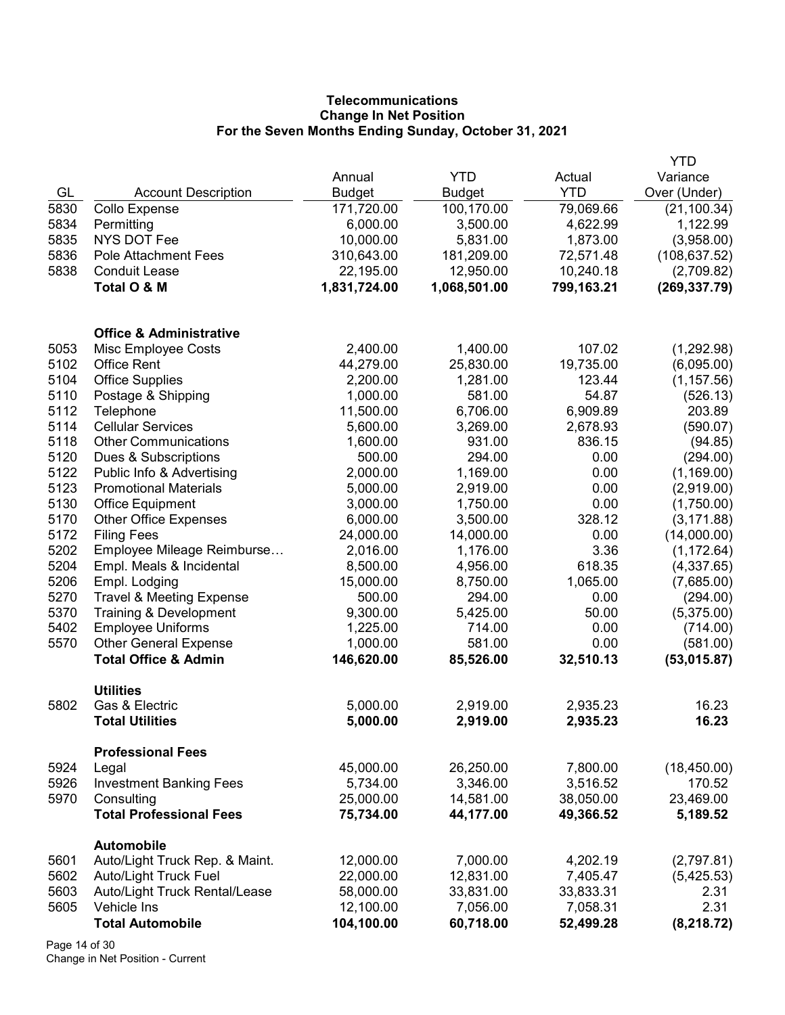# **Telecommunications** Change In Net Position For the Seven Months Ending Sunday, October 31, 2021

|      |                                     |               |               |            | YTD           |
|------|-------------------------------------|---------------|---------------|------------|---------------|
|      |                                     | Annual        | <b>YTD</b>    | Actual     | Variance      |
| GL   | <b>Account Description</b>          | <b>Budget</b> | <b>Budget</b> | <b>YTD</b> | Over (Under)  |
| 5830 | <b>Collo Expense</b>                | 171,720.00    | 100,170.00    | 79,069.66  | (21, 100.34)  |
| 5834 | Permitting                          | 6,000.00      | 3,500.00      | 4,622.99   | 1,122.99      |
| 5835 | <b>NYS DOT Fee</b>                  | 10,000.00     | 5,831.00      | 1,873.00   | (3,958.00)    |
| 5836 | <b>Pole Attachment Fees</b>         | 310,643.00    | 181,209.00    | 72,571.48  | (108, 637.52) |
| 5838 | <b>Conduit Lease</b>                | 22,195.00     | 12,950.00     | 10,240.18  | (2,709.82)    |
|      | Total O & M                         | 1,831,724.00  | 1,068,501.00  | 799,163.21 | (269, 337.79) |
|      | <b>Office &amp; Administrative</b>  |               |               |            |               |
| 5053 | Misc Employee Costs                 | 2,400.00      | 1,400.00      | 107.02     | (1,292.98)    |
| 5102 | <b>Office Rent</b>                  | 44,279.00     | 25,830.00     | 19,735.00  | (6,095.00)    |
| 5104 | <b>Office Supplies</b>              | 2,200.00      | 1,281.00      | 123.44     | (1, 157.56)   |
| 5110 | Postage & Shipping                  | 1,000.00      | 581.00        | 54.87      | (526.13)      |
| 5112 | Telephone                           | 11,500.00     | 6,706.00      | 6,909.89   | 203.89        |
| 5114 | <b>Cellular Services</b>            | 5,600.00      | 3,269.00      | 2,678.93   | (590.07)      |
| 5118 | <b>Other Communications</b>         | 1,600.00      | 931.00        | 836.15     | (94.85)       |
| 5120 | Dues & Subscriptions                | 500.00        | 294.00        | 0.00       | (294.00)      |
| 5122 | Public Info & Advertising           | 2,000.00      | 1,169.00      | 0.00       | (1, 169.00)   |
| 5123 | <b>Promotional Materials</b>        | 5,000.00      | 2,919.00      | 0.00       | (2,919.00)    |
| 5130 | <b>Office Equipment</b>             | 3,000.00      | 1,750.00      | 0.00       | (1,750.00)    |
| 5170 | <b>Other Office Expenses</b>        | 6,000.00      | 3,500.00      | 328.12     | (3, 171.88)   |
| 5172 | <b>Filing Fees</b>                  | 24,000.00     | 14,000.00     | 0.00       | (14,000.00)   |
| 5202 | Employee Mileage Reimburse          | 2,016.00      | 1,176.00      | 3.36       | (1, 172.64)   |
| 5204 | Empl. Meals & Incidental            | 8,500.00      | 4,956.00      | 618.35     | (4,337.65)    |
| 5206 | Empl. Lodging                       | 15,000.00     | 8,750.00      | 1,065.00   | (7,685.00)    |
| 5270 | <b>Travel &amp; Meeting Expense</b> | 500.00        | 294.00        | 0.00       | (294.00)      |
| 5370 | Training & Development              | 9,300.00      | 5,425.00      | 50.00      | (5,375.00)    |
| 5402 | <b>Employee Uniforms</b>            | 1,225.00      | 714.00        | 0.00       | (714.00)      |
| 5570 | <b>Other General Expense</b>        | 1,000.00      | 581.00        | 0.00       | (581.00)      |
|      | <b>Total Office &amp; Admin</b>     | 146,620.00    | 85,526.00     | 32,510.13  | (53,015.87)   |
|      | <b>Utilities</b>                    |               |               |            |               |
| 5802 | Gas & Electric                      | 5,000.00      | 2,919.00      | 2,935.23   | 16.23         |
|      | <b>Total Utilities</b>              | 5,000.00      | 2,919.00      | 2,935.23   | 16.23         |
|      | <b>Professional Fees</b>            |               |               |            |               |
| 5924 | Legal                               | 45,000.00     | 26,250.00     | 7,800.00   | (18, 450.00)  |
| 5926 | <b>Investment Banking Fees</b>      | 5,734.00      | 3,346.00      | 3,516.52   | 170.52        |
| 5970 | Consulting                          | 25,000.00     | 14,581.00     | 38,050.00  | 23,469.00     |
|      | <b>Total Professional Fees</b>      | 75,734.00     | 44,177.00     | 49,366.52  | 5,189.52      |
|      | <b>Automobile</b>                   |               |               |            |               |
| 5601 | Auto/Light Truck Rep. & Maint.      | 12,000.00     | 7,000.00      | 4,202.19   | (2,797.81)    |
| 5602 | <b>Auto/Light Truck Fuel</b>        | 22,000.00     | 12,831.00     | 7,405.47   | (5,425.53)    |
| 5603 | Auto/Light Truck Rental/Lease       | 58,000.00     | 33,831.00     | 33,833.31  | 2.31          |
| 5605 | Vehicle Ins                         | 12,100.00     | 7,056.00      | 7,058.31   | 2.31          |
|      | <b>Total Automobile</b>             | 104,100.00    | 60,718.00     | 52,499.28  | (8, 218.72)   |

Page 14 of 30 Change in Net Position - Current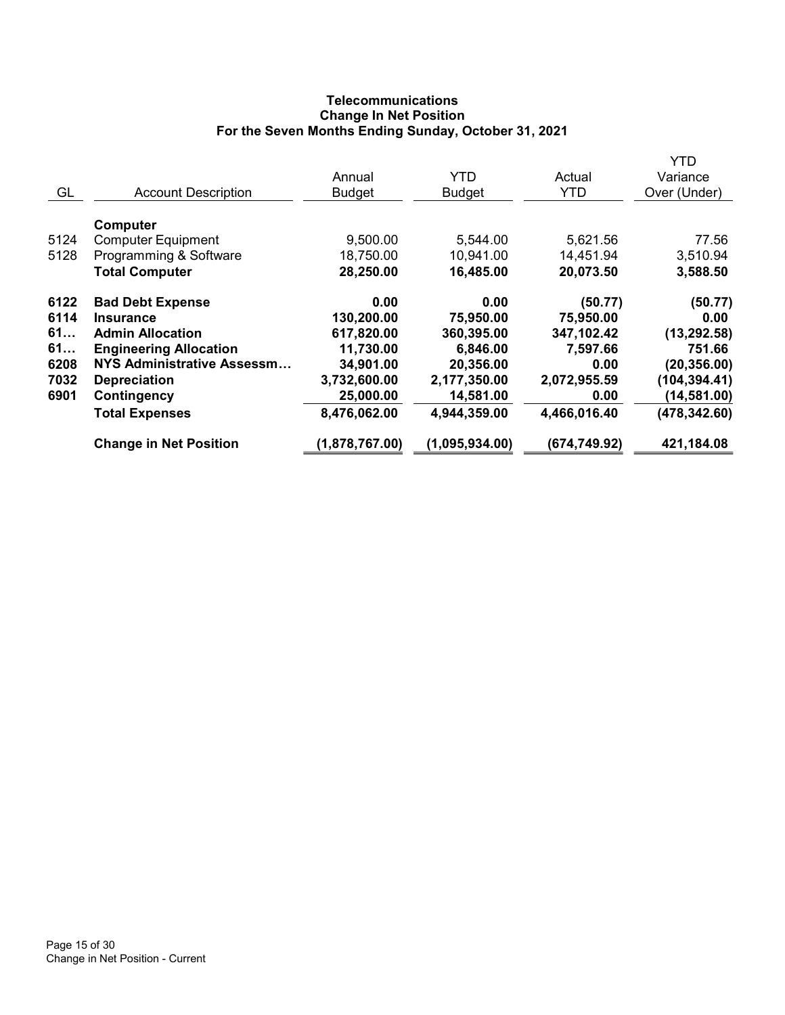# **Telecommunications** Change In Net Position For the Seven Months Ending Sunday, October 31, 2021

|      |                                   |                |                |              | YTD           |
|------|-----------------------------------|----------------|----------------|--------------|---------------|
|      |                                   | Annual         | <b>YTD</b>     | Actual       | Variance      |
| GL   | <b>Account Description</b>        | <b>Budget</b>  | <b>Budget</b>  | <b>YTD</b>   | Over (Under)  |
|      |                                   |                |                |              |               |
|      | Computer                          |                |                |              |               |
| 5124 | <b>Computer Equipment</b>         | 9,500.00       | 5,544.00       | 5,621.56     | 77.56         |
| 5128 | Programming & Software            | 18,750.00      | 10,941.00      | 14,451.94    | 3,510.94      |
|      | <b>Total Computer</b>             | 28,250.00      | 16,485.00      | 20,073.50    | 3,588.50      |
| 6122 | <b>Bad Debt Expense</b>           | 0.00           | 0.00           | (50.77)      | (50.77)       |
| 6114 | <b>Insurance</b>                  | 130,200.00     | 75,950.00      | 75,950.00    | 0.00          |
| 61   | <b>Admin Allocation</b>           | 617,820.00     | 360,395.00     | 347,102.42   | (13, 292.58)  |
| 61   | <b>Engineering Allocation</b>     | 11,730.00      | 6,846.00       | 7,597.66     | 751.66        |
| 6208 | <b>NYS Administrative Assessm</b> | 34,901.00      | 20,356.00      | 0.00         | (20, 356.00)  |
| 7032 | <b>Depreciation</b>               | 3,732,600.00   | 2,177,350.00   | 2,072,955.59 | (104, 394.41) |
| 6901 | Contingency                       | 25,000.00      | 14,581.00      | 0.00         | (14, 581.00)  |
|      | <b>Total Expenses</b>             | 8,476,062.00   | 4,944,359.00   | 4,466,016.40 | (478, 342.60) |
|      | <b>Change in Net Position</b>     | (1,878,767.00) | (1,095,934.00) | (674,749.92) | 421,184.08    |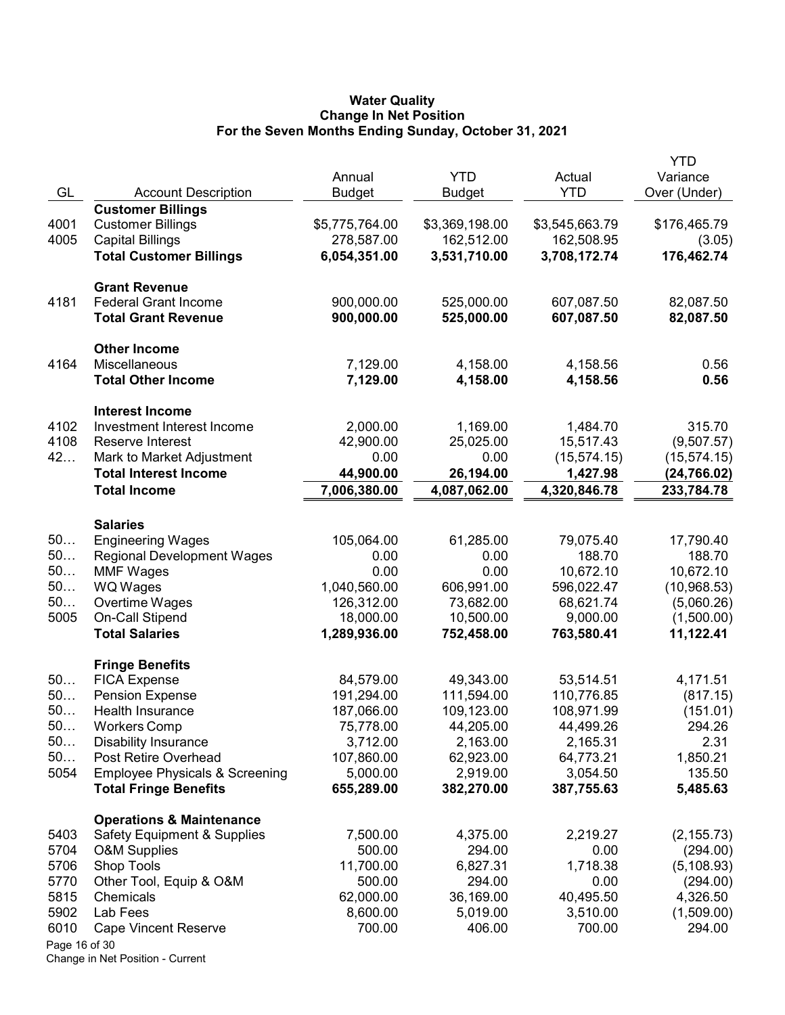#### Water Quality Change In Net Position For the Seven Months Ending Sunday, October 31, 2021

|               |                                           | Annual         | <b>YTD</b>     | Actual         | <b>YTD</b><br>Variance |
|---------------|-------------------------------------------|----------------|----------------|----------------|------------------------|
| GL            | <b>Account Description</b>                | <b>Budget</b>  | Budget         | <b>YTD</b>     | Over (Under)           |
|               | <b>Customer Billings</b>                  |                |                |                |                        |
| 4001          | <b>Customer Billings</b>                  | \$5,775,764.00 | \$3,369,198.00 | \$3,545,663.79 | \$176,465.79           |
| 4005          | <b>Capital Billings</b>                   | 278,587.00     | 162,512.00     | 162,508.95     | (3.05)                 |
|               | <b>Total Customer Billings</b>            | 6,054,351.00   | 3,531,710.00   | 3,708,172.74   | 176,462.74             |
|               | <b>Grant Revenue</b>                      |                |                |                |                        |
| 4181          | <b>Federal Grant Income</b>               | 900,000.00     | 525,000.00     | 607,087.50     | 82,087.50              |
|               | <b>Total Grant Revenue</b>                | 900,000.00     | 525,000.00     | 607,087.50     | 82,087.50              |
|               | <b>Other Income</b>                       |                |                |                |                        |
| 4164          | Miscellaneous                             | 7,129.00       | 4,158.00       | 4,158.56       | 0.56                   |
|               | <b>Total Other Income</b>                 | 7,129.00       | 4,158.00       | 4,158.56       | 0.56                   |
|               | <b>Interest Income</b>                    |                |                |                |                        |
| 4102          | Investment Interest Income                | 2,000.00       | 1,169.00       | 1,484.70       | 315.70                 |
| 4108          | Reserve Interest                          | 42,900.00      | 25,025.00      | 15,517.43      | (9,507.57)             |
| 42            | Mark to Market Adjustment                 | 0.00           | 0.00           | (15, 574.15)   | (15, 574.15)           |
|               | <b>Total Interest Income</b>              | 44,900.00      | 26,194.00      | 1,427.98       | (24, 766.02)           |
|               | <b>Total Income</b>                       | 7,006,380.00   | 4,087,062.00   | 4,320,846.78   | 233,784.78             |
|               | <b>Salaries</b>                           |                |                |                |                        |
| 50            | <b>Engineering Wages</b>                  | 105,064.00     | 61,285.00      | 79,075.40      | 17,790.40              |
| 50            | <b>Regional Development Wages</b>         | 0.00           | 0.00           | 188.70         | 188.70                 |
| 50            | <b>MMF Wages</b>                          | 0.00           | 0.00           | 10,672.10      | 10,672.10              |
| 50            | WQ Wages                                  | 1,040,560.00   | 606,991.00     | 596,022.47     | (10,968.53)            |
| 50            | Overtime Wages                            | 126,312.00     | 73,682.00      | 68,621.74      | (5,060.26)             |
| 5005          | On-Call Stipend                           | 18,000.00      | 10,500.00      | 9,000.00       | (1,500.00)             |
|               | <b>Total Salaries</b>                     | 1,289,936.00   | 752,458.00     | 763,580.41     | 11,122.41              |
|               | <b>Fringe Benefits</b>                    |                |                |                |                        |
| 50            | <b>FICA Expense</b>                       | 84,579.00      | 49,343.00      | 53,514.51      | 4,171.51               |
| 50            | <b>Pension Expense</b>                    | 191,294.00     | 111,594.00     | 110,776.85     | (817.15)               |
| 50            | Health Insurance                          | 187,066.00     | 109,123.00     | 108,971.99     | (151.01)               |
| 50.           | <b>Workers Comp</b>                       | 75,778.00      | 44,205.00      | 44,499.26      | 294.26                 |
| 50            | <b>Disability Insurance</b>               | 3,712.00       | 2,163.00       | 2,165.31       | 2.31                   |
| 50            | Post Retire Overhead                      | 107,860.00     | 62,923.00      | 64,773.21      | 1,850.21               |
| 5054          | <b>Employee Physicals &amp; Screening</b> | 5,000.00       | 2,919.00       | 3,054.50       | 135.50                 |
|               | <b>Total Fringe Benefits</b>              | 655,289.00     | 382,270.00     | 387,755.63     | 5,485.63               |
|               | <b>Operations &amp; Maintenance</b>       |                |                |                |                        |
| 5403          | <b>Safety Equipment &amp; Supplies</b>    | 7,500.00       | 4,375.00       | 2,219.27       | (2, 155.73)            |
| 5704          | <b>O&amp;M Supplies</b>                   | 500.00         | 294.00         | 0.00           | (294.00)               |
| 5706          | Shop Tools                                | 11,700.00      | 6,827.31       | 1,718.38       | (5, 108.93)            |
| 5770          | Other Tool, Equip & O&M                   | 500.00         | 294.00         | 0.00           | (294.00)               |
| 5815          | Chemicals                                 | 62,000.00      | 36,169.00      | 40,495.50      | 4,326.50               |
| 5902          | Lab Fees                                  | 8,600.00       | 5,019.00       | 3,510.00       | (1,509.00)             |
| 6010          | <b>Cape Vincent Reserve</b>               | 700.00         | 406.00         | 700.00         | 294.00                 |
| Page 16 of 30 |                                           |                |                |                |                        |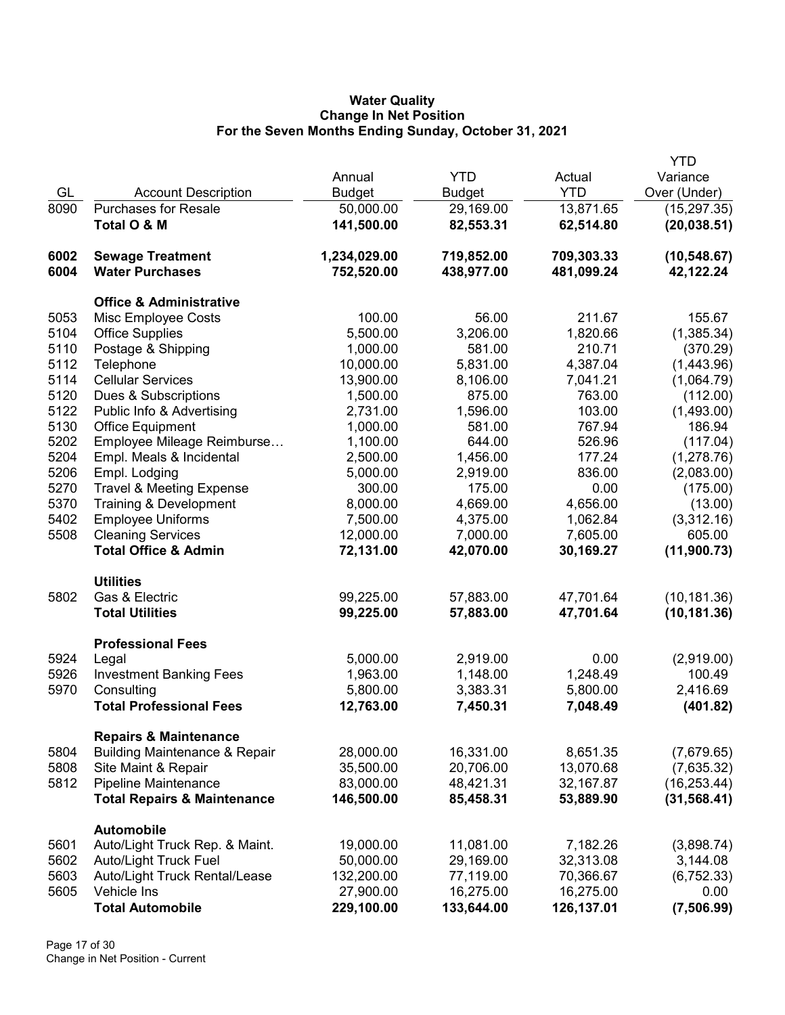## Water Quality Change In Net Position For the Seven Months Ending Sunday, October 31, 2021

|      |                                          |               |               |            | <b>YTD</b>   |
|------|------------------------------------------|---------------|---------------|------------|--------------|
|      |                                          | Annual        | <b>YTD</b>    | Actual     | Variance     |
| GL   | <b>Account Description</b>               | <b>Budget</b> | <b>Budget</b> | <b>YTD</b> | Over (Under) |
| 8090 | <b>Purchases for Resale</b>              | 50,000.00     | 29,169.00     | 13,871.65  | (15, 297.35) |
|      | Total O & M                              | 141,500.00    | 82,553.31     | 62,514.80  | (20, 038.51) |
| 6002 | <b>Sewage Treatment</b>                  | 1,234,029.00  | 719,852.00    | 709,303.33 | (10, 548.67) |
| 6004 | <b>Water Purchases</b>                   | 752,520.00    | 438,977.00    | 481,099.24 | 42,122.24    |
|      | <b>Office &amp; Administrative</b>       |               |               |            |              |
| 5053 | Misc Employee Costs                      | 100.00        | 56.00         | 211.67     | 155.67       |
| 5104 | <b>Office Supplies</b>                   | 5,500.00      | 3,206.00      | 1,820.66   | (1,385.34)   |
| 5110 | Postage & Shipping                       | 1,000.00      | 581.00        | 210.71     | (370.29)     |
| 5112 | Telephone                                | 10,000.00     | 5,831.00      | 4,387.04   | (1,443.96)   |
| 5114 | <b>Cellular Services</b>                 | 13,900.00     | 8,106.00      | 7,041.21   | (1,064.79)   |
| 5120 | Dues & Subscriptions                     | 1,500.00      | 875.00        | 763.00     | (112.00)     |
| 5122 | Public Info & Advertising                | 2,731.00      | 1,596.00      | 103.00     | (1,493.00)   |
| 5130 | <b>Office Equipment</b>                  | 1,000.00      | 581.00        | 767.94     | 186.94       |
| 5202 | Employee Mileage Reimburse               | 1,100.00      | 644.00        | 526.96     | (117.04)     |
| 5204 | Empl. Meals & Incidental                 | 2,500.00      | 1,456.00      | 177.24     | (1,278.76)   |
| 5206 | Empl. Lodging                            | 5,000.00      | 2,919.00      | 836.00     | (2,083.00)   |
| 5270 | <b>Travel &amp; Meeting Expense</b>      | 300.00        | 175.00        | 0.00       | (175.00)     |
| 5370 | Training & Development                   | 8,000.00      | 4,669.00      | 4,656.00   | (13.00)      |
| 5402 | <b>Employee Uniforms</b>                 | 7,500.00      | 4,375.00      | 1,062.84   | (3,312.16)   |
| 5508 | <b>Cleaning Services</b>                 | 12,000.00     | 7,000.00      | 7,605.00   | 605.00       |
|      | <b>Total Office &amp; Admin</b>          | 72,131.00     | 42,070.00     | 30,169.27  | (11,900.73)  |
|      | <b>Utilities</b>                         |               |               |            |              |
| 5802 | Gas & Electric                           | 99,225.00     | 57,883.00     | 47,701.64  | (10, 181.36) |
|      | <b>Total Utilities</b>                   | 99,225.00     | 57,883.00     | 47,701.64  | (10, 181.36) |
|      | <b>Professional Fees</b>                 |               |               |            |              |
| 5924 | Legal                                    | 5,000.00      | 2,919.00      | 0.00       | (2,919.00)   |
| 5926 | <b>Investment Banking Fees</b>           | 1,963.00      | 1,148.00      | 1,248.49   | 100.49       |
| 5970 | Consulting                               | 5,800.00      | 3,383.31      | 5,800.00   | 2,416.69     |
|      | <b>Total Professional Fees</b>           | 12,763.00     | 7,450.31      | 7,048.49   | (401.82)     |
|      | <b>Repairs &amp; Maintenance</b>         |               |               |            |              |
| 5804 | <b>Building Maintenance &amp; Repair</b> | 28,000.00     | 16,331.00     | 8,651.35   | (7,679.65)   |
| 5808 | Site Maint & Repair                      | 35,500.00     | 20,706.00     | 13,070.68  | (7,635.32)   |
| 5812 | Pipeline Maintenance                     | 83,000.00     | 48,421.31     | 32,167.87  | (16, 253.44) |
|      | <b>Total Repairs &amp; Maintenance</b>   | 146,500.00    | 85,458.31     | 53,889.90  | (31, 568.41) |
|      | <b>Automobile</b>                        |               |               |            |              |
| 5601 | Auto/Light Truck Rep. & Maint.           | 19,000.00     | 11,081.00     | 7,182.26   | (3,898.74)   |
| 5602 | <b>Auto/Light Truck Fuel</b>             | 50,000.00     | 29,169.00     | 32,313.08  | 3,144.08     |
| 5603 | Auto/Light Truck Rental/Lease            | 132,200.00    | 77,119.00     | 70,366.67  | (6, 752.33)  |
| 5605 | Vehicle Ins                              | 27,900.00     | 16,275.00     | 16,275.00  | 0.00         |
|      | <b>Total Automobile</b>                  | 229,100.00    | 133,644.00    | 126,137.01 | (7,506.99)   |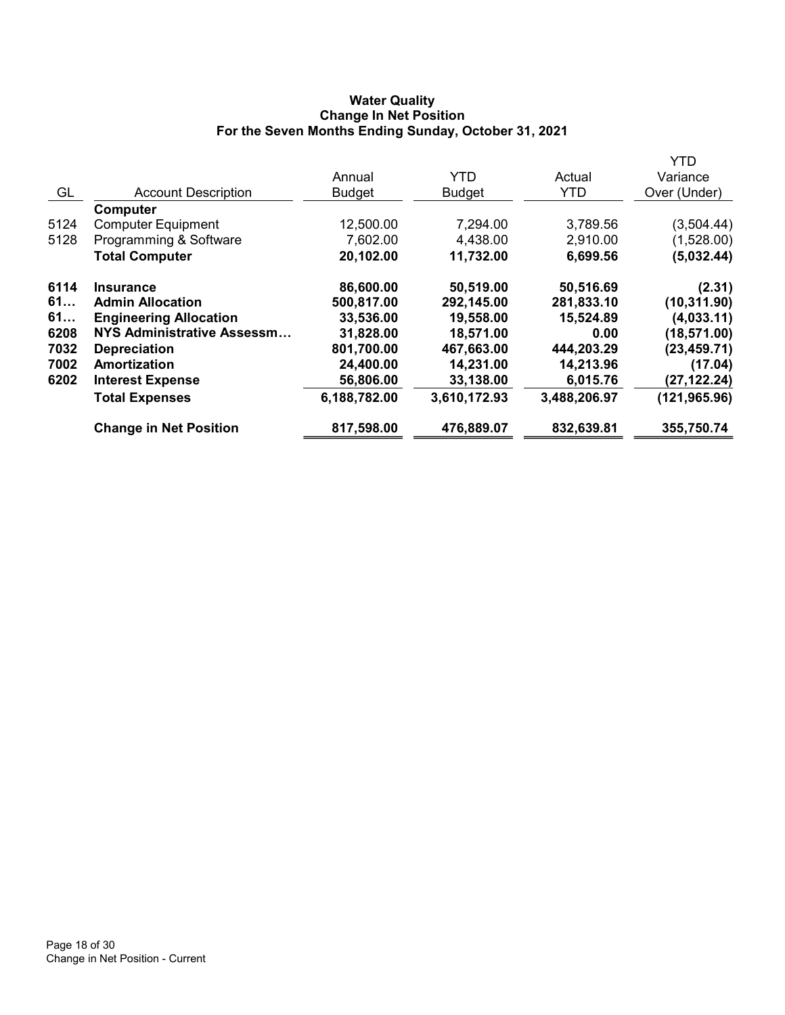## Water Quality Change In Net Position For the Seven Months Ending Sunday, October 31, 2021

|      |                               |               |               |              | <b>YTD</b>    |
|------|-------------------------------|---------------|---------------|--------------|---------------|
|      |                               | Annual        | <b>YTD</b>    | Actual       | Variance      |
| GL   | <b>Account Description</b>    | <b>Budget</b> | <b>Budget</b> | <b>YTD</b>   | Over (Under)  |
|      | <b>Computer</b>               |               |               |              |               |
| 5124 | <b>Computer Equipment</b>     | 12,500.00     | 7,294.00      | 3,789.56     | (3,504.44)    |
| 5128 | Programming & Software        | 7,602.00      | 4,438.00      | 2,910.00     | (1,528.00)    |
|      | <b>Total Computer</b>         | 20,102.00     | 11,732.00     | 6,699.56     | (5,032.44)    |
| 6114 | <b>Insurance</b>              | 86,600.00     | 50,519.00     | 50,516.69    | (2.31)        |
| 61   | <b>Admin Allocation</b>       | 500,817.00    | 292,145.00    | 281,833.10   | (10, 311.90)  |
| 61   | <b>Engineering Allocation</b> | 33,536.00     | 19,558.00     | 15,524.89    | (4,033.11)    |
| 6208 | NYS Administrative Assessm    | 31,828.00     | 18,571.00     | 0.00         | (18, 571.00)  |
| 7032 | <b>Depreciation</b>           | 801,700.00    | 467,663.00    | 444,203.29   | (23, 459.71)  |
| 7002 | Amortization                  | 24,400.00     | 14,231.00     | 14,213.96    | (17.04)       |
| 6202 | <b>Interest Expense</b>       | 56,806.00     | 33,138.00     | 6,015.76     | (27, 122.24)  |
|      | <b>Total Expenses</b>         | 6,188,782.00  | 3,610,172.93  | 3,488,206.97 | (121, 965.96) |
|      | <b>Change in Net Position</b> | 817,598.00    | 476,889.07    | 832,639.81   | 355,750.74    |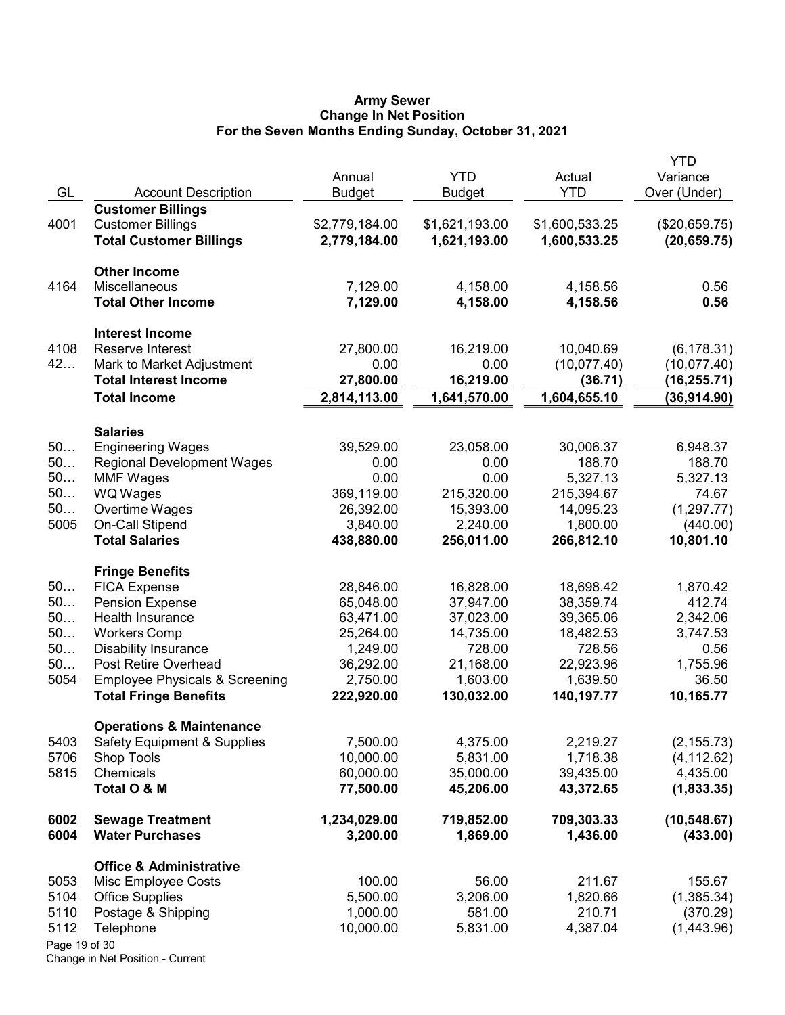#### Army Sewer Change In Net Position For the Seven Months Ending Sunday, October 31, 2021

| GL                                            | <b>Account Description</b>                                                                                                                                                                                                                             | Annual<br><b>Budget</b>                                                                             | <b>YTD</b><br>Budget                                                                              | Actual<br><b>YTD</b>                                                                              | <b>YTD</b><br>Variance<br>Over (Under)                                               |
|-----------------------------------------------|--------------------------------------------------------------------------------------------------------------------------------------------------------------------------------------------------------------------------------------------------------|-----------------------------------------------------------------------------------------------------|---------------------------------------------------------------------------------------------------|---------------------------------------------------------------------------------------------------|--------------------------------------------------------------------------------------|
| 4001                                          | <b>Customer Billings</b><br><b>Customer Billings</b><br><b>Total Customer Billings</b>                                                                                                                                                                 | \$2,779,184.00<br>2,779,184.00                                                                      | \$1,621,193.00<br>1,621,193.00                                                                    | \$1,600,533.25<br>1,600,533.25                                                                    | (\$20,659.75)<br>(20, 659.75)                                                        |
| 4164                                          | <b>Other Income</b><br>Miscellaneous<br><b>Total Other Income</b>                                                                                                                                                                                      | 7,129.00<br>7,129.00                                                                                | 4,158.00<br>4,158.00                                                                              | 4,158.56<br>4,158.56                                                                              | 0.56<br>0.56                                                                         |
| 4108<br>42                                    | <b>Interest Income</b><br>Reserve Interest<br>Mark to Market Adjustment<br><b>Total Interest Income</b><br><b>Total Income</b>                                                                                                                         | 27,800.00<br>0.00<br>27,800.00<br>2,814,113.00                                                      | 16,219.00<br>0.00<br>16,219.00<br>1,641,570.00                                                    | 10,040.69<br>(10,077.40)<br>(36.71)<br>1,604,655.10                                               | (6, 178.31)<br>(10, 077.40)<br>(16,255.71)<br>(36,914.90)                            |
| 50<br>50<br>50<br>50<br>50<br>5005            | <b>Salaries</b><br><b>Engineering Wages</b><br><b>Regional Development Wages</b><br><b>MMF Wages</b><br><b>WQ Wages</b><br>Overtime Wages<br><b>On-Call Stipend</b><br><b>Total Salaries</b>                                                           | 39,529.00<br>0.00<br>0.00<br>369,119.00<br>26,392.00<br>3,840.00<br>438,880.00                      | 23,058.00<br>0.00<br>0.00<br>215,320.00<br>15,393.00<br>2,240.00<br>256,011.00                    | 30,006.37<br>188.70<br>5,327.13<br>215,394.67<br>14,095.23<br>1,800.00<br>266,812.10              | 6,948.37<br>188.70<br>5,327.13<br>74.67<br>(1, 297.77)<br>(440.00)<br>10,801.10      |
| 50<br>50<br>50<br>50<br>50<br>50<br>5054      | <b>Fringe Benefits</b><br><b>FICA Expense</b><br><b>Pension Expense</b><br>Health Insurance<br><b>Workers Comp</b><br><b>Disability Insurance</b><br>Post Retire Overhead<br><b>Employee Physicals &amp; Screening</b><br><b>Total Fringe Benefits</b> | 28,846.00<br>65,048.00<br>63,471.00<br>25,264.00<br>1,249.00<br>36,292.00<br>2,750.00<br>222,920.00 | 16,828.00<br>37,947.00<br>37,023.00<br>14,735.00<br>728.00<br>21,168.00<br>1,603.00<br>130,032.00 | 18,698.42<br>38,359.74<br>39,365.06<br>18,482.53<br>728.56<br>22,923.96<br>1,639.50<br>140,197.77 | 1,870.42<br>412.74<br>2,342.06<br>3,747.53<br>0.56<br>1,755.96<br>36.50<br>10,165.77 |
| 5403<br>5706<br>5815                          | <b>Operations &amp; Maintenance</b><br><b>Safety Equipment &amp; Supplies</b><br><b>Shop Tools</b><br>Chemicals<br>Total O & M                                                                                                                         | 7,500.00<br>10,000.00<br>60,000.00<br>77,500.00                                                     | 4,375.00<br>5,831.00<br>35,000.00<br>45,206.00                                                    | 2,219.27<br>1,718.38<br>39,435.00<br>43,372.65                                                    | (2, 155.73)<br>(4, 112.62)<br>4,435.00<br>(1,833.35)                                 |
| 6002<br>6004                                  | <b>Sewage Treatment</b><br><b>Water Purchases</b>                                                                                                                                                                                                      | 1,234,029.00<br>3,200.00                                                                            | 719,852.00<br>1,869.00                                                                            | 709,303.33<br>1,436.00                                                                            | (10, 548.67)<br>(433.00)                                                             |
| 5053<br>5104<br>5110<br>5112<br>Page 19 of 30 | <b>Office &amp; Administrative</b><br>Misc Employee Costs<br><b>Office Supplies</b><br>Postage & Shipping<br>Telephone                                                                                                                                 | 100.00<br>5,500.00<br>1,000.00<br>10,000.00                                                         | 56.00<br>3,206.00<br>581.00<br>5,831.00                                                           | 211.67<br>1,820.66<br>210.71<br>4,387.04                                                          | 155.67<br>(1,385.34)<br>(370.29)<br>(1,443.96)                                       |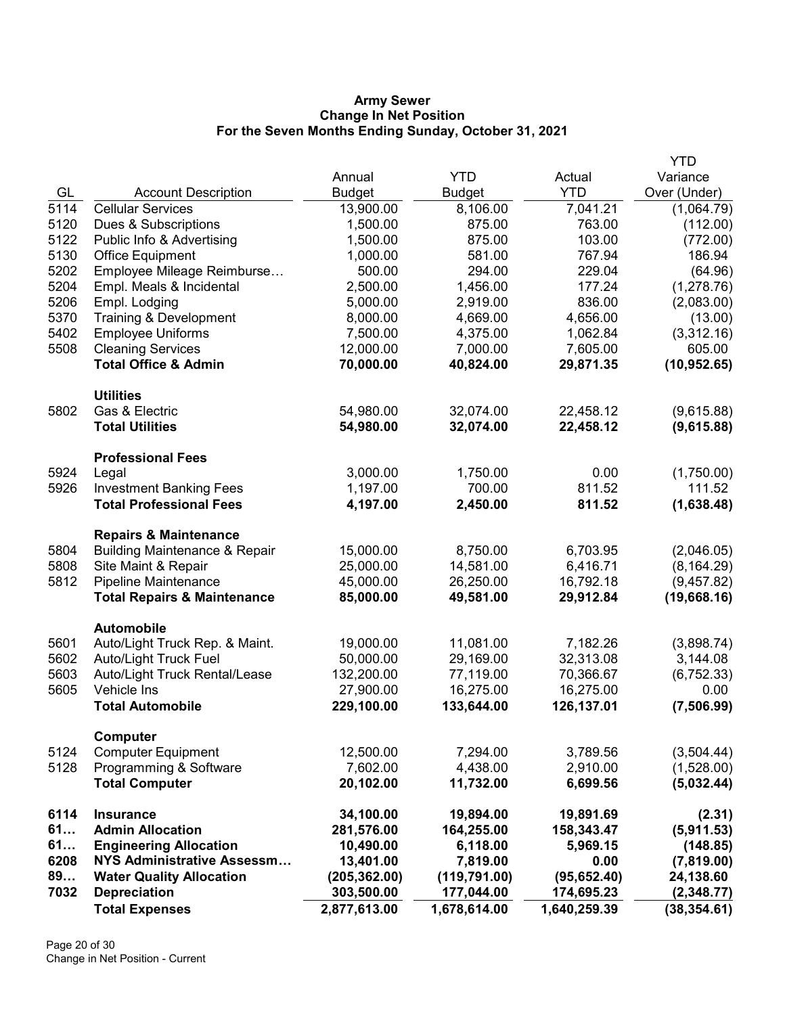#### Army Sewer Change In Net Position For the Seven Months Ending Sunday, October 31, 2021

|              | <b>Total Expenses</b>                                                        | 2,877,613.00                | 1,678,614.00                | 1,640,259.39         | (38, 354.61)             |
|--------------|------------------------------------------------------------------------------|-----------------------------|-----------------------------|----------------------|--------------------------|
| 7032         | <b>Water Quality Allocation</b><br><b>Depreciation</b>                       | (205, 362.00)<br>303,500.00 | (119, 791.00)<br>177,044.00 | 174,695.23           | 24,138.60<br>(2,348.77)  |
| 6208<br>89   | <b>NYS Administrative Assessm</b>                                            | 13,401.00                   | 7,819.00                    | 0.00<br>(95, 652.40) | (7,819.00)               |
| 61           | <b>Engineering Allocation</b>                                                | 10,490.00                   | 6,118.00                    | 5,969.15             | (148.85)                 |
| 61           | <b>Admin Allocation</b>                                                      | 281,576.00                  | 164,255.00                  | 158,343.47           | (5,911.53)               |
| 6114         | <b>Insurance</b>                                                             | 34,100.00                   | 19,894.00                   | 19,891.69            | (2.31)                   |
|              | <b>Total Computer</b>                                                        | 20,102.00                   | 11,732.00                   | 6,699.56             | (5,032.44)               |
| 5128         | Programming & Software                                                       | 7,602.00                    | 4,438.00                    | 2,910.00             | (1,528.00)               |
| 5124         | <b>Computer Equipment</b>                                                    | 12,500.00                   | 7,294.00                    | 3,789.56             | (3,504.44)               |
|              | Computer                                                                     |                             |                             |                      |                          |
|              | <b>Total Automobile</b>                                                      | 229,100.00                  | 133,644.00                  | 126,137.01           | (7,506.99)               |
| 5605         | Vehicle Ins                                                                  | 27,900.00                   | 16,275.00                   | 16,275.00            | 0.00                     |
| 5603         | Auto/Light Truck Rental/Lease                                                | 132,200.00                  | 77,119.00                   | 70,366.67            | (6, 752.33)              |
| 5602         | <b>Auto/Light Truck Fuel</b>                                                 | 50,000.00                   | 29,169.00                   | 32,313.08            | 3,144.08                 |
| 5601         | Automobile<br>Auto/Light Truck Rep. & Maint.                                 | 19,000.00                   | 11,081.00                   | 7,182.26             | (3,898.74)               |
|              |                                                                              |                             |                             |                      |                          |
|              | <b>Total Repairs &amp; Maintenance</b>                                       | 85,000.00                   | 49,581.00                   | 29,912.84            | (19,668.16)              |
| 5812         | Pipeline Maintenance                                                         | 45,000.00                   | 26,250.00                   | 16,792.18            | (9,457.82)               |
| 5808         | Site Maint & Repair                                                          | 25,000.00                   | 14,581.00                   | 6,416.71             | (8, 164.29)              |
| 5804         | <b>Repairs &amp; Maintenance</b><br><b>Building Maintenance &amp; Repair</b> | 15,000.00                   | 8,750.00                    | 6,703.95             | (2,046.05)               |
|              |                                                                              |                             |                             |                      |                          |
|              | <b>Total Professional Fees</b>                                               | 4,197.00                    | 2,450.00                    | 811.52               | (1,638.48)               |
| 5926         | <b>Investment Banking Fees</b>                                               | 1,197.00                    | 700.00                      | 811.52               | 111.52                   |
| 5924         | <b>Professional Fees</b><br>Legal                                            | 3,000.00                    | 1,750.00                    | 0.00                 | (1,750.00)               |
|              |                                                                              |                             |                             |                      |                          |
|              | <b>Total Utilities</b>                                                       | 54,980.00                   | 32,074.00                   | 22,458.12            | (9,615.88)               |
| 5802         | Gas & Electric                                                               | 54,980.00                   | 32,074.00                   | 22,458.12            | (9,615.88)               |
|              | <b>Utilities</b>                                                             |                             |                             |                      |                          |
|              | <b>Total Office &amp; Admin</b>                                              | 70,000.00                   | 40,824.00                   | 29,871.35            | (10, 952.65)             |
| 5508         | <b>Cleaning Services</b>                                                     | 12,000.00                   | 7,000.00                    | 7,605.00             | 605.00                   |
| 5402         | <b>Employee Uniforms</b>                                                     | 7,500.00                    | 4,375.00                    | 1,062.84             | (3,312.16)               |
| 5370         | Training & Development                                                       | 8,000.00                    | 4,669.00                    | 4,656.00             | (13.00)                  |
| 5206         | Empl. Meals & Incidental<br>Empl. Lodging                                    | 5,000.00                    | 2,919.00                    | 836.00               | (1,278.76)<br>(2,083.00) |
| 5202<br>5204 | Employee Mileage Reimburse                                                   | 500.00<br>2,500.00          | 294.00<br>1,456.00          | 229.04<br>177.24     | (64.96)                  |
| 5130         | <b>Office Equipment</b>                                                      | 1,000.00                    | 581.00                      | 767.94               | 186.94                   |
| 5122         | Public Info & Advertising                                                    | 1,500.00                    | 875.00                      | 103.00               | (772.00)                 |
| 5120         | Dues & Subscriptions                                                         | 1,500.00                    | 875.00                      | 763.00               | (112.00)                 |
| 5114         | <b>Cellular Services</b>                                                     | 13,900.00                   | 8,106.00                    | 7,041.21             | (1,064.79)               |
| GL           | <b>Account Description</b>                                                   | <b>Budget</b>               | <b>Budget</b>               | <b>YTD</b>           | Over (Under)             |
|              |                                                                              | Annual                      | <b>YTD</b>                  | Actual               | Variance                 |
|              |                                                                              |                             |                             |                      | <b>YTD</b>               |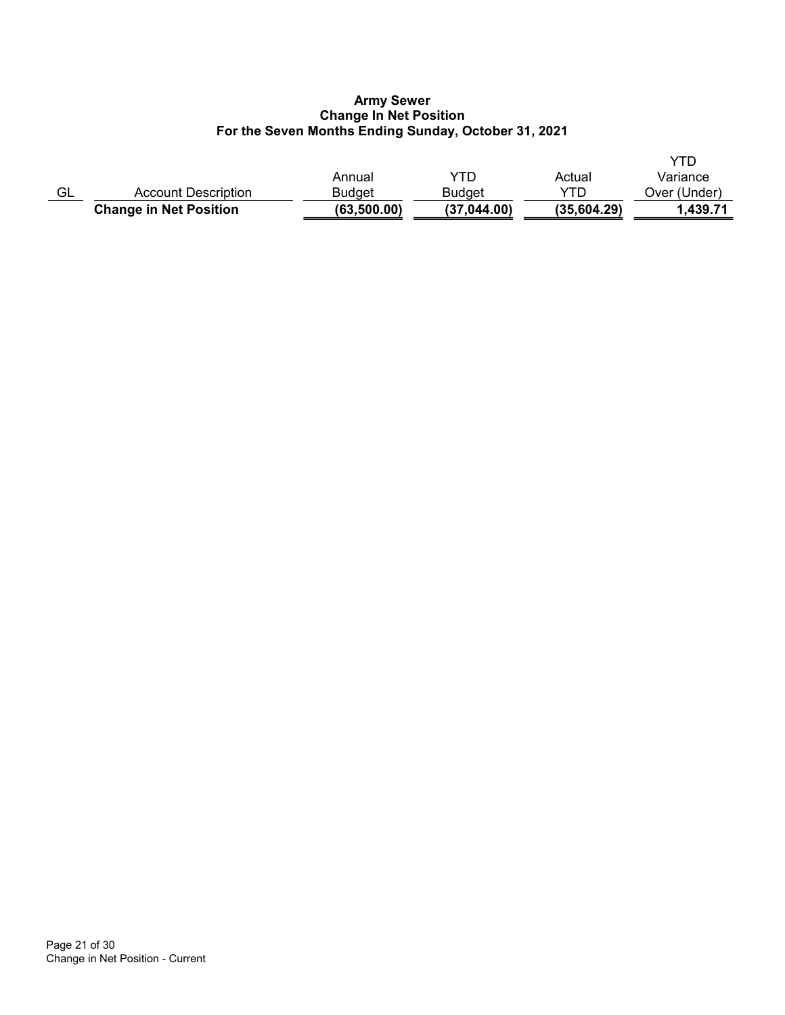## Army Sewer Change In Net Position For the Seven Months Ending Sunday, October 31, 2021

|    | <b>Change in Net Position</b> | (63, 500.00)  | (37,044.00)   | (35,604.29) | 1.439.71     |
|----|-------------------------------|---------------|---------------|-------------|--------------|
| GL | Account Description           | <b>Budget</b> | <b>Budget</b> | YTD         | Over (Under) |
|    |                               | Annual        | YTD           | Actual      | Variance     |
|    |                               |               |               |             |              |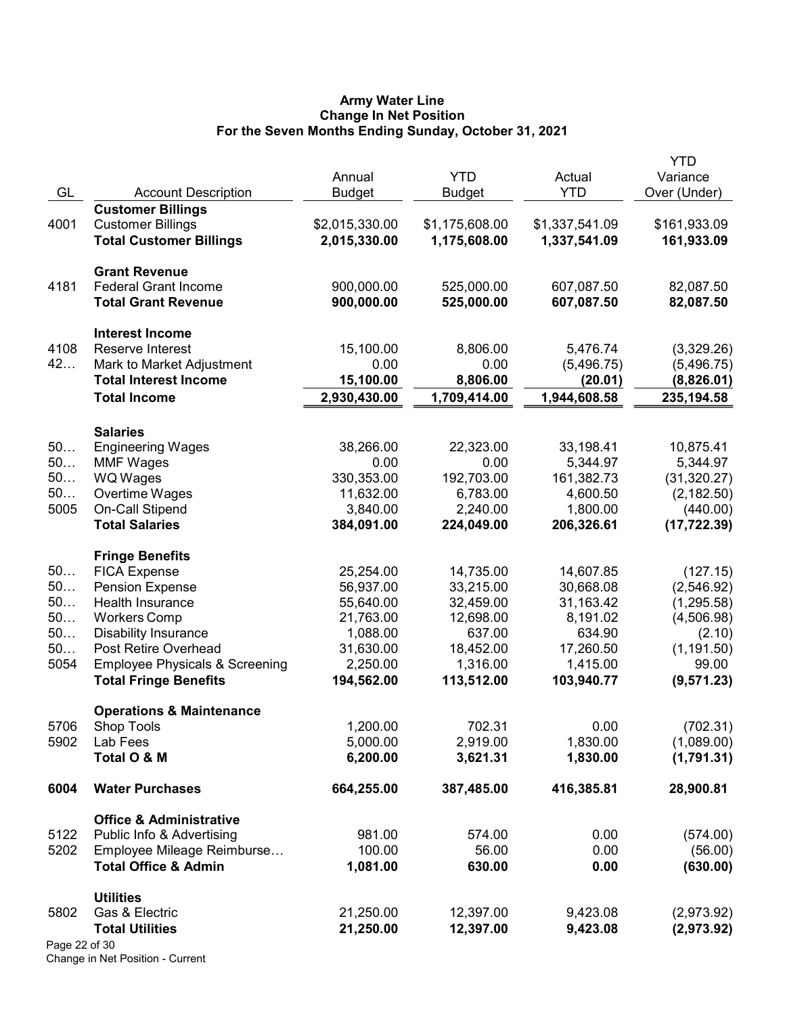#### Army Water Line Change In Net Position For the Seven Months Ending Sunday, October 31, 2021

| GL            | <b>Account Description</b>                           | Annual<br><b>Budget</b> | <b>YTD</b><br><b>Budget</b> | Actual<br><b>YTD</b> | <b>YTD</b><br>Variance<br>Over (Under) |
|---------------|------------------------------------------------------|-------------------------|-----------------------------|----------------------|----------------------------------------|
| 4001          | <b>Customer Billings</b><br><b>Customer Billings</b> | \$2,015,330.00          | \$1,175,608.00              | \$1,337,541.09       | \$161,933.09                           |
|               | <b>Total Customer Billings</b>                       | 2,015,330.00            | 1,175,608.00                | 1,337,541.09         | 161,933.09                             |
|               | <b>Grant Revenue</b>                                 |                         |                             |                      |                                        |
| 4181          | <b>Federal Grant Income</b>                          | 900,000.00              | 525,000.00                  | 607,087.50           | 82,087.50                              |
|               | <b>Total Grant Revenue</b>                           | 900,000.00              | 525,000.00                  | 607,087.50           | 82,087.50                              |
|               | <b>Interest Income</b>                               |                         |                             |                      |                                        |
| 4108          | Reserve Interest                                     | 15,100.00               | 8,806.00                    | 5,476.74             | (3,329.26)                             |
| 42            | Mark to Market Adjustment                            | 0.00                    | 0.00                        | (5,496.75)           | (5,496.75)                             |
|               | <b>Total Interest Income</b>                         | 15,100.00               | 8,806.00                    | (20.01)              | (8,826.01)                             |
|               | <b>Total Income</b>                                  | 2,930,430.00            | 1,709,414.00                | 1,944,608.58         | 235,194.58                             |
|               | <b>Salaries</b>                                      |                         |                             |                      |                                        |
| 50            | <b>Engineering Wages</b>                             | 38,266.00               | 22,323.00                   | 33,198.41            | 10,875.41                              |
| 50            | <b>MMF Wages</b>                                     | 0.00                    | 0.00                        | 5,344.97             | 5,344.97                               |
| 50            | <b>WQ Wages</b>                                      | 330,353.00              | 192,703.00                  | 161,382.73           | (31, 320.27)                           |
| 50            | Overtime Wages                                       | 11,632.00               | 6,783.00                    | 4,600.50             | (2, 182.50)                            |
| 5005          | On-Call Stipend                                      | 3,840.00                | 2,240.00                    | 1,800.00             | (440.00)                               |
|               | <b>Total Salaries</b>                                | 384,091.00              | 224,049.00                  | 206,326.61           | (17, 722.39)                           |
|               | <b>Fringe Benefits</b>                               |                         |                             |                      |                                        |
| 50            | <b>FICA Expense</b>                                  | 25,254.00               | 14,735.00                   | 14,607.85            | (127.15)                               |
| 50            | <b>Pension Expense</b>                               | 56,937.00               | 33,215.00                   | 30,668.08            | (2,546.92)                             |
| 50            | Health Insurance                                     | 55,640.00               | 32,459.00                   | 31,163.42            | (1, 295.58)                            |
| 50            | <b>Workers Comp</b>                                  | 21,763.00               | 12,698.00                   | 8,191.02             | (4,506.98)                             |
| 50            | <b>Disability Insurance</b>                          | 1,088.00                | 637.00                      | 634.90               | (2.10)                                 |
| 50            | Post Retire Overhead                                 | 31,630.00               | 18,452.00                   | 17,260.50            | (1, 191.50)                            |
| 5054          | <b>Employee Physicals &amp; Screening</b>            | 2,250.00                | 1,316.00                    | 1,415.00             | 99.00                                  |
|               | <b>Total Fringe Benefits</b>                         | 194,562.00              | 113,512.00                  | 103,940.77           | (9, 571.23)                            |
|               | <b>Operations &amp; Maintenance</b>                  |                         |                             |                      |                                        |
| 5706          | Shop Tools                                           | 1,200.00                | 702.31                      | 0.00                 | (702.31)                               |
| 5902          | Lab Fees                                             | 5,000.00                | 2,919.00                    | 1,830.00             | (1,089.00)                             |
|               | Total O & M                                          | 6,200.00                | 3,621.31                    | 1,830.00             | (1,791.31)                             |
| 6004          | <b>Water Purchases</b>                               | 664,255.00              | 387,485.00                  | 416,385.81           | 28,900.81                              |
|               | <b>Office &amp; Administrative</b>                   |                         |                             |                      |                                        |
| 5122          | Public Info & Advertising                            | 981.00                  | 574.00                      | 0.00                 | (574.00)                               |
| 5202          | Employee Mileage Reimburse                           | 100.00                  | 56.00                       | 0.00                 | (56.00)                                |
|               | <b>Total Office &amp; Admin</b>                      | 1,081.00                | 630.00                      | 0.00                 | (630.00)                               |
|               | <b>Utilities</b>                                     |                         |                             |                      |                                        |
| 5802          | Gas & Electric                                       | 21,250.00               | 12,397.00                   | 9,423.08             | (2,973.92)                             |
|               | <b>Total Utilities</b>                               | 21,250.00               | 12,397.00                   | 9,423.08             | (2,973.92)                             |
| Page 22 of 30 |                                                      |                         |                             |                      |                                        |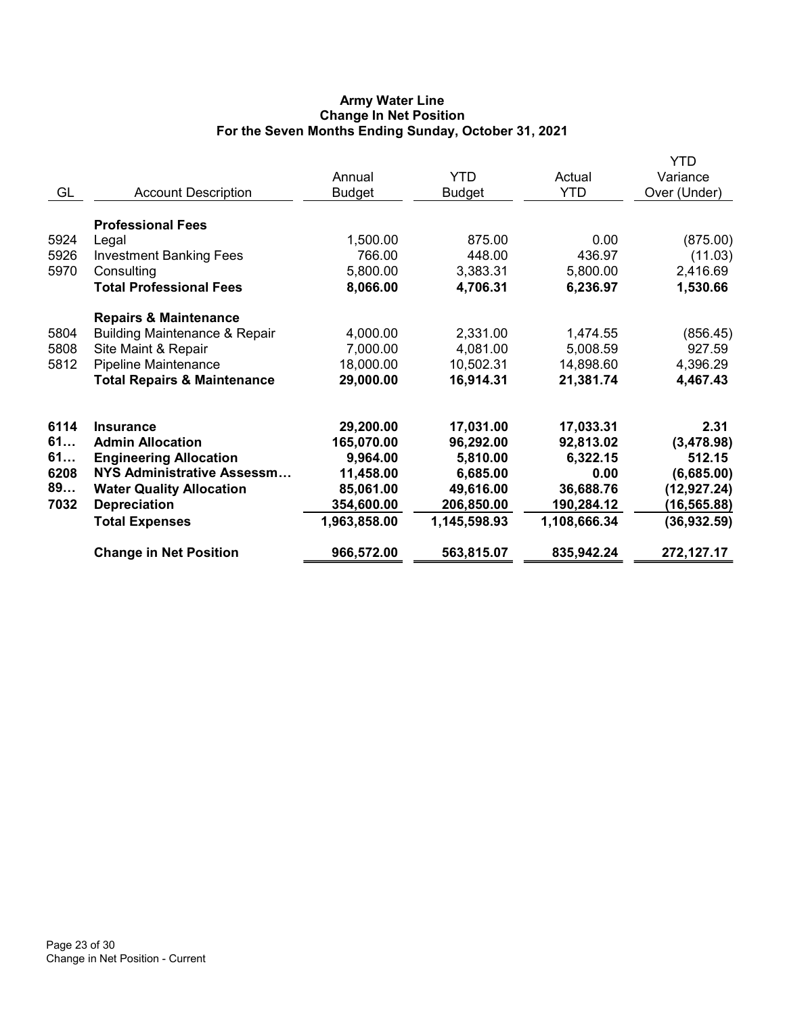# Army Water Line Change In Net Position For the Seven Months Ending Sunday, October 31, 2021

|      |                                          |               |               |              | <b>YTD</b>   |
|------|------------------------------------------|---------------|---------------|--------------|--------------|
|      |                                          | Annual        | <b>YTD</b>    | Actual       | Variance     |
| GL   | <b>Account Description</b>               | <b>Budget</b> | <b>Budget</b> | <b>YTD</b>   | Over (Under) |
|      | <b>Professional Fees</b>                 |               |               |              |              |
|      |                                          |               |               | 0.00         |              |
| 5924 | Legal                                    | 1,500.00      | 875.00        |              | (875.00)     |
| 5926 | <b>Investment Banking Fees</b>           | 766.00        | 448.00        | 436.97       | (11.03)      |
| 5970 | Consulting                               | 5,800.00      | 3,383.31      | 5,800.00     | 2,416.69     |
|      | <b>Total Professional Fees</b>           | 8,066.00      | 4,706.31      | 6,236.97     | 1,530.66     |
|      | <b>Repairs &amp; Maintenance</b>         |               |               |              |              |
| 5804 | <b>Building Maintenance &amp; Repair</b> | 4,000.00      | 2,331.00      | 1,474.55     | (856.45)     |
| 5808 | Site Maint & Repair                      | 7,000.00      | 4,081.00      | 5,008.59     | 927.59       |
| 5812 | <b>Pipeline Maintenance</b>              | 18,000.00     | 10,502.31     | 14,898.60    | 4,396.29     |
|      | <b>Total Repairs &amp; Maintenance</b>   | 29,000.00     | 16,914.31     | 21,381.74    | 4,467.43     |
|      |                                          |               |               |              |              |
| 6114 | <b>Insurance</b>                         |               |               |              | 2.31         |
| 61   |                                          | 29,200.00     | 17,031.00     | 17,033.31    |              |
|      | <b>Admin Allocation</b>                  | 165,070.00    | 96,292.00     | 92,813.02    | (3,478.98)   |
| 61   | <b>Engineering Allocation</b>            | 9,964.00      | 5,810.00      | 6,322.15     | 512.15       |
| 6208 | <b>NYS Administrative Assessm</b>        | 11,458.00     | 6,685.00      | 0.00         | (6,685.00)   |
| 89   | <b>Water Quality Allocation</b>          | 85,061.00     | 49,616.00     | 36,688.76    | (12, 927.24) |
| 7032 | <b>Depreciation</b>                      | 354,600.00    | 206,850.00    | 190,284.12   | (16, 565.88) |
|      | <b>Total Expenses</b>                    | 1,963,858.00  | 1,145,598.93  | 1,108,666.34 | (36, 932.59) |
|      | <b>Change in Net Position</b>            | 966,572.00    | 563,815.07    | 835,942.24   | 272,127.17   |
|      |                                          |               |               |              |              |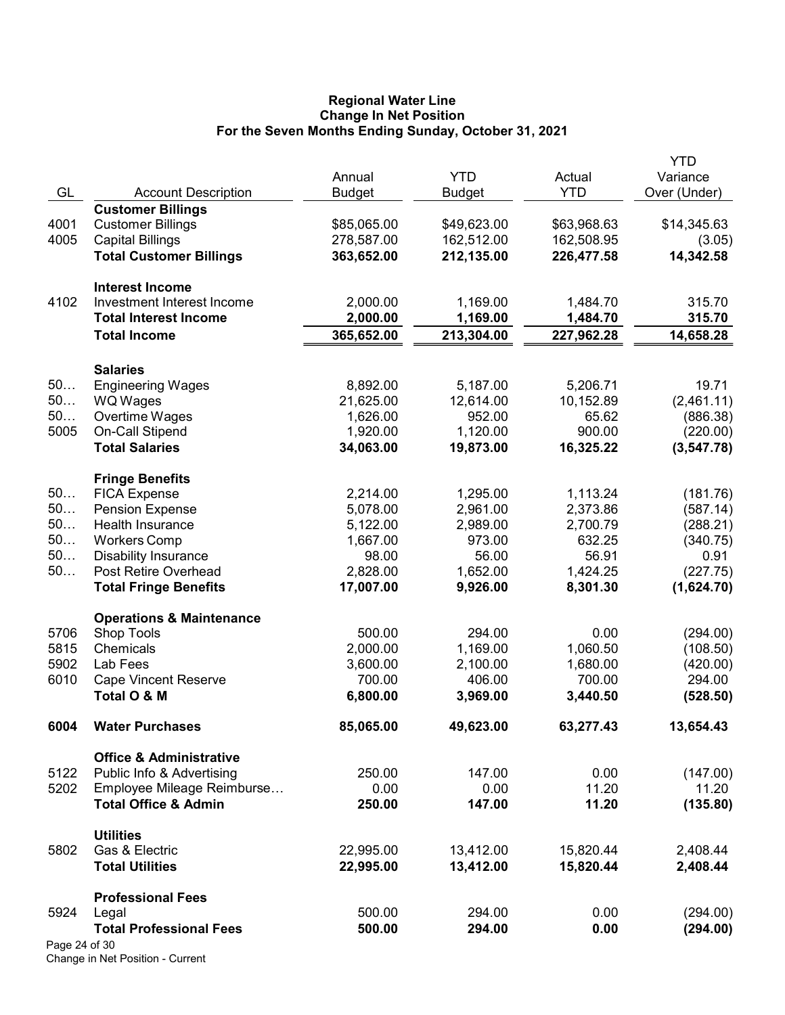#### Regional Water Line Change In Net Position For the Seven Months Ending Sunday, October 31, 2021

|               |                                             |               |               |             | <b>YTD</b>             |
|---------------|---------------------------------------------|---------------|---------------|-------------|------------------------|
|               |                                             | Annual        | <b>YTD</b>    | Actual      | Variance               |
| GL            | <b>Account Description</b>                  | <b>Budget</b> | <b>Budget</b> | <b>YTD</b>  | Over (Under)           |
|               | <b>Customer Billings</b>                    |               |               |             |                        |
| 4001          | <b>Customer Billings</b>                    | \$85,065.00   | \$49,623.00   | \$63,968.63 | \$14,345.63            |
| 4005          | <b>Capital Billings</b>                     | 278,587.00    | 162,512.00    | 162,508.95  | (3.05)                 |
|               | <b>Total Customer Billings</b>              | 363,652.00    | 212,135.00    | 226,477.58  | 14,342.58              |
|               | <b>Interest Income</b>                      |               |               |             |                        |
| 4102          | Investment Interest Income                  | 2,000.00      | 1,169.00      | 1,484.70    | 315.70                 |
|               | <b>Total Interest Income</b>                | 2,000.00      | 1,169.00      | 1,484.70    | 315.70                 |
|               | <b>Total Income</b>                         | 365,652.00    | 213,304.00    | 227,962.28  | 14,658.28              |
|               |                                             |               |               |             |                        |
| 50            | <b>Salaries</b><br><b>Engineering Wages</b> | 8,892.00      | 5,187.00      | 5,206.71    | 19.71                  |
| 50            |                                             | 21,625.00     | 12,614.00     | 10,152.89   |                        |
| 50            | <b>WQ Wages</b><br>Overtime Wages           | 1,626.00      | 952.00        | 65.62       | (2,461.11)<br>(886.38) |
| 5005          | On-Call Stipend                             | 1,920.00      | 1,120.00      | 900.00      | (220.00)               |
|               | <b>Total Salaries</b>                       | 34,063.00     | 19,873.00     | 16,325.22   | (3, 547.78)            |
|               |                                             |               |               |             |                        |
|               | <b>Fringe Benefits</b>                      |               |               |             |                        |
| 50            | <b>FICA Expense</b>                         | 2,214.00      | 1,295.00      | 1,113.24    | (181.76)               |
| 50            | <b>Pension Expense</b>                      | 5,078.00      | 2,961.00      | 2,373.86    | (587.14)               |
| 50            | Health Insurance                            | 5,122.00      | 2,989.00      | 2,700.79    | (288.21)               |
| 50            | <b>Workers Comp</b>                         | 1,667.00      | 973.00        | 632.25      | (340.75)               |
| 50            | <b>Disability Insurance</b>                 | 98.00         | 56.00         | 56.91       | 0.91                   |
| 50            | Post Retire Overhead                        | 2,828.00      | 1,652.00      | 1,424.25    | (227.75)               |
|               | <b>Total Fringe Benefits</b>                | 17,007.00     | 9,926.00      | 8,301.30    | (1,624.70)             |
|               | <b>Operations &amp; Maintenance</b>         |               |               |             |                        |
| 5706          | Shop Tools                                  | 500.00        | 294.00        | 0.00        | (294.00)               |
| 5815          | Chemicals                                   | 2,000.00      | 1,169.00      | 1,060.50    | (108.50)               |
| 5902          | Lab Fees                                    | 3,600.00      | 2,100.00      | 1,680.00    | (420.00)               |
| 6010          | <b>Cape Vincent Reserve</b>                 | 700.00        | 406.00        | 700.00      | 294.00                 |
|               | Total O & M                                 | 6,800.00      | 3,969.00      | 3,440.50    | (528.50)               |
| 6004          | <b>Water Purchases</b>                      | 85,065.00     | 49,623.00     | 63,277.43   | 13,654.43              |
|               | <b>Office &amp; Administrative</b>          |               |               |             |                        |
| 5122          | Public Info & Advertising                   | 250.00        | 147.00        | 0.00        | (147.00)               |
| 5202          | Employee Mileage Reimburse                  | 0.00          | 0.00          | 11.20       | 11.20                  |
|               | <b>Total Office &amp; Admin</b>             | 250.00        | 147.00        | 11.20       | (135.80)               |
|               | <b>Utilities</b>                            |               |               |             |                        |
| 5802          | Gas & Electric                              | 22,995.00     | 13,412.00     | 15,820.44   | 2,408.44               |
|               | <b>Total Utilities</b>                      | 22,995.00     | 13,412.00     | 15,820.44   | 2,408.44               |
|               | <b>Professional Fees</b>                    |               |               |             |                        |
| 5924          | Legal                                       | 500.00        | 294.00        | 0.00        | (294.00)               |
|               | <b>Total Professional Fees</b>              | 500.00        | 294.00        | 0.00        | (294.00)               |
| Page 24 of 30 |                                             |               |               |             |                        |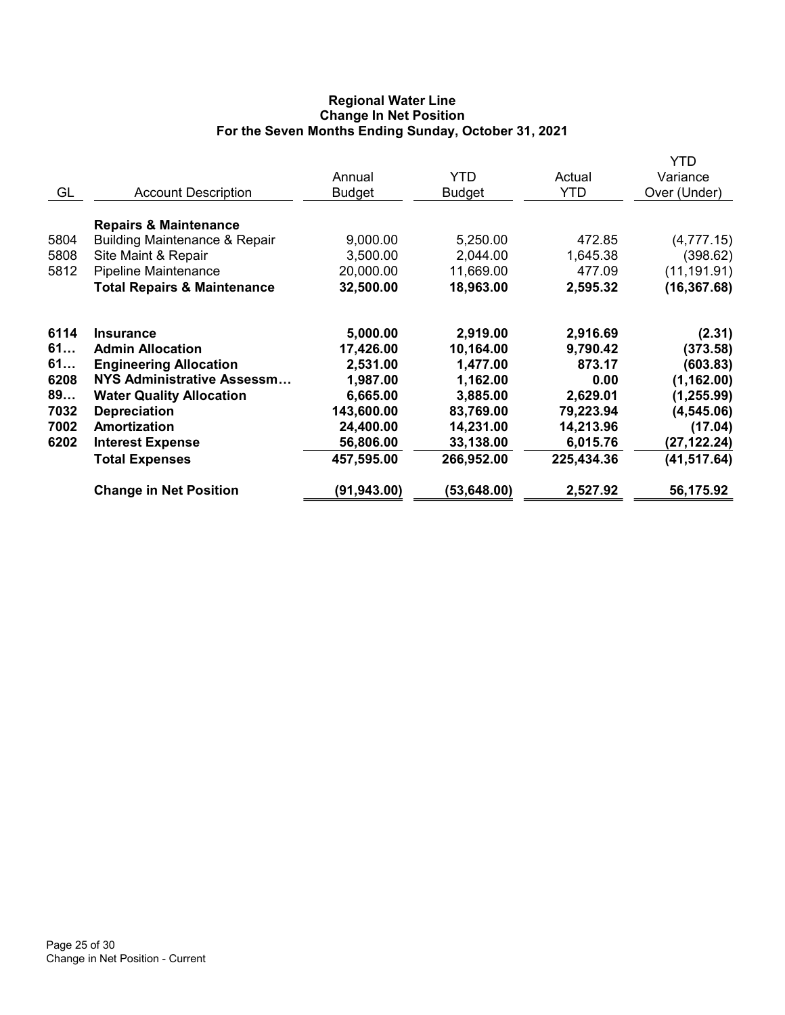# Regional Water Line Change In Net Position For the Seven Months Ending Sunday, October 31, 2021

|      |                                          |             |               |            | YTD          |
|------|------------------------------------------|-------------|---------------|------------|--------------|
|      |                                          | Annual      | YTD           | Actual     | Variance     |
| GL   | <b>Account Description</b>               | Budget      | <b>Budget</b> | <b>YTD</b> | Over (Under) |
|      | <b>Repairs &amp; Maintenance</b>         |             |               |            |              |
| 5804 | <b>Building Maintenance &amp; Repair</b> | 9,000.00    | 5,250.00      | 472.85     | (4,777.15)   |
| 5808 | Site Maint & Repair                      | 3,500.00    | 2,044.00      | 1,645.38   | (398.62)     |
| 5812 | Pipeline Maintenance                     | 20,000.00   | 11,669.00     | 477.09     | (11, 191.91) |
|      | <b>Total Repairs &amp; Maintenance</b>   | 32,500.00   | 18,963.00     | 2,595.32   | (16, 367.68) |
| 6114 | <b>Insurance</b>                         | 5,000.00    | 2,919.00      | 2,916.69   | (2.31)       |
| 61   | <b>Admin Allocation</b>                  | 17,426.00   | 10,164.00     | 9,790.42   | (373.58)     |
| 61   | <b>Engineering Allocation</b>            | 2,531.00    | 1,477.00      | 873.17     | (603.83)     |
| 6208 | NYS Administrative Assessm               | 1,987.00    | 1,162.00      | 0.00       | (1, 162.00)  |
| 89   | <b>Water Quality Allocation</b>          | 6,665.00    | 3,885.00      | 2,629.01   | (1, 255.99)  |
| 7032 | <b>Depreciation</b>                      | 143,600.00  | 83,769.00     | 79,223.94  | (4, 545.06)  |
| 7002 | Amortization                             | 24,400.00   | 14,231.00     | 14,213.96  | (17.04)      |
| 6202 | <b>Interest Expense</b>                  | 56,806.00   | 33,138.00     | 6,015.76   | (27, 122.24) |
|      | <b>Total Expenses</b>                    | 457,595.00  | 266,952.00    | 225,434.36 | (41, 517.64) |
|      | <b>Change in Net Position</b>            | (91,943.00) | (53, 648.00)  | 2,527.92   | 56,175.92    |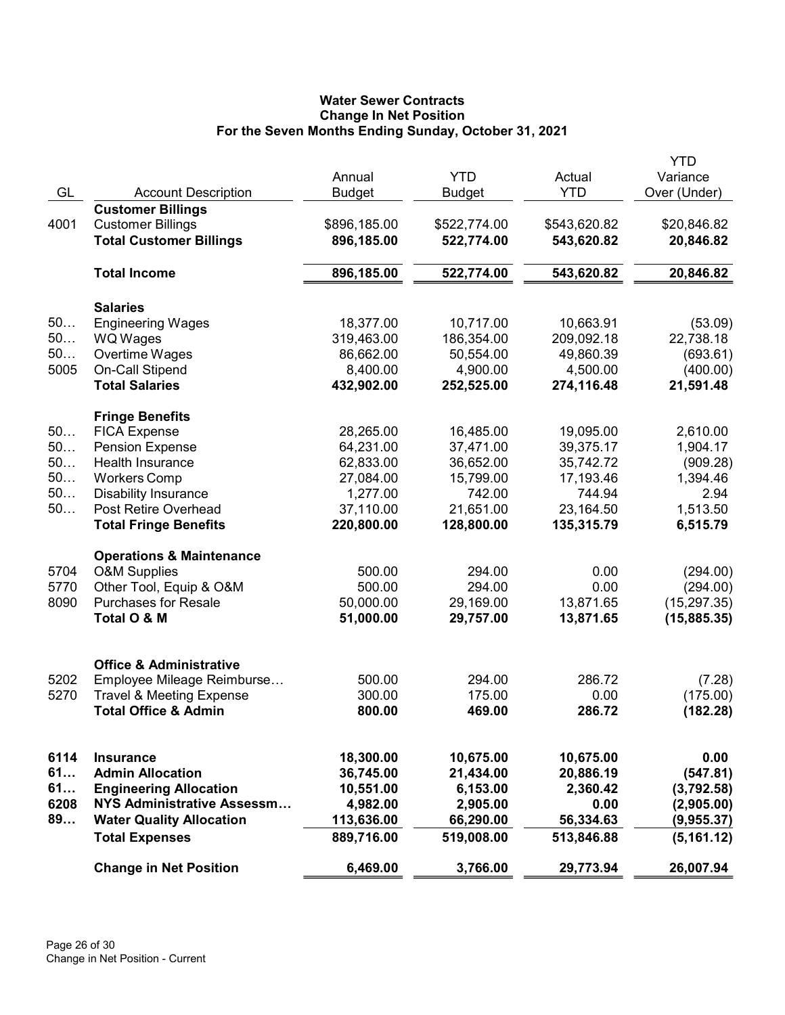# Water Sewer Contracts Change In Net Position For the Seven Months Ending Sunday, October 31, 2021

| GL   | <b>Account Description</b>                                                             | Annual<br><b>Budget</b>    | <b>YTD</b><br><b>Budget</b> | Actual<br><b>YTD</b>       | <b>YTD</b><br>Variance<br>Over (Under) |
|------|----------------------------------------------------------------------------------------|----------------------------|-----------------------------|----------------------------|----------------------------------------|
| 4001 | <b>Customer Billings</b><br><b>Customer Billings</b><br><b>Total Customer Billings</b> | \$896,185.00<br>896,185.00 | \$522,774.00<br>522,774.00  | \$543,620.82<br>543,620.82 | \$20,846.82<br>20,846.82               |
|      | <b>Total Income</b>                                                                    | 896,185.00                 | 522,774.00                  | 543,620.82                 | 20,846.82                              |
|      | <b>Salaries</b>                                                                        |                            |                             |                            |                                        |
| 50   | <b>Engineering Wages</b>                                                               | 18,377.00                  | 10,717.00                   | 10,663.91                  | (53.09)                                |
| 50   | WQ Wages                                                                               | 319,463.00                 | 186,354.00                  | 209,092.18                 | 22,738.18                              |
| 50   | Overtime Wages                                                                         | 86,662.00                  | 50,554.00                   | 49,860.39                  | (693.61)                               |
| 5005 | On-Call Stipend                                                                        | 8,400.00                   | 4,900.00                    | 4,500.00                   | (400.00)                               |
|      | <b>Total Salaries</b>                                                                  | 432,902.00                 | 252,525.00                  | 274,116.48                 | 21,591.48                              |
|      | <b>Fringe Benefits</b>                                                                 |                            |                             |                            |                                        |
| 50   | <b>FICA Expense</b>                                                                    | 28,265.00                  | 16,485.00                   | 19,095.00                  | 2,610.00                               |
| 50   | <b>Pension Expense</b>                                                                 | 64,231.00                  | 37,471.00                   | 39,375.17                  | 1,904.17                               |
| 50   | Health Insurance                                                                       | 62,833.00                  | 36,652.00                   | 35,742.72                  | (909.28)                               |
| 50   | <b>Workers Comp</b>                                                                    | 27,084.00                  | 15,799.00                   | 17,193.46                  | 1,394.46                               |
| 50   | <b>Disability Insurance</b>                                                            | 1,277.00                   | 742.00                      | 744.94                     | 2.94                                   |
| 50   | Post Retire Overhead                                                                   | 37,110.00                  | 21,651.00                   | 23,164.50                  | 1,513.50                               |
|      | <b>Total Fringe Benefits</b>                                                           | 220,800.00                 | 128,800.00                  | 135,315.79                 | 6,515.79                               |
|      | <b>Operations &amp; Maintenance</b>                                                    |                            |                             |                            |                                        |
| 5704 | <b>O&amp;M Supplies</b>                                                                | 500.00                     | 294.00                      | 0.00                       | (294.00)                               |
| 5770 | Other Tool, Equip & O&M                                                                | 500.00                     | 294.00                      | 0.00                       | (294.00)                               |
| 8090 | <b>Purchases for Resale</b>                                                            | 50,000.00                  | 29,169.00                   | 13,871.65                  | (15, 297.35)                           |
|      | Total O & M                                                                            | 51,000.00                  | 29,757.00                   | 13,871.65                  | (15, 885.35)                           |
|      |                                                                                        |                            |                             |                            |                                        |
| 5202 | <b>Office &amp; Administrative</b><br>Employee Mileage Reimburse                       | 500.00                     | 294.00                      | 286.72                     |                                        |
| 5270 | <b>Travel &amp; Meeting Expense</b>                                                    | 300.00                     | 175.00                      | 0.00                       | (7.28)<br>(175.00)                     |
|      | <b>Total Office &amp; Admin</b>                                                        | 800.00                     | 469.00                      | 286.72                     |                                        |
|      |                                                                                        |                            |                             |                            | (182.28)                               |
| 6114 | <b>Insurance</b>                                                                       | 18,300.00                  | 10,675.00                   | 10,675.00                  | 0.00                                   |
| 61   | <b>Admin Allocation</b>                                                                | 36,745.00                  | 21,434.00                   | 20,886.19                  | (547.81)                               |
| 61   | <b>Engineering Allocation</b>                                                          | 10,551.00                  | 6,153.00                    | 2,360.42                   | (3,792.58)                             |
| 6208 | NYS Administrative Assessm                                                             | 4,982.00                   | 2,905.00                    | 0.00                       | (2,905.00)                             |
| 89   | <b>Water Quality Allocation</b>                                                        | 113,636.00                 | 66,290.00                   | 56,334.63                  | (9,955.37)                             |
|      | <b>Total Expenses</b>                                                                  | 889,716.00                 | 519,008.00                  | 513,846.88                 | (5, 161.12)                            |
|      | <b>Change in Net Position</b>                                                          | 6,469.00                   | 3,766.00                    | 29,773.94                  | 26,007.94                              |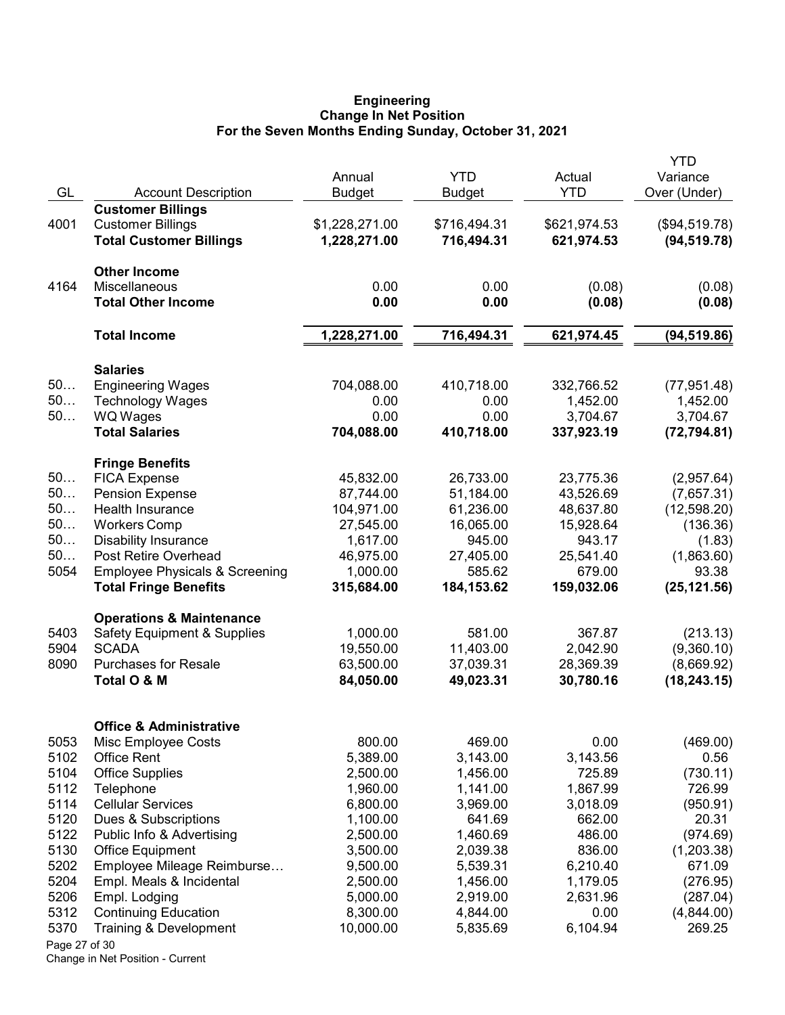#### Engineering Change In Net Position For the Seven Months Ending Sunday, October 31, 2021

|               |                                               |                         |                             |                        | <b>YTD</b>               |
|---------------|-----------------------------------------------|-------------------------|-----------------------------|------------------------|--------------------------|
| GL            | <b>Account Description</b>                    | Annual<br><b>Budget</b> | <b>YTD</b><br><b>Budget</b> | Actual<br><b>YTD</b>   | Variance<br>Over (Under) |
|               | <b>Customer Billings</b>                      |                         |                             |                        |                          |
| 4001          | <b>Customer Billings</b>                      | \$1,228,271.00          | \$716,494.31                | \$621,974.53           | (\$94,519.78)            |
|               | <b>Total Customer Billings</b>                | 1,228,271.00            | 716,494.31                  | 621,974.53             | (94, 519.78)             |
|               | <b>Other Income</b>                           |                         |                             |                        |                          |
| 4164          | Miscellaneous                                 | 0.00                    | 0.00                        | (0.08)                 | (0.08)                   |
|               | <b>Total Other Income</b>                     | 0.00                    | 0.00                        | (0.08)                 | (0.08)                   |
|               | <b>Total Income</b>                           | 1,228,271.00            | 716,494.31                  | 621,974.45             | (94, 519.86)             |
|               | <b>Salaries</b>                               |                         |                             |                        |                          |
| 50            | <b>Engineering Wages</b>                      | 704,088.00              | 410,718.00                  | 332,766.52             | (77, 951.48)             |
| 50            | <b>Technology Wages</b>                       | 0.00                    | 0.00                        | 1,452.00               | 1,452.00                 |
| 50            | <b>WQ Wages</b>                               | 0.00                    | 0.00                        | 3,704.67               | 3,704.67                 |
|               | <b>Total Salaries</b>                         | 704,088.00              | 410,718.00                  | 337,923.19             | (72, 794.81)             |
| 50            | <b>Fringe Benefits</b>                        |                         |                             |                        |                          |
| 50            | <b>FICA Expense</b><br><b>Pension Expense</b> | 45,832.00<br>87,744.00  | 26,733.00<br>51,184.00      | 23,775.36<br>43,526.69 | (2,957.64)<br>(7,657.31) |
| 50            | Health Insurance                              | 104,971.00              | 61,236.00                   | 48,637.80              | (12,598.20)              |
| 50            | <b>Workers Comp</b>                           | 27,545.00               | 16,065.00                   | 15,928.64              | (136.36)                 |
| 50            | <b>Disability Insurance</b>                   | 1,617.00                | 945.00                      | 943.17                 | (1.83)                   |
| 50            | Post Retire Overhead                          | 46,975.00               | 27,405.00                   | 25,541.40              | (1,863.60)               |
| 5054          | <b>Employee Physicals &amp; Screening</b>     | 1,000.00                | 585.62                      | 679.00                 | 93.38                    |
|               | <b>Total Fringe Benefits</b>                  | 315,684.00              | 184, 153.62                 | 159,032.06             | (25, 121.56)             |
|               | <b>Operations &amp; Maintenance</b>           |                         |                             |                        |                          |
| 5403          | <b>Safety Equipment &amp; Supplies</b>        | 1,000.00                | 581.00                      | 367.87                 | (213.13)                 |
| 5904          | <b>SCADA</b>                                  | 19,550.00               | 11,403.00                   | 2,042.90               | (9,360.10)               |
| 8090          | <b>Purchases for Resale</b>                   | 63,500.00               | 37,039.31                   | 28,369.39              | (8,669.92)               |
|               | Total O & M                                   | 84,050.00               | 49,023.31                   | 30,780.16              | (18, 243.15)             |
|               | <b>Office &amp; Administrative</b>            |                         |                             |                        |                          |
| 5053          | Misc Employee Costs                           | 800.00                  | 469.00                      | 0.00                   | (469.00)                 |
| 5102          | <b>Office Rent</b>                            | 5,389.00                | 3,143.00                    | 3,143.56               | 0.56                     |
| 5104          | <b>Office Supplies</b>                        | 2,500.00                | 1,456.00                    | 725.89                 | (730.11)                 |
| 5112          | Telephone                                     | 1,960.00                | 1,141.00                    | 1,867.99               | 726.99                   |
| 5114          | <b>Cellular Services</b>                      | 6,800.00                | 3,969.00                    | 3,018.09               | (950.91)                 |
| 5120          | Dues & Subscriptions                          | 1,100.00                | 641.69                      | 662.00                 | 20.31                    |
| 5122          | Public Info & Advertising                     | 2,500.00                | 1,460.69                    | 486.00                 | (974.69)                 |
| 5130          | <b>Office Equipment</b>                       | 3,500.00                | 2,039.38                    | 836.00                 | (1,203.38)               |
| 5202          | Employee Mileage Reimburse                    | 9,500.00                | 5,539.31                    | 6,210.40               | 671.09                   |
| 5204<br>5206  | Empl. Meals & Incidental<br>Empl. Lodging     | 2,500.00<br>5,000.00    | 1,456.00<br>2,919.00        | 1,179.05<br>2,631.96   | (276.95)<br>(287.04)     |
| 5312          | <b>Continuing Education</b>                   | 8,300.00                | 4,844.00                    | 0.00                   | (4,844.00)               |
| 5370          | Training & Development                        | 10,000.00               | 5,835.69                    | 6,104.94               | 269.25                   |
| Page 27 of 30 |                                               |                         |                             |                        |                          |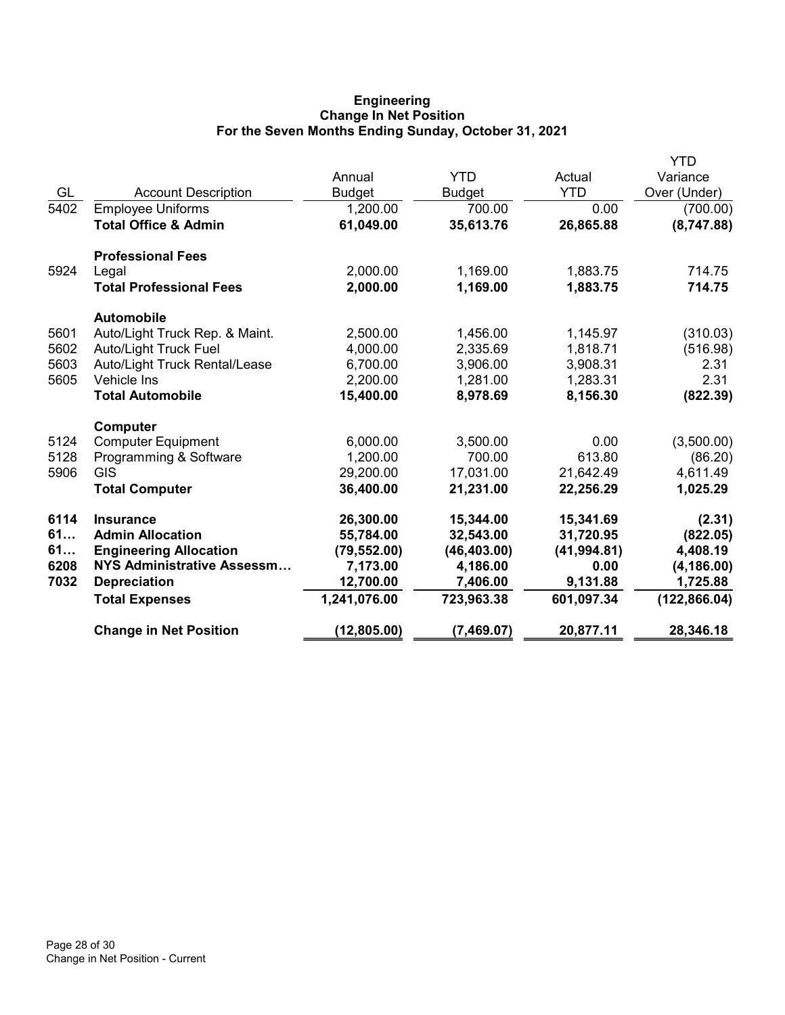# Engineering Change In Net Position For the Seven Months Ending Sunday, October 31, 2021

|      |                                 |               |               |              | YTD           |
|------|---------------------------------|---------------|---------------|--------------|---------------|
|      |                                 | Annual        | <b>YTD</b>    | Actual       | Variance      |
| GL   | <b>Account Description</b>      | <b>Budget</b> | <b>Budget</b> | <b>YTD</b>   | Over (Under)  |
| 5402 | <b>Employee Uniforms</b>        | 1,200.00      | 700.00        | 0.00         | (700.00)      |
|      | <b>Total Office &amp; Admin</b> | 61,049.00     | 35,613.76     | 26,865.88    | (8,747.88)    |
|      | <b>Professional Fees</b>        |               |               |              |               |
| 5924 | Legal                           | 2,000.00      | 1,169.00      | 1,883.75     | 714.75        |
|      | <b>Total Professional Fees</b>  | 2,000.00      | 1,169.00      | 1,883.75     | 714.75        |
|      | <b>Automobile</b>               |               |               |              |               |
| 5601 | Auto/Light Truck Rep. & Maint.  | 2,500.00      | 1,456.00      | 1,145.97     | (310.03)      |
| 5602 | <b>Auto/Light Truck Fuel</b>    | 4,000.00      | 2,335.69      | 1,818.71     | (516.98)      |
| 5603 | Auto/Light Truck Rental/Lease   | 6,700.00      | 3,906.00      | 3,908.31     | 2.31          |
| 5605 | <b>Vehicle Ins</b>              | 2,200.00      | 1,281.00      | 1,283.31     | 2.31          |
|      | <b>Total Automobile</b>         | 15,400.00     | 8,978.69      | 8,156.30     | (822.39)      |
|      | Computer                        |               |               |              |               |
| 5124 | <b>Computer Equipment</b>       | 6,000.00      | 3,500.00      | 0.00         | (3,500.00)    |
| 5128 | Programming & Software          | 1,200.00      | 700.00        | 613.80       | (86.20)       |
| 5906 | <b>GIS</b>                      | 29,200.00     | 17,031.00     | 21,642.49    | 4,611.49      |
|      | <b>Total Computer</b>           | 36,400.00     | 21,231.00     | 22,256.29    | 1,025.29      |
| 6114 | <b>Insurance</b>                | 26,300.00     | 15,344.00     | 15,341.69    | (2.31)        |
| 61   | <b>Admin Allocation</b>         | 55,784.00     | 32,543.00     | 31,720.95    | (822.05)      |
| 61   | <b>Engineering Allocation</b>   | (79, 552.00)  | (46, 403.00)  | (41, 994.81) | 4,408.19      |
| 6208 | NYS Administrative Assessm      | 7,173.00      | 4,186.00      | 0.00         | (4, 186.00)   |
| 7032 | <b>Depreciation</b>             | 12,700.00     | 7,406.00      | 9,131.88     | 1,725.88      |
|      | <b>Total Expenses</b>           | 1,241,076.00  | 723,963.38    | 601,097.34   | (122, 866.04) |
|      | <b>Change in Net Position</b>   | (12, 805.00)  | (7,469.07)    | 20,877.11    | 28,346.18     |
|      |                                 |               |               |              |               |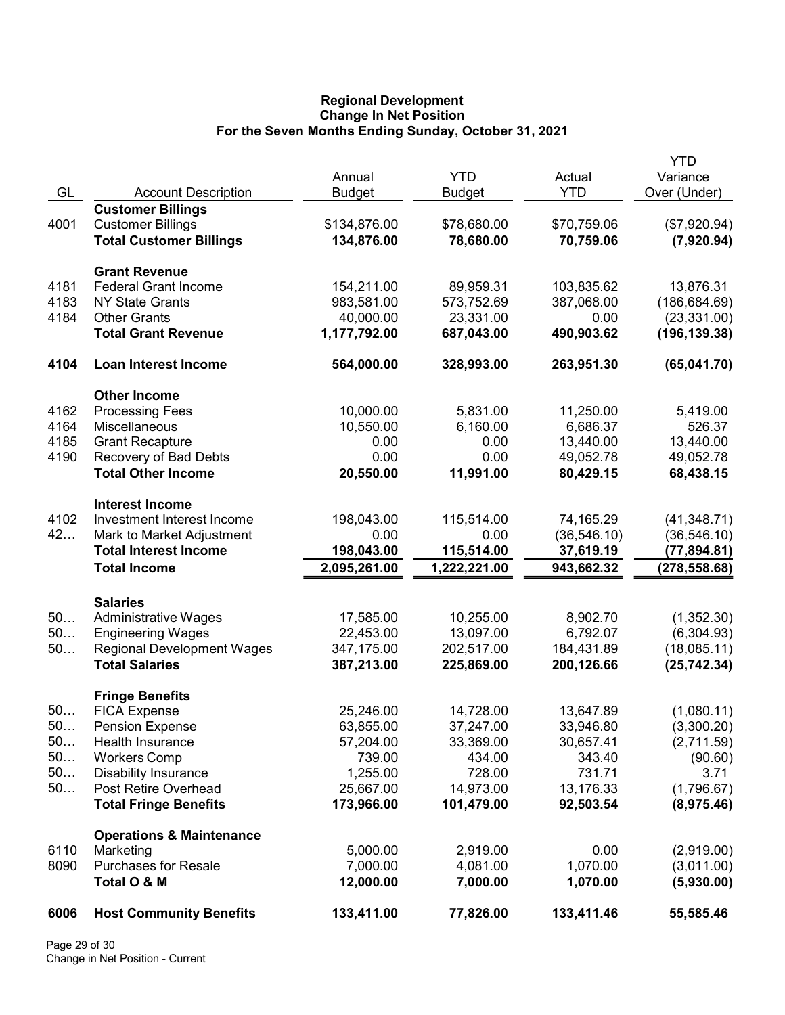## Regional Development Change In Net Position For the Seven Months Ending Sunday, October 31, 2021

| GL<br><b>YTD</b><br><b>Account Description</b><br>Over (Under)<br><b>Budget</b><br><b>Budget</b><br><b>Customer Billings</b><br>4001<br><b>Customer Billings</b><br>\$134,876.00<br>\$78,680.00<br>\$70,759.06<br>(\$7,920.94)<br><b>Total Customer Billings</b><br>134,876.00<br>78,680.00<br>70,759.06<br>(7,920.94)<br><b>Grant Revenue</b><br>154,211.00<br>4181<br><b>Federal Grant Income</b><br>89,959.31<br>103,835.62<br>4183<br>983,581.00<br><b>NY State Grants</b><br>573,752.69<br>387,068.00<br>4184<br><b>Other Grants</b><br>40,000.00<br>23,331.00<br>0.00<br><b>Total Grant Revenue</b><br>1,177,792.00<br>687,043.00<br>490,903.62<br>4104<br><b>Loan Interest Income</b><br>564,000.00<br>328,993.00<br>263,951.30<br><b>Other Income</b><br>4162<br>10,000.00<br><b>Processing Fees</b><br>5,831.00<br>11,250.00<br>4164<br>Miscellaneous<br>10,550.00<br>6,160.00<br>6,686.37<br>4185<br>0.00<br>13,440.00<br><b>Grant Recapture</b><br>0.00<br>4190<br>Recovery of Bad Debts<br>0.00<br>0.00<br>49,052.78<br><b>Total Other Income</b><br>20,550.00<br>11,991.00<br>80,429.15<br><b>Interest Income</b><br>4102<br>Investment Interest Income<br>198,043.00<br>115,514.00<br>74,165.29<br>(41, 348.71)<br>42<br>(36, 546.10)<br>Mark to Market Adjustment<br>0.00<br>0.00<br><b>Total Interest Income</b><br>198,043.00<br>115,514.00<br>37,619.19<br>2,095,261.00<br><b>Total Income</b><br>1,222,221.00<br>943,662.32<br><b>Salaries</b><br>50<br><b>Administrative Wages</b><br>17,585.00<br>10,255.00<br>8,902.70<br>(1,352.30)<br>50<br><b>Engineering Wages</b><br>22,453.00<br>13,097.00<br>6,792.07<br>(6,304.93)<br>50<br><b>Regional Development Wages</b><br>347,175.00<br>202,517.00<br>184,431.89<br>(18,085.11)<br><b>Total Salaries</b><br>387,213.00<br>225,869.00<br>200,126.66<br><b>Fringe Benefits</b><br>50<br>25,246.00<br>14,728.00<br><b>FICA Expense</b><br>13,647.89<br>(1,080.11)<br>50.<br>63,855.00<br>37,247.00<br>33,946.80<br><b>Pension Expense</b><br>(3,300.20)<br>50<br>57,204.00<br>30,657.41<br>Health Insurance<br>33,369.00<br>(2,711.59)<br>50<br>739.00<br><b>Workers Comp</b><br>434.00<br>343.40<br>50<br><b>Disability Insurance</b><br>1,255.00<br>728.00<br>731.71<br>50<br>Post Retire Overhead<br>25,667.00<br>13,176.33<br>14,973.00<br><b>Total Fringe Benefits</b><br>173,966.00<br>101,479.00<br>92,503.54<br><b>Operations &amp; Maintenance</b><br>5,000.00<br>2,919.00<br>0.00<br>6110<br>Marketing<br>8090<br><b>Purchases for Resale</b><br>7,000.00<br>4,081.00<br>1,070.00<br>Total O & M<br>12,000.00<br>7,000.00<br>1,070.00 |      |                                |            |            |            | <b>YTD</b>    |
|-------------------------------------------------------------------------------------------------------------------------------------------------------------------------------------------------------------------------------------------------------------------------------------------------------------------------------------------------------------------------------------------------------------------------------------------------------------------------------------------------------------------------------------------------------------------------------------------------------------------------------------------------------------------------------------------------------------------------------------------------------------------------------------------------------------------------------------------------------------------------------------------------------------------------------------------------------------------------------------------------------------------------------------------------------------------------------------------------------------------------------------------------------------------------------------------------------------------------------------------------------------------------------------------------------------------------------------------------------------------------------------------------------------------------------------------------------------------------------------------------------------------------------------------------------------------------------------------------------------------------------------------------------------------------------------------------------------------------------------------------------------------------------------------------------------------------------------------------------------------------------------------------------------------------------------------------------------------------------------------------------------------------------------------------------------------------------------------------------------------------------------------------------------------------------------------------------------------------------------------------------------------------------------------------------------------------------------------------------------------------------------------------------------------------------------------------------------------------------------------------------------------------------------------------------------------------------------------------------------------|------|--------------------------------|------------|------------|------------|---------------|
|                                                                                                                                                                                                                                                                                                                                                                                                                                                                                                                                                                                                                                                                                                                                                                                                                                                                                                                                                                                                                                                                                                                                                                                                                                                                                                                                                                                                                                                                                                                                                                                                                                                                                                                                                                                                                                                                                                                                                                                                                                                                                                                                                                                                                                                                                                                                                                                                                                                                                                                                                                                                                   |      |                                | Annual     | <b>YTD</b> | Actual     | Variance      |
|                                                                                                                                                                                                                                                                                                                                                                                                                                                                                                                                                                                                                                                                                                                                                                                                                                                                                                                                                                                                                                                                                                                                                                                                                                                                                                                                                                                                                                                                                                                                                                                                                                                                                                                                                                                                                                                                                                                                                                                                                                                                                                                                                                                                                                                                                                                                                                                                                                                                                                                                                                                                                   |      |                                |            |            |            |               |
|                                                                                                                                                                                                                                                                                                                                                                                                                                                                                                                                                                                                                                                                                                                                                                                                                                                                                                                                                                                                                                                                                                                                                                                                                                                                                                                                                                                                                                                                                                                                                                                                                                                                                                                                                                                                                                                                                                                                                                                                                                                                                                                                                                                                                                                                                                                                                                                                                                                                                                                                                                                                                   |      |                                |            |            |            |               |
|                                                                                                                                                                                                                                                                                                                                                                                                                                                                                                                                                                                                                                                                                                                                                                                                                                                                                                                                                                                                                                                                                                                                                                                                                                                                                                                                                                                                                                                                                                                                                                                                                                                                                                                                                                                                                                                                                                                                                                                                                                                                                                                                                                                                                                                                                                                                                                                                                                                                                                                                                                                                                   |      |                                |            |            |            |               |
|                                                                                                                                                                                                                                                                                                                                                                                                                                                                                                                                                                                                                                                                                                                                                                                                                                                                                                                                                                                                                                                                                                                                                                                                                                                                                                                                                                                                                                                                                                                                                                                                                                                                                                                                                                                                                                                                                                                                                                                                                                                                                                                                                                                                                                                                                                                                                                                                                                                                                                                                                                                                                   |      |                                |            |            |            |               |
|                                                                                                                                                                                                                                                                                                                                                                                                                                                                                                                                                                                                                                                                                                                                                                                                                                                                                                                                                                                                                                                                                                                                                                                                                                                                                                                                                                                                                                                                                                                                                                                                                                                                                                                                                                                                                                                                                                                                                                                                                                                                                                                                                                                                                                                                                                                                                                                                                                                                                                                                                                                                                   |      |                                |            |            |            |               |
|                                                                                                                                                                                                                                                                                                                                                                                                                                                                                                                                                                                                                                                                                                                                                                                                                                                                                                                                                                                                                                                                                                                                                                                                                                                                                                                                                                                                                                                                                                                                                                                                                                                                                                                                                                                                                                                                                                                                                                                                                                                                                                                                                                                                                                                                                                                                                                                                                                                                                                                                                                                                                   |      |                                |            |            |            | 13,876.31     |
|                                                                                                                                                                                                                                                                                                                                                                                                                                                                                                                                                                                                                                                                                                                                                                                                                                                                                                                                                                                                                                                                                                                                                                                                                                                                                                                                                                                                                                                                                                                                                                                                                                                                                                                                                                                                                                                                                                                                                                                                                                                                                                                                                                                                                                                                                                                                                                                                                                                                                                                                                                                                                   |      |                                |            |            |            | (186, 684.69) |
|                                                                                                                                                                                                                                                                                                                                                                                                                                                                                                                                                                                                                                                                                                                                                                                                                                                                                                                                                                                                                                                                                                                                                                                                                                                                                                                                                                                                                                                                                                                                                                                                                                                                                                                                                                                                                                                                                                                                                                                                                                                                                                                                                                                                                                                                                                                                                                                                                                                                                                                                                                                                                   |      |                                |            |            |            | (23, 331.00)  |
|                                                                                                                                                                                                                                                                                                                                                                                                                                                                                                                                                                                                                                                                                                                                                                                                                                                                                                                                                                                                                                                                                                                                                                                                                                                                                                                                                                                                                                                                                                                                                                                                                                                                                                                                                                                                                                                                                                                                                                                                                                                                                                                                                                                                                                                                                                                                                                                                                                                                                                                                                                                                                   |      |                                |            |            |            | (196, 139.38) |
|                                                                                                                                                                                                                                                                                                                                                                                                                                                                                                                                                                                                                                                                                                                                                                                                                                                                                                                                                                                                                                                                                                                                                                                                                                                                                                                                                                                                                                                                                                                                                                                                                                                                                                                                                                                                                                                                                                                                                                                                                                                                                                                                                                                                                                                                                                                                                                                                                                                                                                                                                                                                                   |      |                                |            |            |            | (65,041.70)   |
|                                                                                                                                                                                                                                                                                                                                                                                                                                                                                                                                                                                                                                                                                                                                                                                                                                                                                                                                                                                                                                                                                                                                                                                                                                                                                                                                                                                                                                                                                                                                                                                                                                                                                                                                                                                                                                                                                                                                                                                                                                                                                                                                                                                                                                                                                                                                                                                                                                                                                                                                                                                                                   |      |                                |            |            |            |               |
|                                                                                                                                                                                                                                                                                                                                                                                                                                                                                                                                                                                                                                                                                                                                                                                                                                                                                                                                                                                                                                                                                                                                                                                                                                                                                                                                                                                                                                                                                                                                                                                                                                                                                                                                                                                                                                                                                                                                                                                                                                                                                                                                                                                                                                                                                                                                                                                                                                                                                                                                                                                                                   |      |                                |            |            |            | 5,419.00      |
|                                                                                                                                                                                                                                                                                                                                                                                                                                                                                                                                                                                                                                                                                                                                                                                                                                                                                                                                                                                                                                                                                                                                                                                                                                                                                                                                                                                                                                                                                                                                                                                                                                                                                                                                                                                                                                                                                                                                                                                                                                                                                                                                                                                                                                                                                                                                                                                                                                                                                                                                                                                                                   |      |                                |            |            |            | 526.37        |
|                                                                                                                                                                                                                                                                                                                                                                                                                                                                                                                                                                                                                                                                                                                                                                                                                                                                                                                                                                                                                                                                                                                                                                                                                                                                                                                                                                                                                                                                                                                                                                                                                                                                                                                                                                                                                                                                                                                                                                                                                                                                                                                                                                                                                                                                                                                                                                                                                                                                                                                                                                                                                   |      |                                |            |            |            | 13,440.00     |
|                                                                                                                                                                                                                                                                                                                                                                                                                                                                                                                                                                                                                                                                                                                                                                                                                                                                                                                                                                                                                                                                                                                                                                                                                                                                                                                                                                                                                                                                                                                                                                                                                                                                                                                                                                                                                                                                                                                                                                                                                                                                                                                                                                                                                                                                                                                                                                                                                                                                                                                                                                                                                   |      |                                |            |            |            | 49,052.78     |
|                                                                                                                                                                                                                                                                                                                                                                                                                                                                                                                                                                                                                                                                                                                                                                                                                                                                                                                                                                                                                                                                                                                                                                                                                                                                                                                                                                                                                                                                                                                                                                                                                                                                                                                                                                                                                                                                                                                                                                                                                                                                                                                                                                                                                                                                                                                                                                                                                                                                                                                                                                                                                   |      |                                |            |            |            | 68,438.15     |
|                                                                                                                                                                                                                                                                                                                                                                                                                                                                                                                                                                                                                                                                                                                                                                                                                                                                                                                                                                                                                                                                                                                                                                                                                                                                                                                                                                                                                                                                                                                                                                                                                                                                                                                                                                                                                                                                                                                                                                                                                                                                                                                                                                                                                                                                                                                                                                                                                                                                                                                                                                                                                   |      |                                |            |            |            |               |
|                                                                                                                                                                                                                                                                                                                                                                                                                                                                                                                                                                                                                                                                                                                                                                                                                                                                                                                                                                                                                                                                                                                                                                                                                                                                                                                                                                                                                                                                                                                                                                                                                                                                                                                                                                                                                                                                                                                                                                                                                                                                                                                                                                                                                                                                                                                                                                                                                                                                                                                                                                                                                   |      |                                |            |            |            |               |
|                                                                                                                                                                                                                                                                                                                                                                                                                                                                                                                                                                                                                                                                                                                                                                                                                                                                                                                                                                                                                                                                                                                                                                                                                                                                                                                                                                                                                                                                                                                                                                                                                                                                                                                                                                                                                                                                                                                                                                                                                                                                                                                                                                                                                                                                                                                                                                                                                                                                                                                                                                                                                   |      |                                |            |            |            | (36, 546.10)  |
|                                                                                                                                                                                                                                                                                                                                                                                                                                                                                                                                                                                                                                                                                                                                                                                                                                                                                                                                                                                                                                                                                                                                                                                                                                                                                                                                                                                                                                                                                                                                                                                                                                                                                                                                                                                                                                                                                                                                                                                                                                                                                                                                                                                                                                                                                                                                                                                                                                                                                                                                                                                                                   |      |                                |            |            |            | (77, 894.81)  |
|                                                                                                                                                                                                                                                                                                                                                                                                                                                                                                                                                                                                                                                                                                                                                                                                                                                                                                                                                                                                                                                                                                                                                                                                                                                                                                                                                                                                                                                                                                                                                                                                                                                                                                                                                                                                                                                                                                                                                                                                                                                                                                                                                                                                                                                                                                                                                                                                                                                                                                                                                                                                                   |      |                                |            |            |            | (278, 558.68) |
|                                                                                                                                                                                                                                                                                                                                                                                                                                                                                                                                                                                                                                                                                                                                                                                                                                                                                                                                                                                                                                                                                                                                                                                                                                                                                                                                                                                                                                                                                                                                                                                                                                                                                                                                                                                                                                                                                                                                                                                                                                                                                                                                                                                                                                                                                                                                                                                                                                                                                                                                                                                                                   |      |                                |            |            |            |               |
|                                                                                                                                                                                                                                                                                                                                                                                                                                                                                                                                                                                                                                                                                                                                                                                                                                                                                                                                                                                                                                                                                                                                                                                                                                                                                                                                                                                                                                                                                                                                                                                                                                                                                                                                                                                                                                                                                                                                                                                                                                                                                                                                                                                                                                                                                                                                                                                                                                                                                                                                                                                                                   |      |                                |            |            |            |               |
|                                                                                                                                                                                                                                                                                                                                                                                                                                                                                                                                                                                                                                                                                                                                                                                                                                                                                                                                                                                                                                                                                                                                                                                                                                                                                                                                                                                                                                                                                                                                                                                                                                                                                                                                                                                                                                                                                                                                                                                                                                                                                                                                                                                                                                                                                                                                                                                                                                                                                                                                                                                                                   |      |                                |            |            |            |               |
|                                                                                                                                                                                                                                                                                                                                                                                                                                                                                                                                                                                                                                                                                                                                                                                                                                                                                                                                                                                                                                                                                                                                                                                                                                                                                                                                                                                                                                                                                                                                                                                                                                                                                                                                                                                                                                                                                                                                                                                                                                                                                                                                                                                                                                                                                                                                                                                                                                                                                                                                                                                                                   |      |                                |            |            |            |               |
|                                                                                                                                                                                                                                                                                                                                                                                                                                                                                                                                                                                                                                                                                                                                                                                                                                                                                                                                                                                                                                                                                                                                                                                                                                                                                                                                                                                                                                                                                                                                                                                                                                                                                                                                                                                                                                                                                                                                                                                                                                                                                                                                                                                                                                                                                                                                                                                                                                                                                                                                                                                                                   |      |                                |            |            |            | (25, 742.34)  |
|                                                                                                                                                                                                                                                                                                                                                                                                                                                                                                                                                                                                                                                                                                                                                                                                                                                                                                                                                                                                                                                                                                                                                                                                                                                                                                                                                                                                                                                                                                                                                                                                                                                                                                                                                                                                                                                                                                                                                                                                                                                                                                                                                                                                                                                                                                                                                                                                                                                                                                                                                                                                                   |      |                                |            |            |            |               |
|                                                                                                                                                                                                                                                                                                                                                                                                                                                                                                                                                                                                                                                                                                                                                                                                                                                                                                                                                                                                                                                                                                                                                                                                                                                                                                                                                                                                                                                                                                                                                                                                                                                                                                                                                                                                                                                                                                                                                                                                                                                                                                                                                                                                                                                                                                                                                                                                                                                                                                                                                                                                                   |      |                                |            |            |            |               |
|                                                                                                                                                                                                                                                                                                                                                                                                                                                                                                                                                                                                                                                                                                                                                                                                                                                                                                                                                                                                                                                                                                                                                                                                                                                                                                                                                                                                                                                                                                                                                                                                                                                                                                                                                                                                                                                                                                                                                                                                                                                                                                                                                                                                                                                                                                                                                                                                                                                                                                                                                                                                                   |      |                                |            |            |            |               |
|                                                                                                                                                                                                                                                                                                                                                                                                                                                                                                                                                                                                                                                                                                                                                                                                                                                                                                                                                                                                                                                                                                                                                                                                                                                                                                                                                                                                                                                                                                                                                                                                                                                                                                                                                                                                                                                                                                                                                                                                                                                                                                                                                                                                                                                                                                                                                                                                                                                                                                                                                                                                                   |      |                                |            |            |            |               |
|                                                                                                                                                                                                                                                                                                                                                                                                                                                                                                                                                                                                                                                                                                                                                                                                                                                                                                                                                                                                                                                                                                                                                                                                                                                                                                                                                                                                                                                                                                                                                                                                                                                                                                                                                                                                                                                                                                                                                                                                                                                                                                                                                                                                                                                                                                                                                                                                                                                                                                                                                                                                                   |      |                                |            |            |            | (90.60)       |
|                                                                                                                                                                                                                                                                                                                                                                                                                                                                                                                                                                                                                                                                                                                                                                                                                                                                                                                                                                                                                                                                                                                                                                                                                                                                                                                                                                                                                                                                                                                                                                                                                                                                                                                                                                                                                                                                                                                                                                                                                                                                                                                                                                                                                                                                                                                                                                                                                                                                                                                                                                                                                   |      |                                |            |            |            | 3.71          |
|                                                                                                                                                                                                                                                                                                                                                                                                                                                                                                                                                                                                                                                                                                                                                                                                                                                                                                                                                                                                                                                                                                                                                                                                                                                                                                                                                                                                                                                                                                                                                                                                                                                                                                                                                                                                                                                                                                                                                                                                                                                                                                                                                                                                                                                                                                                                                                                                                                                                                                                                                                                                                   |      |                                |            |            |            | (1,796.67)    |
|                                                                                                                                                                                                                                                                                                                                                                                                                                                                                                                                                                                                                                                                                                                                                                                                                                                                                                                                                                                                                                                                                                                                                                                                                                                                                                                                                                                                                                                                                                                                                                                                                                                                                                                                                                                                                                                                                                                                                                                                                                                                                                                                                                                                                                                                                                                                                                                                                                                                                                                                                                                                                   |      |                                |            |            |            | (8,975.46)    |
|                                                                                                                                                                                                                                                                                                                                                                                                                                                                                                                                                                                                                                                                                                                                                                                                                                                                                                                                                                                                                                                                                                                                                                                                                                                                                                                                                                                                                                                                                                                                                                                                                                                                                                                                                                                                                                                                                                                                                                                                                                                                                                                                                                                                                                                                                                                                                                                                                                                                                                                                                                                                                   |      |                                |            |            |            |               |
|                                                                                                                                                                                                                                                                                                                                                                                                                                                                                                                                                                                                                                                                                                                                                                                                                                                                                                                                                                                                                                                                                                                                                                                                                                                                                                                                                                                                                                                                                                                                                                                                                                                                                                                                                                                                                                                                                                                                                                                                                                                                                                                                                                                                                                                                                                                                                                                                                                                                                                                                                                                                                   |      |                                |            |            |            | (2,919.00)    |
|                                                                                                                                                                                                                                                                                                                                                                                                                                                                                                                                                                                                                                                                                                                                                                                                                                                                                                                                                                                                                                                                                                                                                                                                                                                                                                                                                                                                                                                                                                                                                                                                                                                                                                                                                                                                                                                                                                                                                                                                                                                                                                                                                                                                                                                                                                                                                                                                                                                                                                                                                                                                                   |      |                                |            |            |            | (3,011.00)    |
|                                                                                                                                                                                                                                                                                                                                                                                                                                                                                                                                                                                                                                                                                                                                                                                                                                                                                                                                                                                                                                                                                                                                                                                                                                                                                                                                                                                                                                                                                                                                                                                                                                                                                                                                                                                                                                                                                                                                                                                                                                                                                                                                                                                                                                                                                                                                                                                                                                                                                                                                                                                                                   |      |                                |            |            |            | (5,930.00)    |
|                                                                                                                                                                                                                                                                                                                                                                                                                                                                                                                                                                                                                                                                                                                                                                                                                                                                                                                                                                                                                                                                                                                                                                                                                                                                                                                                                                                                                                                                                                                                                                                                                                                                                                                                                                                                                                                                                                                                                                                                                                                                                                                                                                                                                                                                                                                                                                                                                                                                                                                                                                                                                   | 6006 | <b>Host Community Benefits</b> | 133,411.00 | 77,826.00  | 133,411.46 | 55,585.46     |